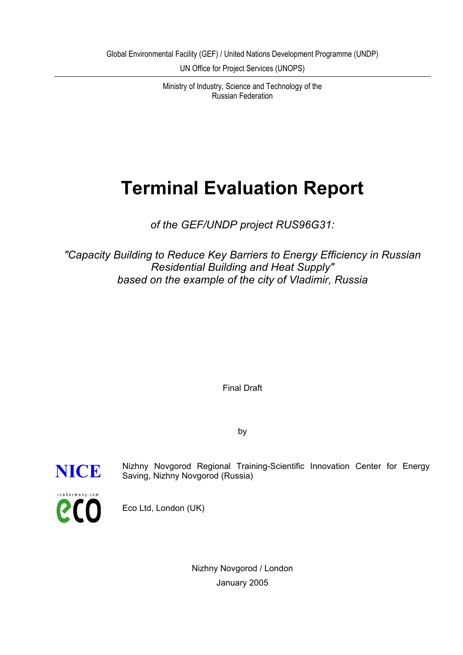UN Office for Project Services (UNOPS)

Ministry of Industry, Science and Technology of the Russian Federation

# **Terminal Evaluation Report**

*of the GEF/UNDP project RUS96G31:*

*"Capacity Building to Reduce Key Barriers to Energy Efficiency in Russian Residential Building and Heat Supply" based on the example of the city of Vladimir, Russia*

Final Draft

by



**NICE** Nizhny Novgorod Regional Training-Scientific Innovation Center for Energy<br>Saving Nizhny Novgorod (Russia) Saving, Nizhny Novgorod (Russia)

Nizhny Novgorod / London

Eco Ltd, London (UK)

January 2005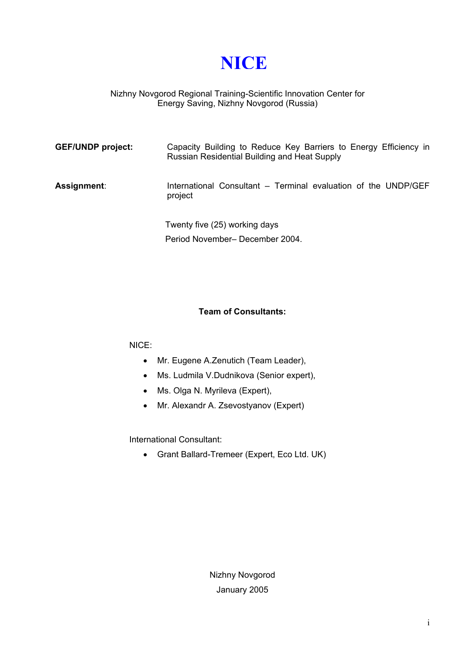**NICE**

#### Nizhny Novgorod Regional Training-Scientific Innovation Center for Energy Saving, Nizhny Novgorod (Russia)

| <b>GEF/UNDP project:</b> | Capacity Building to Reduce Key Barriers to Energy Efficiency in<br>Russian Residential Building and Heat Supply |
|--------------------------|------------------------------------------------------------------------------------------------------------------|
| Assignment:              | International Consultant – Terminal evaluation of the UNDP/GEF<br>project                                        |
|                          | Twenty five (25) working days<br>Period November- December 2004.                                                 |

#### **Team of Consultants:**

#### NICE:

- Mr. Eugene A.Zenutich (Team Leader),
- Ms. Ludmila V.Dudnikova (Senior expert),
- Ms. Olga N. Myrileva (Expert),
- Mr. Alexandr A. Zsevostyanov (Expert)

International Consultant:

• Grant Ballard-Tremeer (Expert, Eco Ltd. UK)

Nizhny Novgorod January 2005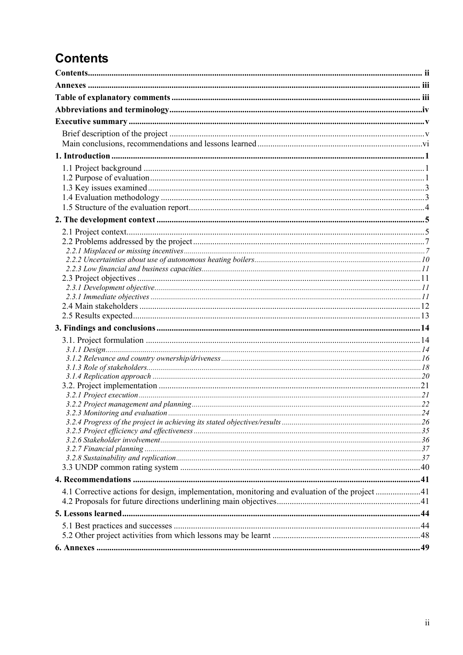## <span id="page-2-0"></span>**Contents**

| 4.1 Corrective actions for design, implementation, monitoring and evaluation of the project41 |  |
|-----------------------------------------------------------------------------------------------|--|
|                                                                                               |  |
|                                                                                               |  |
|                                                                                               |  |
|                                                                                               |  |
|                                                                                               |  |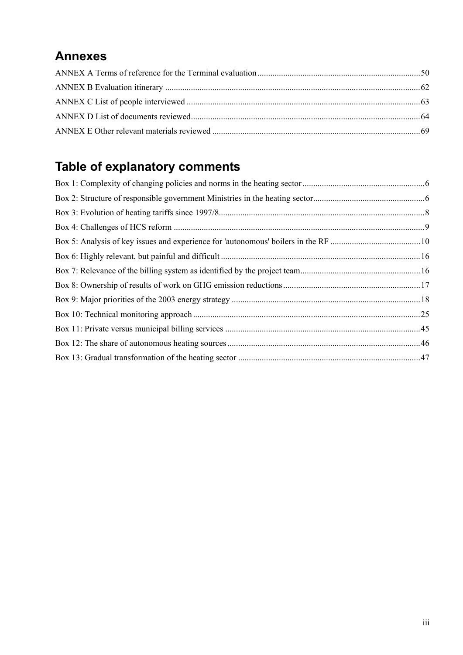## <span id="page-3-0"></span>**Annexes**

## <span id="page-3-1"></span>**Table of explanatory comments**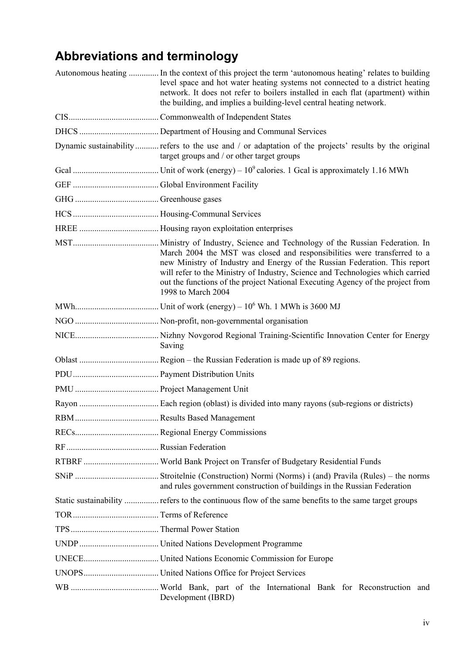## <span id="page-4-0"></span>**Abbreviations and terminology**

| Autonomous heating  In the context of this project the term 'autonomous heating' relates to building<br>level space and hot water heating systems not connected to a district heating<br>network. It does not refer to boilers installed in each flat (apartment) within<br>the building, and implies a building-level central heating network.  |
|--------------------------------------------------------------------------------------------------------------------------------------------------------------------------------------------------------------------------------------------------------------------------------------------------------------------------------------------------|
|                                                                                                                                                                                                                                                                                                                                                  |
|                                                                                                                                                                                                                                                                                                                                                  |
| Dynamic sustainability refers to the use and / or adaptation of the projects' results by the original<br>target groups and / or other target groups                                                                                                                                                                                              |
|                                                                                                                                                                                                                                                                                                                                                  |
|                                                                                                                                                                                                                                                                                                                                                  |
|                                                                                                                                                                                                                                                                                                                                                  |
|                                                                                                                                                                                                                                                                                                                                                  |
|                                                                                                                                                                                                                                                                                                                                                  |
| March 2004 the MST was closed and responsibilities were transferred to a<br>new Ministry of Industry and Energy of the Russian Federation. This report<br>will refer to the Ministry of Industry, Science and Technologies which carried<br>out the functions of the project National Executing Agency of the project from<br>1998 to March 2004 |
|                                                                                                                                                                                                                                                                                                                                                  |
|                                                                                                                                                                                                                                                                                                                                                  |
| Saving                                                                                                                                                                                                                                                                                                                                           |
|                                                                                                                                                                                                                                                                                                                                                  |
|                                                                                                                                                                                                                                                                                                                                                  |
|                                                                                                                                                                                                                                                                                                                                                  |
|                                                                                                                                                                                                                                                                                                                                                  |
|                                                                                                                                                                                                                                                                                                                                                  |
|                                                                                                                                                                                                                                                                                                                                                  |
|                                                                                                                                                                                                                                                                                                                                                  |
|                                                                                                                                                                                                                                                                                                                                                  |
| and rules government construction of buildings in the Russian Federation                                                                                                                                                                                                                                                                         |
| Static sustainability  refers to the continuous flow of the same benefits to the same target groups                                                                                                                                                                                                                                              |
|                                                                                                                                                                                                                                                                                                                                                  |
|                                                                                                                                                                                                                                                                                                                                                  |
|                                                                                                                                                                                                                                                                                                                                                  |
|                                                                                                                                                                                                                                                                                                                                                  |
|                                                                                                                                                                                                                                                                                                                                                  |
| Development (IBRD)                                                                                                                                                                                                                                                                                                                               |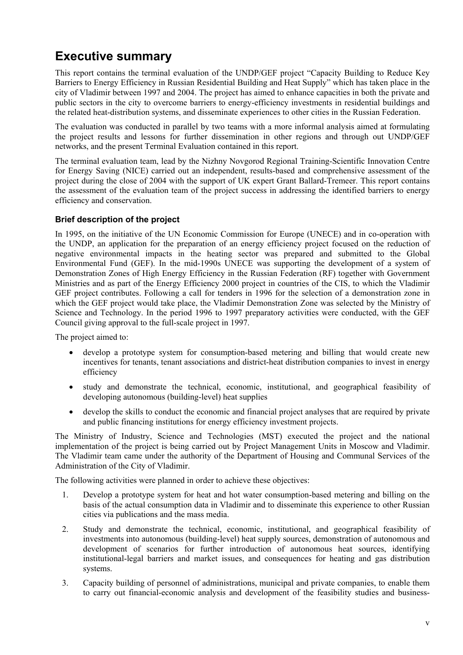## <span id="page-5-0"></span>**Executive summary**

This report contains the terminal evaluation of the UNDP/GEF project "Capacity Building to Reduce Key Barriers to Energy Efficiency in Russian Residential Building and Heat Supply" which has taken place in the city of Vladimir between 1997 and 2004. The project has aimed to enhance capacities in both the private and public sectors in the city to overcome barriers to energy-efficiency investments in residential buildings and the related heat-distribution systems, and disseminate experiences to other cities in the Russian Federation.

The evaluation was conducted in parallel by two teams with a more informal analysis aimed at formulating the project results and lessons for further dissemination in other regions and through out UNDP/GEF networks, and the present Terminal Evaluation contained in this report.

The terminal evaluation team, lead by the Nizhny Novgorod Regional Training-Scientific Innovation Centre for Energy Saving (NICE) carried out an independent, results-based and comprehensive assessment of the project during the close of 2004 with the support of UK expert Grant Ballard-Tremeer. This report contains the assessment of the evaluation team of the project success in addressing the identified barriers to energy efficiency and conservation.

#### <span id="page-5-1"></span>**Brief description of the project**

In 1995, on the initiative of the UN Economic Commission for Europe (UNECE) and in co-operation with the UNDP, an application for the preparation of an energy efficiency project focused on the reduction of negative environmental impacts in the heating sector was prepared and submitted to the Global Environmental Fund (GEF). In the mid-1990s UNECE was supporting the development of a system of Demonstration Zones of High Energy Efficiency in the Russian Federation (RF) together with Government Ministries and as part of the Energy Efficiency 2000 project in countries of the CIS, to which the Vladimir GEF project contributes. Following a call for tenders in 1996 for the selection of a demonstration zone in which the GEF project would take place, the Vladimir Demonstration Zone was selected by the Ministry of Science and Technology. In the period 1996 to 1997 preparatory activities were conducted, with the GEF Council giving approval to the full-scale project in 1997.

The project aimed to:

- develop a prototype system for consumption-based metering and billing that would create new incentives for tenants, tenant associations and district-heat distribution companies to invest in energy efficiency
- study and demonstrate the technical, economic, institutional, and geographical feasibility of developing autonomous (building-level) heat supplies
- develop the skills to conduct the economic and financial project analyses that are required by private and public financing institutions for energy efficiency investment projects.

The Ministry of Industry, Science and Technologies (MST) executed the project and the national implementation of the project is being carried out by Project Management Units in Moscow and Vladimir. The Vladimir team came under the authority of the Department of Housing and Communal Services of the Administration of the City of Vladimir.

The following activities were planned in order to achieve these objectives:

- 1. Develop a prototype system for heat and hot water consumption-based metering and billing on the basis of the actual consumption data in Vladimir and to disseminate this experience to other Russian cities via publications and the mass media.
- 2. Study and demonstrate the technical, economic, institutional, and geographical feasibility of investments into autonomous (building-level) heat supply sources, demonstration of autonomous and development of scenarios for further introduction of autonomous heat sources, identifying institutional-legal barriers and market issues, and consequences for heating and gas distribution systems.
- 3. Capacity building of personnel of administrations, municipal and private companies, to enable them to carry out financial-economic analysis and development of the feasibility studies and business-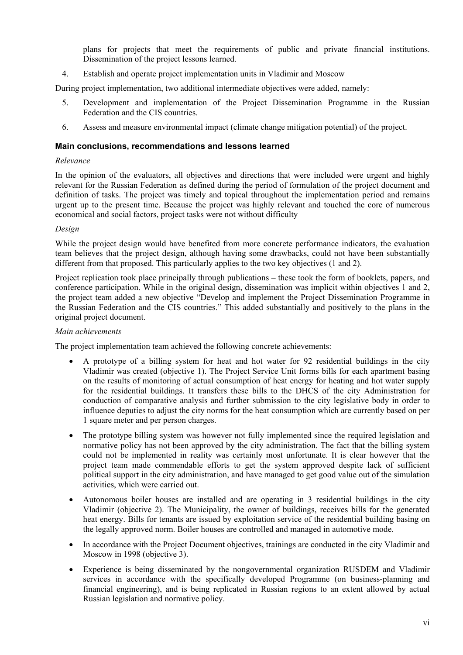plans for projects that meet the requirements of public and private financial institutions. Dissemination of the project lessons learned.

4. Establish and operate project implementation units in Vladimir and Moscow

During project implementation, two additional intermediate objectives were added, namely:

- 5. Development and implementation of the Project Dissemination Programme in the Russian Federation and the CIS countries.
- 6. Assess and measure environmental impact (climate change mitigation potential) of the project.

#### <span id="page-6-0"></span>**Main conclusions, recommendations and lessons learned**

#### *Relevance*

In the opinion of the evaluators, all objectives and directions that were included were urgent and highly relevant for the Russian Federation as defined during the period of formulation of the project document and definition of tasks. The project was timely and topical throughout the implementation period and remains urgent up to the present time. Because the project was highly relevant and touched the core of numerous economical and social factors, project tasks were not without difficulty

#### *Design*

While the project design would have benefited from more concrete performance indicators, the evaluation team believes that the project design, although having some drawbacks, could not have been substantially different from that proposed. This particularly applies to the two key objectives (1 and 2).

Project replication took place principally through publications – these took the form of booklets, papers, and conference participation. While in the original design, dissemination was implicit within objectives 1 and 2, the project team added a new objective "Develop and implement the Project Dissemination Programme in the Russian Federation and the CIS countries." This added substantially and positively to the plans in the original project document.

#### *Main achievements*

The project implementation team achieved the following concrete achievements:

- A prototype of a billing system for heat and hot water for 92 residential buildings in the city Vladimir was created (objective 1). The Project Service Unit forms bills for each apartment basing on the results of monitoring of actual consumption of heat energy for heating and hot water supply for the residential buildings. It transfers these bills to the DHCS of the city Administration for conduction of comparative analysis and further submission to the city legislative body in order to influence deputies to adjust the city norms for the heat consumption which are currently based on per 1 square meter and per person charges.
- The prototype billing system was however not fully implemented since the required legislation and normative policy has not been approved by the city administration. The fact that the billing system could not be implemented in reality was certainly most unfortunate. It is clear however that the project team made commendable efforts to get the system approved despite lack of sufficient political support in the city administration, and have managed to get good value out of the simulation activities, which were carried out.
- Autonomous boiler houses are installed and are operating in 3 residential buildings in the city Vladimir (objective 2). The Municipality, the owner of buildings, receives bills for the generated heat energy. Bills for tenants are issued by exploitation service of the residential building basing on the legally approved norm. Boiler houses are controlled and managed in automotive mode.
- In accordance with the Project Document objectives, trainings are conducted in the city Vladimir and Moscow in 1998 (objective 3).
- Experience is being disseminated by the nongovernmental organization RUSDEM and Vladimir services in accordance with the specifically developed Programme (on business-planning and financial engineering), and is being replicated in Russian regions to an extent allowed by actual Russian legislation and normative policy.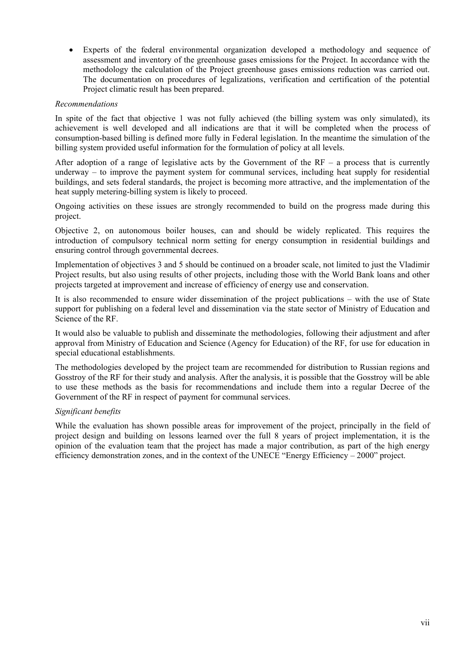• Experts of the federal environmental organization developed a methodology and sequence of assessment and inventory of the greenhouse gases emissions for the Project. In accordance with the methodology the calculation of the Project greenhouse gases emissions reduction was carried out. The documentation on procedures of legalizations, verification and certification of the potential Project climatic result has been prepared.

#### *Recommendations*

In spite of the fact that objective 1 was not fully achieved (the billing system was only simulated), its achievement is well developed and all indications are that it will be completed when the process of consumption-based billing is defined more fully in Federal legislation. In the meantime the simulation of the billing system provided useful information for the formulation of policy at all levels.

After adoption of a range of legislative acts by the Government of the  $RF - a$  process that is currently underway – to improve the payment system for communal services, including heat supply for residential buildings, and sets federal standards, the project is becoming more attractive, and the implementation of the heat supply metering-billing system is likely to proceed.

Ongoing activities on these issues are strongly recommended to build on the progress made during this project.

Objective 2, on autonomous boiler houses, can and should be widely replicated. This requires the introduction of compulsory technical norm setting for energy consumption in residential buildings and ensuring control through governmental decrees.

Implementation of objectives 3 and 5 should be continued on a broader scale, not limited to just the Vladimir Project results, but also using results of other projects, including those with the World Bank loans and other projects targeted at improvement and increase of efficiency of energy use and conservation.

It is also recommended to ensure wider dissemination of the project publications – with the use of State support for publishing on a federal level and dissemination via the state sector of Ministry of Education and Science of the RF.

It would also be valuable to publish and disseminate the methodologies, following their adjustment and after approval from Ministry of Education and Science (Agency for Education) of the RF, for use for education in special educational establishments.

The methodologies developed by the project team are recommended for distribution to Russian regions and Gosstroy of the RF for their study and analysis. After the analysis, it is possible that the Gosstroy will be able to use these methods as the basis for recommendations and include them into a regular Decree of the Government of the RF in respect of payment for communal services.

#### *Significant benefits*

While the evaluation has shown possible areas for improvement of the project, principally in the field of project design and building on lessons learned over the full 8 years of project implementation, it is the opinion of the evaluation team that the project has made a major contribution, as part of the high energy efficiency demonstration zones, and in the context of the UNECE "Energy Efficiency – 2000" project.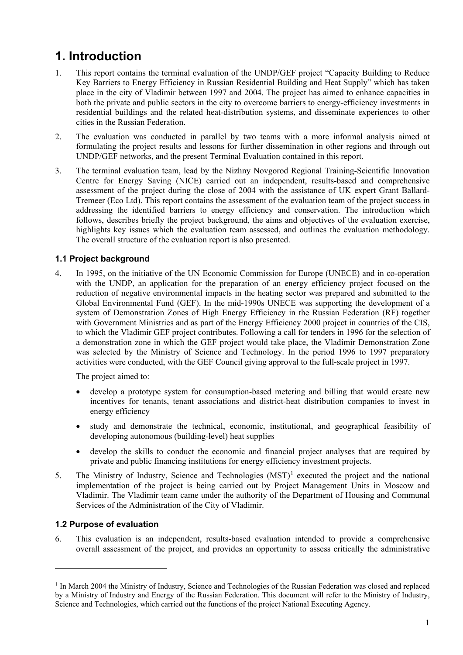## <span id="page-8-0"></span>**1. Introduction**

- 1. This report contains the terminal evaluation of the UNDP/GEF project "Capacity Building to Reduce Key Barriers to Energy Efficiency in Russian Residential Building and Heat Supply" which has taken place in the city of Vladimir between 1997 and 2004. The project has aimed to enhance capacities in both the private and public sectors in the city to overcome barriers to energy-efficiency investments in residential buildings and the related heat-distribution systems, and disseminate experiences to other cities in the Russian Federation.
- 2. The evaluation was conducted in parallel by two teams with a more informal analysis aimed at formulating the project results and lessons for further dissemination in other regions and through out UNDP/GEF networks, and the present Terminal Evaluation contained in this report.
- 3. The terminal evaluation team, lead by the Nizhny Novgorod Regional Training-Scientific Innovation Centre for Energy Saving (NICE) carried out an independent, results-based and comprehensive assessment of the project during the close of 2004 with the assistance of UK expert Grant Ballard-Tremeer (Eco Ltd). This report contains the assessment of the evaluation team of the project success in addressing the identified barriers to energy efficiency and conservation. The introduction which follows, describes briefly the project background, the aims and objectives of the evaluation exercise, highlights key issues which the evaluation team assessed, and outlines the evaluation methodology. The overall structure of the evaluation report is also presented.

#### <span id="page-8-1"></span>**1.1 Project background**

4. In 1995, on the initiative of the UN Economic Commission for Europe (UNECE) and in co-operation with the UNDP, an application for the preparation of an energy efficiency project focused on the reduction of negative environmental impacts in the heating sector was prepared and submitted to the Global Environmental Fund (GEF). In the mid-1990s UNECE was supporting the development of a system of Demonstration Zones of High Energy Efficiency in the Russian Federation (RF) together with Government Ministries and as part of the Energy Efficiency 2000 project in countries of the CIS, to which the Vladimir GEF project contributes. Following a call for tenders in 1996 for the selection of a demonstration zone in which the GEF project would take place, the Vladimir Demonstration Zone was selected by the Ministry of Science and Technology. In the period 1996 to 1997 preparatory activities were conducted, with the GEF Council giving approval to the full-scale project in 1997.

The project aimed to:

- develop a prototype system for consumption-based metering and billing that would create new incentives for tenants, tenant associations and district-heat distribution companies to invest in energy efficiency
- study and demonstrate the technical, economic, institutional, and geographical feasibility of developing autonomous (building-level) heat supplies
- develop the skills to conduct the economic and financial project analyses that are required by private and public financing institutions for energy efficiency investment projects.
- 5. The Ministry of Industry, Science and Technologies  $(MST)^1$  $(MST)^1$  executed the project and the national implementation of the project is being carried out by Project Management Units in Moscow and Vladimir. The Vladimir team came under the authority of the Department of Housing and Communal Services of the Administration of the City of Vladimir.

#### <span id="page-8-2"></span>**1.2 Purpose of evaluation**

<u>.</u>

6. This evaluation is an independent, results-based evaluation intended to provide a comprehensive overall assessment of the project, and provides an opportunity to assess critically the administrative

<sup>&</sup>lt;sup>1</sup> In March 2004 the Ministry of Industry, Science and Technologies of the Russian Federation was closed and replaced by a Ministry of Industry and Energy of the Russian Federation. This document will refer to the Ministry of Industry, Science and Technologies, which carried out the functions of the project National Executing Agency.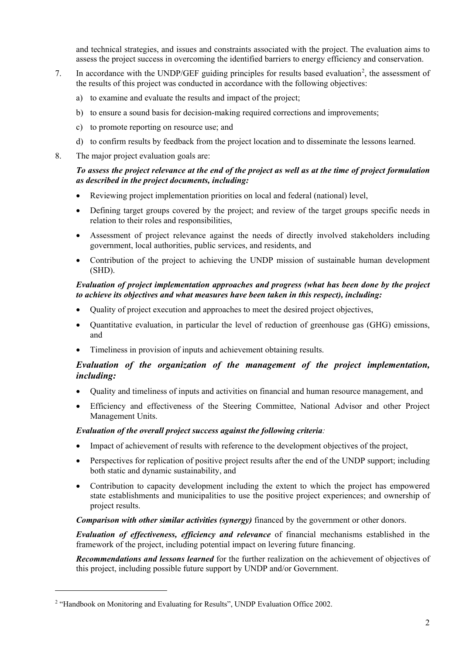and technical strategies, and issues and constraints associated with the project. The evaluation aims to assess the project success in overcoming the identified barriers to energy efficiency and conservation.

- 7. In accordance with the UNDP/GEF guiding principles for results based evaluation<sup>[2](#page-10-2)</sup>, the assessment of the results of this project was conducted in accordance with the following objectives:
	- a) to examine and evaluate the results and impact of the project;
	- b) to ensure a sound basis for decision-making required corrections and improvements;
	- c) to promote reporting on resource use; and
	- d) to confirm results by feedback from the project location and to disseminate the lessons learned.
- 8. The major project evaluation goals are:

#### *To assess the project relevance at the end of the project as well as at the time of project formulation as described in the project documents, including:*

- Reviewing project implementation priorities on local and federal (national) level,
- Defining target groups covered by the project; and review of the target groups specific needs in relation to their roles and responsibilities,
- Assessment of project relevance against the needs of directly involved stakeholders including government, local authorities, public services, and residents, and
- Contribution of the project to achieving the UNDP mission of sustainable human development (SHD).

#### *Evaluation of project implementation approaches and progress (what has been done by the project to achieve its objectives and what measures have been taken in this respect), including:*

- Quality of project execution and approaches to meet the desired project objectives,
- Quantitative evaluation, in particular the level of reduction of greenhouse gas (GHG) emissions, and
- Timeliness in provision of inputs and achievement obtaining results.

#### *Evaluation of the organization of the management of the project implementation, including:*

- Quality and timeliness of inputs and activities on financial and human resource management, and
- Efficiency and effectiveness of the Steering Committee, National Advisor and other Project Management Units.

#### *Evaluation of the overall project success against the following criteria:*

- Impact of achievement of results with reference to the development objectives of the project,
- Perspectives for replication of positive project results after the end of the UNDP support; including both static and dynamic sustainability, and
- Contribution to capacity development including the extent to which the project has empowered state establishments and municipalities to use the positive project experiences; and ownership of project results.

*Comparison with other similar activities (synergy)* financed by the government or other donors.

*Evaluation of effectiveness, efficiency and relevance* of financial mechanisms established in the framework of the project, including potential impact on levering future financing.

*Recommendations and lessons learned* for the further realization on the achievement of objectives of this project, including possible future support by UNDP and/or Government.

<span id="page-9-0"></span><u>.</u>

<sup>2</sup> "Handbook on Monitoring and Evaluating for Results", UNDP Evaluation Office 2002.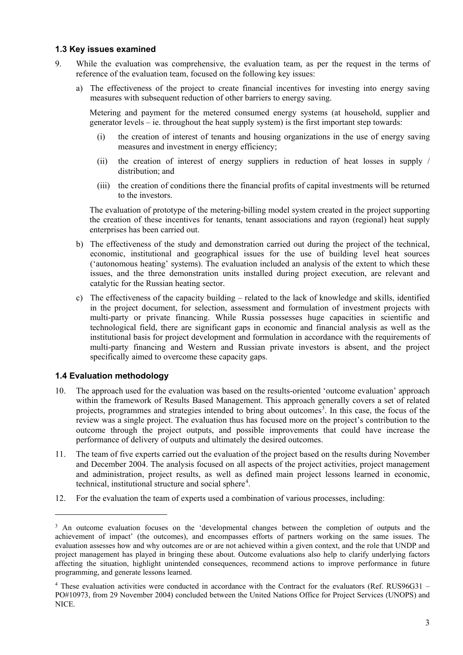#### <span id="page-10-0"></span>**1.3 Key issues examined**

- 9. While the evaluation was comprehensive, the evaluation team, as per the request in the terms of reference of the evaluation team, focused on the following key issues:
	- a) The effectiveness of the project to create financial incentives for investing into energy saving measures with subsequent reduction of other barriers to energy saving.

Metering and payment for the metered consumed energy systems (at household, supplier and generator levels – ie. throughout the heat supply system) is the first important step towards:

- (i) the creation of interest of tenants and housing organizations in the use of energy saving measures and investment in energy efficiency;
- (ii) the creation of interest of energy suppliers in reduction of heat losses in supply / distribution; and
- (iii) the creation of conditions there the financial profits of capital investments will be returned to the investors.

The evaluation of prototype of the metering-billing model system created in the project supporting the creation of these incentives for tenants, tenant associations and rayon (regional) heat supply enterprises has been carried out.

- b) The effectiveness of the study and demonstration carried out during the project of the technical, economic, institutional and geographical issues for the use of building level heat sources ('autonomous heating' systems). The evaluation included an analysis of the extent to which these issues, and the three demonstration units installed during project execution, are relevant and catalytic for the Russian heating sector.
- c) The effectiveness of the capacity building related to the lack of knowledge and skills, identified in the project document, for selection, assessment and formulation of investment projects with multi-party or private financing. While Russia possesses huge capacities in scientific and technological field, there are significant gaps in economic and financial analysis as well as the institutional basis for project development and formulation in accordance with the requirements of multi-party financing and Western and Russian private investors is absent, and the project specifically aimed to overcome these capacity gaps.

#### <span id="page-10-1"></span>**1.4 Evaluation methodology**

<u>.</u>

- 10. The approach used for the evaluation was based on the results-oriented 'outcome evaluation' approach within the framework of Results Based Management. This approach generally covers a set of related projects, programmes and strategies intended to bring about outcomes<sup>[3](#page-11-1)</sup>. In this case, the focus of the review was a single project. The evaluation thus has focused more on the project's contribution to the outcome through the project outputs, and possible improvements that could have increase the performance of delivery of outputs and ultimately the desired outcomes.
- 11. The team of five experts carried out the evaluation of the project based on the results during November and December 2004. The analysis focused on all aspects of the project activities, project management and administration, project results, as well as defined main project lessons learned in economic, technical, institutional structure and social sphere<sup>[4](#page-11-2)</sup>.
- 12. For the evaluation the team of experts used a combination of various processes, including:

<sup>3</sup> An outcome evaluation focuses on the 'developmental changes between the completion of outputs and the achievement of impact' (the outcomes), and encompasses efforts of partners working on the same issues. The evaluation assesses how and why outcomes are or are not achieved within a given context, and the role that UNDP and project management has played in bringing these about. Outcome evaluations also help to clarify underlying factors affecting the situation, highlight unintended consequences, recommend actions to improve performance in future programming, and generate lessons learned.

<span id="page-10-2"></span> $4$  These evaluation activities were conducted in accordance with the Contract for the evaluators (Ref. RUS96G31 – PO#10973, from 29 November 2004) concluded between the United Nations Office for Project Services (UNOPS) and NICE.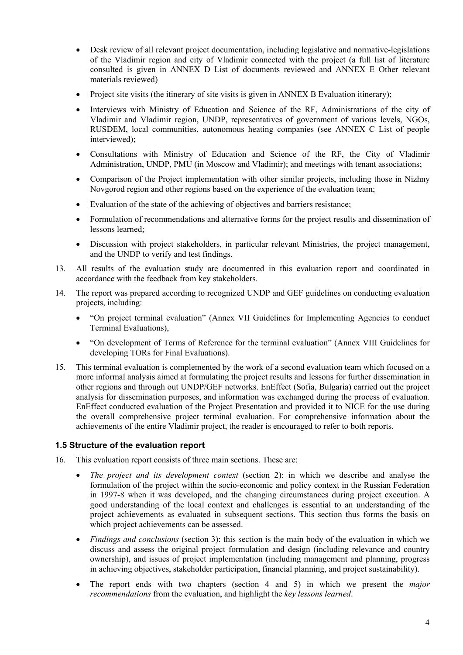- Desk review of all relevant project documentation, including legislative and normative-legislations of the Vladimir region and city of Vladimir connected with the project (a full list of literature consulted is given in [ANNEX D List of documents reviewed](#page-71-0) and [ANNEX E Other relevant](#page-76-0)  [materials reviewed\)](#page-76-0)
- Project site visits (the itinerary of site visits is given in [ANNEX B Evaluation itinerary\)](#page-69-0);
- Interviews with Ministry of Education and Science of the RF, Administrations of the city of Vladimir and Vladimir region, UNDP, representatives of government of various levels, NGOs, RUSDEM, local communities, autonomous heating companies (see [ANNEX C List of people](#page-70-0)  [interviewed\)](#page-70-0);
- Consultations with Ministry of Education and Science of the RF, the City of Vladimir Administration, UNDP, PMU (in Moscow and Vladimir); and meetings with tenant associations;
- Comparison of the Project implementation with other similar projects, including those in Nizhny Novgorod region and other regions based on the experience of the evaluation team;
- Evaluation of the state of the achieving of objectives and barriers resistance;
- Formulation of recommendations and alternative forms for the project results and dissemination of lessons learned;
- Discussion with project stakeholders, in particular relevant Ministries, the project management, and the UNDP to verify and test findings.
- 13. All results of the evaluation study are documented in this evaluation report and coordinated in accordance with the feedback from key stakeholders.
- 14. The report was prepared according to recognized UNDP and GEF guidelines on conducting evaluation projects, including:
	- "On project terminal evaluation" (Annex VII Guidelines for Implementing Agencies to conduct Terminal Evaluations),
	- "On development of Terms of Reference for the terminal evaluation" (Annex VIII Guidelines for developing TORs for Final Evaluations).
- 15. This terminal evaluation is complemented by the work of a second evaluation team which focused on a more informal analysis aimed at formulating the project results and lessons for further dissemination in other regions and through out UNDP/GEF networks. EnEffect (Sofia, Bulgaria) carried out the project analysis for dissemination purposes, and information was exchanged during the process of evaluation. EnEffect conducted evaluation of the Project Presentation and provided it to NICE for the use during the overall comprehensive project terminal evaluation. For comprehensive information about the achievements of the entire Vladimir project, the reader is encouraged to refer to both reports.

#### <span id="page-11-0"></span>**1.5 Structure of the evaluation report**

- <span id="page-11-2"></span><span id="page-11-1"></span>16. This evaluation report consists of three main sections. These are:
	- *The project and its development context* (section 2): in which we describe and analyse the formulation of the project within the socio-economic and policy context in the Russian Federation in 1997-8 when it was developed, and the changing circumstances during project execution. A good understanding of the local context and challenges is essential to an understanding of the project achievements as evaluated in subsequent sections. This section thus forms the basis on which project achievements can be assessed.
	- *Findings and conclusions* (section 3): this section is the main body of the evaluation in which we discuss and assess the original project formulation and design (including relevance and country ownership), and issues of project implementation (including management and planning, progress in achieving objectives, stakeholder participation, financial planning, and project sustainability).
	- The report ends with two chapters (section 4 and 5) in which we present the *major recommendations* from the evaluation, and highlight the *key lessons learned*.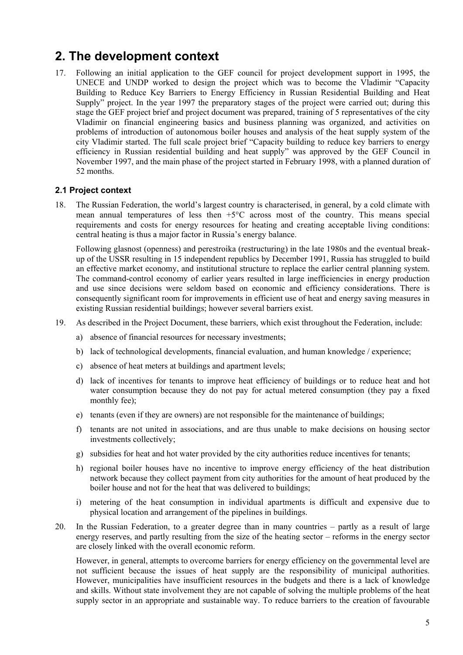### <span id="page-12-0"></span>**2. The development context**

17. Following an initial application to the GEF council for project development support in 1995, the UNECE and UNDP worked to design the project which was to become the Vladimir "Capacity Building to Reduce Key Barriers to Energy Efficiency in Russian Residential Building and Heat Supply" project. In the year 1997 the preparatory stages of the project were carried out; during this stage the GEF project brief and project document was prepared, training of 5 representatives of the city Vladimir on financial engineering basics and business planning was organized, and activities on problems of introduction of autonomous boiler houses and analysis of the heat supply system of the city Vladimir started. The full scale project brief "Capacity building to reduce key barriers to energy efficiency in Russian residential building and heat supply" was approved by the GEF Council in November 1997, and the main phase of the project started in February 1998, with a planned duration of 52 months.

#### <span id="page-12-1"></span>**2.1 Project context**

18. The Russian Federation, the world's largest country is characterised, in general, by a cold climate with mean annual temperatures of less then  $+5^{\circ}$ C across most of the country. This means special requirements and costs for energy resources for heating and creating acceptable living conditions: central heating is thus a major factor in Russia's energy balance.

Following glasnost (openness) and perestroika (restructuring) in the late 1980s and the eventual breakup of the USSR resulting in 15 independent republics by December 1991, Russia has struggled to build an effective market economy, and institutional structure to replace the earlier central planning system. The command-control economy of earlier years resulted in large inefficiencies in energy production and use since decisions were seldom based on economic and efficiency considerations. There is consequently significant room for improvements in efficient use of heat and energy saving measures in existing Russian residential buildings; however several barriers exist.

- 19. As described in the Project Document, these barriers, which exist throughout the Federation, include:
	- a) absence of financial resources for necessary investments;
	- b) lack of technological developments, financial evaluation, and human knowledge / experience;
	- c) absence of heat meters at buildings and apartment levels;
	- d) lack of incentives for tenants to improve heat efficiency of buildings or to reduce heat and hot water consumption because they do not pay for actual metered consumption (they pay a fixed monthly fee);
	- e) tenants (even if they are owners) are not responsible for the maintenance of buildings;
	- f) tenants are not united in associations, and are thus unable to make decisions on housing sector investments collectively;
	- g) subsidies for heat and hot water provided by the city authorities reduce incentives for tenants;
	- h) regional boiler houses have no incentive to improve energy efficiency of the heat distribution network because they collect payment from city authorities for the amount of heat produced by the boiler house and not for the heat that was delivered to buildings;
	- i) metering of the heat consumption in individual apartments is difficult and expensive due to physical location and arrangement of the pipelines in buildings.
- 20. In the Russian Federation, to a greater degree than in many countries partly as a result of large energy reserves, and partly resulting from the size of the heating sector – reforms in the energy sector are closely linked with the overall economic reform.

However, in general, attempts to overcome barriers for energy efficiency on the governmental level are not sufficient because the issues of heat supply are the responsibility of municipal authorities. However, municipalities have insufficient resources in the budgets and there is a lack of knowledge and skills. Without state involvement they are not capable of solving the multiple problems of the heat supply sector in an appropriate and sustainable way. To reduce barriers to the creation of favourable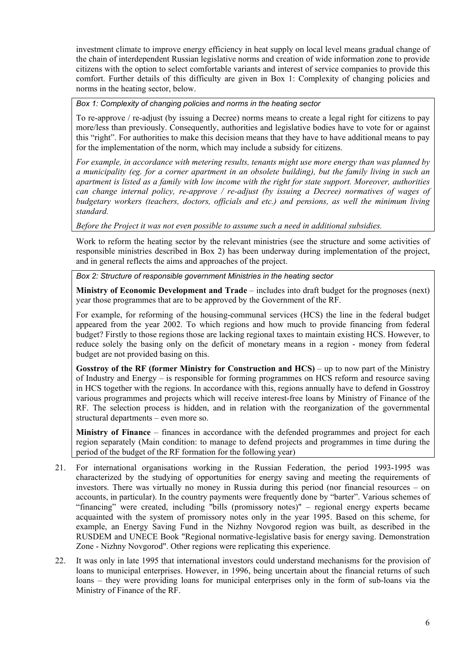investment climate to improve energy efficiency in heat supply on local level means gradual change of the chain of interdependent Russian legislative norms and creation of wide information zone to provide citizens with the option to select comfortable variants and interest of service companies to provide this comfort. Further details of this difficulty are given in [Box 1: Complexity of changing policies and](#page-13-0)  [norms in the heating sector, below.](#page-13-0)

<span id="page-13-0"></span>*Box 1: Complexity of changing policies and norms in the heating sector*

To re-approve / re-adjust (by issuing a Decree) norms means to create a legal right for citizens to pay more/less than previously. Consequently, authorities and legislative bodies have to vote for or against this "right". For authorities to make this decision means that they have to have additional means to pay for the implementation of the norm, which may include a subsidy for citizens.

*For example, in accordance with metering results, tenants might use more energy than was planned by a municipality (eg. for a corner apartment in an obsolete building), but the family living in such an apartment is listed as a family with low income with the right for state support. Moreover, authorities can change internal policy, re-approve / re-adjust (by issuing a Decree) normatives of wages of budgetary workers (teachers, doctors, officials and etc.) and pensions, as well the minimum living standard.* 

*Before the Project it was not even possible to assume such a need in additional subsidies.*

Work to reform the heating sector by the relevant ministries (see the structure and some activities of responsible ministries described in [Box 2\)](#page-13-1) has been underway during implementation of the project, and in general reflects the aims and approaches of the project.

<span id="page-13-1"></span>*Box 2: Structure of responsible government Ministries in the heating sector* 

**Ministry of Economic Development and Trade** – includes into draft budget for the prognoses (next) year those programmes that are to be approved by the Government of the RF.

For example, for reforming of the housing-communal services (HCS) the line in the federal budget appeared from the year 2002. To which regions and how much to provide financing from federal budget? Firstly to those regions those are lacking regional taxes to maintain existing HCS. However, to reduce solely the basing only on the deficit of monetary means in a region - money from federal budget are not provided basing on this.

**Gosstroy of the RF (former Ministry for Construction and HCS)** – up to now part of the Ministry of Industry and Energy – is responsible for forming programmes on HCS reform and resource saving in HCS together with the regions. In accordance with this, regions annually have to defend in Gosstroy various programmes and projects which will receive interest-free loans by Ministry of Finance of the RF. The selection process is hidden, and in relation with the reorganization of the governmental structural departments – even more so.

**Ministry of Finance** – finances in accordance with the defended programmes and project for each region separately (Main condition: to manage to defend projects and programmes in time during the period of the budget of the RF formation for the following year)

- 21. For international organisations working in the Russian Federation, the period 1993-1995 was characterized by the studying of opportunities for energy saving and meeting the requirements of investors. There was virtually no money in Russia during this period (nor financial resources – on accounts, in particular). In the country payments were frequently done by "barter". Various schemes of "financing" were created, including "bills (promissory notes)" – regional energy experts became acquainted with the system of promissory notes only in the year 1995. Based on this scheme, for example, an Energy Saving Fund in the Nizhny Novgorod region was built, as described in the RUSDEM and UNECE Book "Regional normative-legislative basis for energy saving. Demonstration Zone - Nizhny Novgorod". Other regions were replicating this experience.
- 22. It was only in late 1995 that international investors could understand mechanisms for the provision of loans to municipal enterprises. However, in 1996, being uncertain about the financial returns of such loans – they were providing loans for municipal enterprises only in the form of sub-loans via the Ministry of Finance of the RF.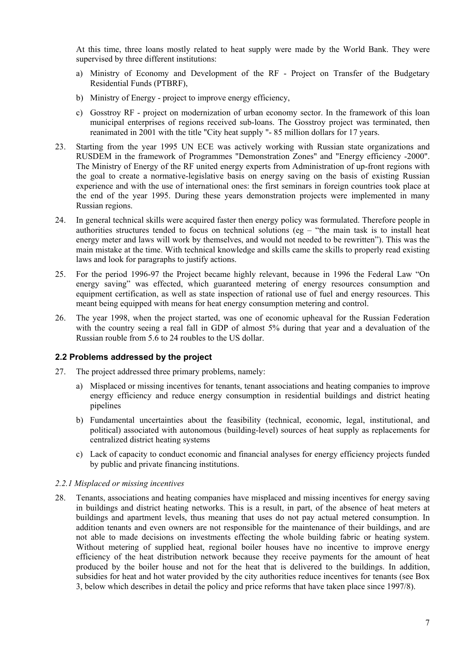At this time, three loans mostly related to heat supply were made by the World Bank. They were supervised by three different institutions:

- a) Ministry of Economy and Development of the RF Project on Transfer of the Budgetary Residential Funds (PTBRF),
- b) Ministry of Energy project to improve energy efficiency,
- c) Gosstroy RF project on modernization of urban economy sector. In the framework of this loan municipal enterprises of regions received sub-loans. The Gosstroy project was terminated, then reanimated in 2001 with the title "City heat supply "- 85 million dollars for 17 years.
- 23. Starting from the year 1995 UN ECE was actively working with Russian state organizations and RUSDEM in the framework of Programmes "Demonstration Zones" and "Energy efficiency -2000". The Ministry of Energy of the RF united energy experts from Administration of up-front regions with the goal to create a normative-legislative basis on energy saving on the basis of existing Russian experience and with the use of international ones: the first seminars in foreign countries took place at the end of the year 1995. During these years demonstration projects were implemented in many Russian regions.
- 24. In general technical skills were acquired faster then energy policy was formulated. Therefore people in authorities structures tended to focus on technical solutions (eg – "the main task is to install heat energy meter and laws will work by themselves, and would not needed to be rewritten"). This was the main mistake at the time. With technical knowledge and skills came the skills to properly read existing laws and look for paragraphs to justify actions.
- 25. For the period 1996-97 the Project became highly relevant, because in 1996 the Federal Law "On energy saving" was effected, which guaranteed metering of energy resources consumption and equipment certification, as well as state inspection of rational use of fuel and energy resources. This meant being equipped with means for heat energy consumption metering and control.
- 26. The year 1998, when the project started, was one of economic upheaval for the Russian Federation with the country seeing a real fall in GDP of almost 5% during that year and a devaluation of the Russian rouble from 5.6 to 24 roubles to the US dollar.

#### <span id="page-14-0"></span>**2.2 Problems addressed by the project**

- 27. The project addressed three primary problems, namely:
	- a) Misplaced or missing incentives for tenants, tenant associations and heating companies to improve energy efficiency and reduce energy consumption in residential buildings and district heating pipelines
	- b) Fundamental uncertainties about the feasibility (technical, economic, legal, institutional, and political) associated with autonomous (building-level) sources of heat supply as replacements for centralized district heating systems
	- c) Lack of capacity to conduct economic and financial analyses for energy efficiency projects funded by public and private financing institutions.

#### <span id="page-14-1"></span>*2.2.1 Misplaced or missing incentives*

28. Tenants, associations and heating companies have misplaced and missing incentives for energy saving in buildings and district heating networks. This is a result, in part, of the absence of heat meters at buildings and apartment levels, thus meaning that uses do not pay actual metered consumption. In addition tenants and even owners are not responsible for the maintenance of their buildings, and are not able to made decisions on investments effecting the whole building fabric or heating system. Without metering of supplied heat, regional boiler houses have no incentive to improve energy efficiency of the heat distribution network because they receive payments for the amount of heat produced by the boiler house and not for the heat that is delivered to the buildings. In addition, subsidies for heat and hot water provided by the city authorities reduce incentives for tenants (see [Box](#page-15-0)  [3,](#page-15-0) below which describes in detail the policy and price reforms that have taken place since 1997/8).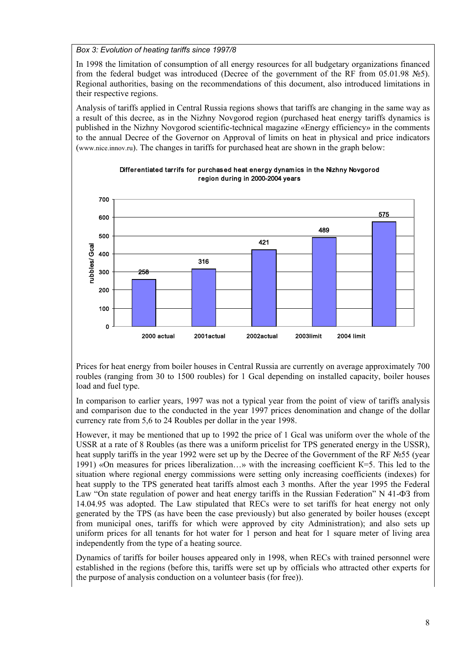<span id="page-15-0"></span>*Box 3: Evolution of heating tariffs since 1997/8*

In 1998 the limitation of consumption of all energy resources for all budgetary organizations financed from the federal budget was introduced (Decree of the government of the RF from 05.01.98 №5). Regional authorities, basing on the recommendations of this document, also introduced limitations in their respective regions.

Analysis of tariffs applied in Central Russia regions shows that tariffs are changing in the same way as a result of this decree, as in the Nizhny Novgorod region (purchased heat energy tariffs dynamics is published in the Nizhny Novgorod scientific-technical magazine «Energy efficiency» in the comments to the annual Decree of the Governor on Approval of limits on heat in physical and price indicators [\(www.nice.innov.ru\)](http://www.nice.innov.ru/). The changes in tariffs for purchased heat are shown in the graph below:





Prices for heat energy from boiler houses in Central Russia are currently on average approximately 700 roubles (ranging from 30 to 1500 roubles) for 1 Gcal depending on installed capacity, boiler houses load and fuel type.

In comparison to earlier years, 1997 was not a typical year from the point of view of tariffs analysis and comparison due to the conducted in the year 1997 prices denomination and change of the dollar currency rate from 5,6 to 24 Roubles per dollar in the year 1998.

However, it may be mentioned that up to 1992 the price of 1 Gcal was uniform over the whole of the USSR at a rate of 8 Roubles (as there was a uniform pricelist for TPS generated energy in the USSR), heat supply tariffs in the year 1992 were set up by the Decree of the Government of the RF №55 (year 1991) «On measures for prices liberalization…» with the increasing coefficient К=5. This led to the situation where regional energy commissions were setting only increasing coefficients (indexes) for heat supply to the TPS generated heat tariffs almost each 3 months. After the year 1995 the Federal Law "On state regulation of power and heat energy tariffs in the Russian Federation" N 41-ФЗ from 14.04.95 was adopted. The Law stipulated that RECs were to set tariffs for heat energy not only generated by the TPS (as have been the case previously) but also generated by boiler houses (except from municipal ones, tariffs for which were approved by city Administration); and also sets up uniform prices for all tenants for hot water for 1 person and heat for 1 square meter of living area independently from the type of a heating source.

Dynamics of tariffs for boiler houses appeared only in 1998, when RECs with trained personnel were established in the regions (before this, tariffs were set up by officials who attracted other experts for the purpose of analysis conduction on a volunteer basis (for free)).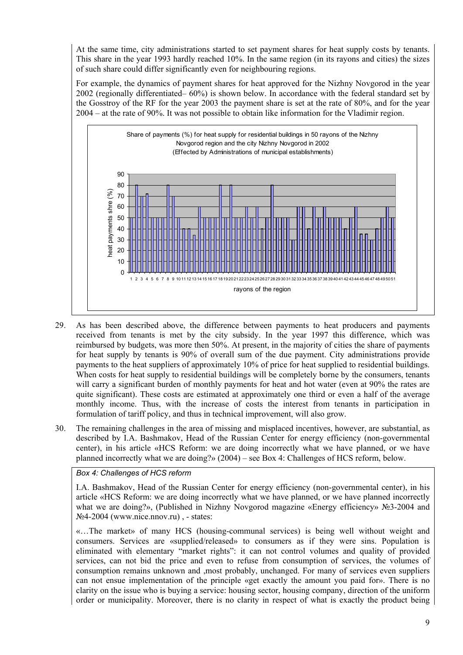At the same time, city administrations started to set payment shares for heat supply costs by tenants. This share in the year 1993 hardly reached 10%. In the same region (in its rayons and cities) the sizes of such share could differ significantly even for neighbouring regions.

For example, the dynamics of payment shares for heat approved for the Nizhny Novgorod in the year 2002 (regionally differentiated– 60%) is shown below. In accordance with the federal standard set by the Gosstroy of the RF for the year 2003 the payment share is set at the rate of 80%, and for the year 2004 – at the rate of 90%. It was not possible to obtain like information for the Vladimir region.



- 29. As has been described above, the difference between payments to heat producers and payments received from tenants is met by the city subsidy. In the year 1997 this difference, which was reimbursed by budgets, was more then 50%. At present, in the majority of cities the share of payments for heat supply by tenants is 90% of overall sum of the due payment. City administrations provide payments to the heat suppliers of approximately 10% of price for heat supplied to residential buildings. When costs for heat supply to residential buildings will be completely borne by the consumers, tenants will carry a significant burden of monthly payments for heat and hot water (even at 90% the rates are quite significant). These costs are estimated at approximately one third or even a half of the average monthly income. Thus, with the increase of costs the interest from tenants in participation in formulation of tariff policy, and thus in technical improvement, will also grow.
- 30. The remaining challenges in the area of missing and misplaced incentives, however, are substantial, as described by I.А. Bashmakov, Head of the Russian Center for energy efficiency (non-governmental center), in his article «HCS Reform: we are doing incorrectly what we have planned, or we have planned incorrectly what we are doing?» (2004) – see Box 4[: Challenges of HCS reform](#page-16-0), below.

#### <span id="page-16-0"></span>*Box 4: Challenges of HCS reform*

I.А. Bashmakov, Head of the Russian Center for energy efficiency (non-governmental center), in his article «HCS Reform: we are doing incorrectly what we have planned, or we have planned incorrectly what we are doing?», (Published in Nizhny Novgorod magazine «Energy efficiency» №3-2004 and №4-2004 (www.nice.nnov.ru) , - states:

«…The market» of many HCS (housing-communal services) is being well without weight and consumers. Services are «supplied/released» to consumers as if they were sins. Population is eliminated with elementary "market rights": it can not control volumes and quality of provided services, can not bid the price and even to refuse from consumption of services, the volumes of consumption remains unknown and ,most probably, unchanged. For many of services even suppliers can not ensue implementation of the principle «get exactly the amount you paid for». There is no clarity on the issue who is buying a service: housing sector, housing company, direction of the uniform order or municipality. Moreover, there is no clarity in respect of what is exactly the product being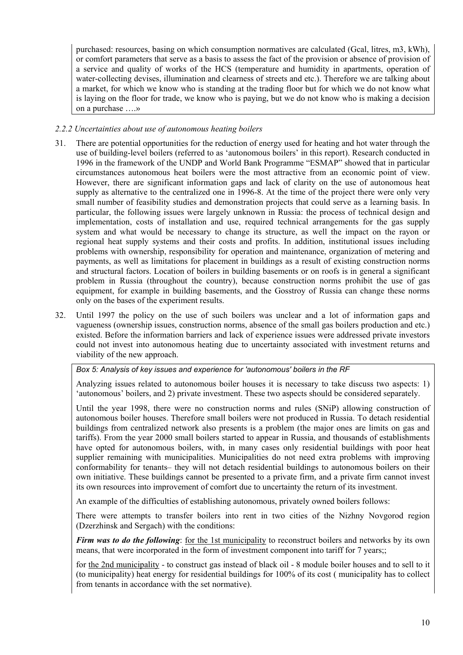purchased: resources, basing on which consumption normatives are calculated (Gcal, litres, m3, kWh), or comfort parameters that serve as a basis to assess the fact of the provision or absence of provision of a service and quality of works of the HCS (temperature and humidity in apartments, operation of water-collecting devises, illumination and clearness of streets and etc.). Therefore we are talking about a market, for which we know who is standing at the trading floor but for which we do not know what is laying on the floor for trade, we know who is paying, but we do not know who is making a decision on a purchase ….»

#### <span id="page-17-0"></span>*2.2.2 Uncertainties about use of autonomous heating boilers*

- 31. There are potential opportunities for the reduction of energy used for heating and hot water through the use of building-level boilers (referred to as 'autonomous boilers' in this report). Research conducted in 1996 in the framework of the UNDP and World Bank Programme "ESMAP" showed that in particular circumstances autonomous heat boilers were the most attractive from an economic point of view. However, there are significant information gaps and lack of clarity on the use of autonomous heat supply as alternative to the centralized one in 1996-8. At the time of the project there were only very small number of feasibility studies and demonstration projects that could serve as a learning basis. In particular, the following issues were largely unknown in Russia: the process of technical design and implementation, costs of installation and use, required technical arrangements for the gas supply system and what would be necessary to change its structure, as well the impact on the rayon or regional heat supply systems and their costs and profits. In addition, institutional issues including problems with ownership, responsibility for operation and maintenance, organization of metering and payments, as well as limitations for placement in buildings as a result of existing construction norms and structural factors. Location of boilers in building basements or on roofs is in general a significant problem in Russia (throughout the country), because construction norms prohibit the use of gas equipment, for example in building basements, and the Gosstroy of Russia can change these norms only on the bases of the experiment results.
- 32. Until 1997 the policy on the use of such boilers was unclear and a lot of information gaps and vagueness (ownership issues, construction norms, absence of the small gas boilers production and etc.) existed. Before the information barriers and lack of experience issues were addressed private investors could not invest into autonomous heating due to uncertainty associated with investment returns and viability of the new approach.

<span id="page-17-1"></span>*Box 5: Analysis of key issues and experience for 'autonomous' boilers in the RF*

Analyzing issues related to autonomous boiler houses it is necessary to take discuss two aspects: 1) 'autonomous' boilers, and 2) private investment. These two aspects should be considered separately.

Until the year 1998, there were no construction norms and rules (SNiP) allowing construction of autonomous boiler houses. Therefore small boilers were not produced in Russia. To detach residential buildings from centralized network also presents is a problem (the major ones are limits on gas and tariffs). From the year 2000 small boilers started to appear in Russia, and thousands of establishments have opted for autonomous boilers, with, in many cases only residential buildings with poor heat supplier remaining with municipalities. Municipalities do not need extra problems with improving conformability for tenants– they will not detach residential buildings to autonomous boilers on their own initiative. These buildings cannot be presented to a private firm, and a private firm cannot invest its own resources into improvement of comfort due to uncertainty the return of its investment.

An example of the difficulties of establishing autonomous, privately owned boilers follows:

There were attempts to transfer boilers into rent in two cities of the Nizhny Novgorod region (Dzerzhinsk and Sergach) with the conditions:

*Firm was to do the following*: for the 1st municipality to reconstruct boilers and networks by its own means, that were incorporated in the form of investment component into tariff for 7 years;;

for the 2nd municipality - to construct gas instead of black oil - 8 module boiler houses and to sell to it (to municipality) heat energy for residential buildings for 100% of its cost ( municipality has to collect from tenants in accordance with the set normative).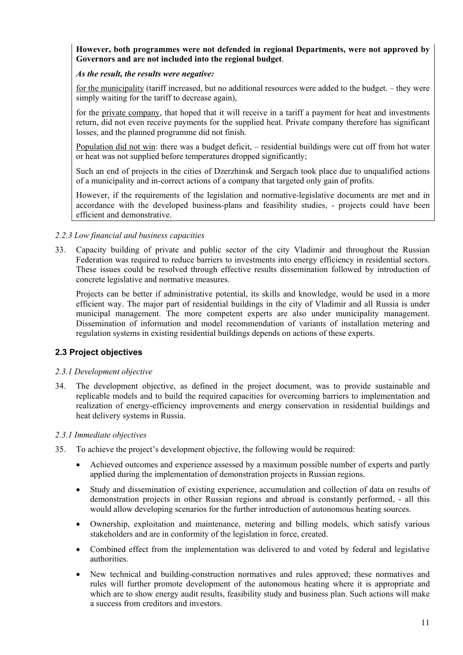#### **However, both programmes were not defended in regional Departments, were not approved by Governors and are not included into the regional budget**.

#### *As the result, the results were negative:*

for the municipality (tariff increased, but no additional resources were added to the budget. – they were simply waiting for the tariff to decrease again),

for the private company, that hoped that it will receive in a tariff a payment for heat and investments return, did not even receive payments for the supplied heat. Private company therefore has significant losses, and the planned programme did not finish.

Population did not win: there was a budget deficit, – residential buildings were cut off from hot water or heat was not supplied before temperatures dropped significantly;

Such an end of projects in the cities of Dzerzhinsk and Sergach took place due to unqualified actions of a municipality and in-correct actions of a company that targeted only gain of profits.

However, if the requirements of the legislation and normative-legislative documents are met and in accordance with the developed business-plans and feasibility studies, - projects could have been efficient and demonstrative.

#### <span id="page-18-0"></span>*2.2.3 Low financial and business capacities*

33. Capacity building of private and public sector of the city Vladimir and throughout the Russian Federation was required to reduce barriers to investments into energy efficiency in residential sectors. These issues could be resolved through effective results dissemination followed by introduction of concrete legislative and normative measures.

Projects can be better if administrative potential, its skills and knowledge, would be used in a more efficient way. The major part of residential buildings in the city of Vladimir and all Russia is under municipal management. The more competent experts are also under municipality management. Dissemination of information and model recommendation of variants of installation metering and regulation systems in existing residential buildings depends on actions of these experts.

#### <span id="page-18-1"></span>**2.3 Project objectives**

#### <span id="page-18-2"></span>*2.3.1 Development objective*

34. The development objective, as defined in the project document, was to provide sustainable and replicable models and to build the required capacities for overcoming barriers to implementation and realization of energy-efficiency improvements and energy conservation in residential buildings and heat delivery systems in Russia.

#### <span id="page-18-3"></span>*2.3.1 Immediate objectives*

- 35. To achieve the project's development objective, the following would be required:
	- Achieved outcomes and experience assessed by a maximum possible number of experts and partly applied during the implementation of demonstration projects in Russian regions.
	- Study and dissemination of existing experience, accumulation and collection of data on results of demonstration projects in other Russian regions and abroad is constantly performed, - all this would allow developing scenarios for the further introduction of autonomous heating sources.
	- Ownership, exploitation and maintenance, metering and billing models, which satisfy various stakeholders and are in conformity of the legislation in force, created.
	- Combined effect from the implementation was delivered to and voted by federal and legislative authorities.
	- New technical and building-construction normatives and rules approved; these normatives and rules will further promote development of the autonomous heating where it is appropriate and which are to show energy audit results, feasibility study and business plan. Such actions will make a success from creditors and investors.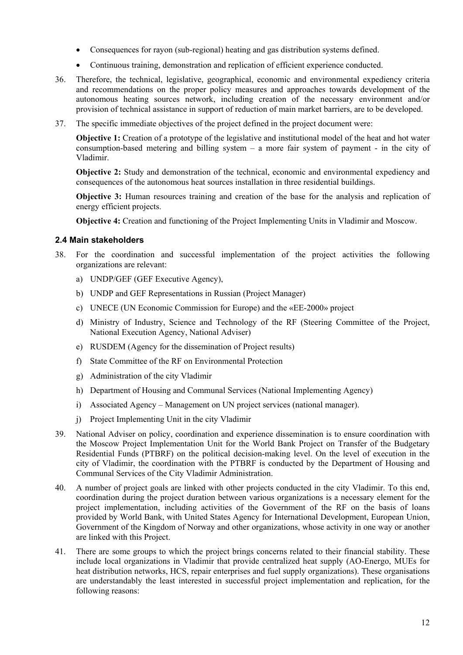- Consequences for rayon (sub-regional) heating and gas distribution systems defined.
- Continuous training, demonstration and replication of efficient experience conducted.
- 36. Therefore, the technical, legislative, geographical, economic and environmental expediency criteria and recommendations on the proper policy measures and approaches towards development of the autonomous heating sources network, including creation of the necessary environment and/or provision of technical assistance in support of reduction of main market barriers, are to be developed.
- 37. The specific immediate objectives of the project defined in the project document were:

**Objective 1:** Creation of a prototype of the legislative and institutional model of the heat and hot water consumption-based metering and billing system – a more fair system of payment - in the city of Vladimir.

**Objective 2:** Study and demonstration of the technical, economic and environmental expediency and consequences of the autonomous heat sources installation in three residential buildings.

**Objective 3:** Human resources training and creation of the base for the analysis and replication of energy efficient projects.

**Objective 4:** Creation and functioning of the Project Implementing Units in Vladimir and Moscow.

#### <span id="page-19-0"></span>**2.4 Main stakeholders**

- 38. For the coordination and successful implementation of the project activities the following organizations are relevant:
	- a) UNDP/GEF (GEF Executive Agency),
	- b) UNDP and GEF Representations in Russian (Project Manager)
	- c) UNECE (UN Economic Commission for Europe) and the «EE-2000» project
	- d) Ministry of Industry, Science and Technology of the RF (Steering Committee of the Project, National Execution Agency, National Adviser)
	- e) RUSDEM (Agency for the dissemination of Project results)
	- f) State Committee of the RF on Environmental Protection
	- g) Administration of the city Vladimir
	- h) Department of Housing and Communal Services (National Implementing Agency)
	- i) Associated Agency Management on UN project services (national manager).
	- j) Project Implementing Unit in the city Vladimir
- 39. National Adviser on policy, coordination and experience dissemination is to ensure coordination with the Moscow Project Implementation Unit for the World Bank Project on Transfer of the Budgetary Residential Funds (PTBRF) on the political decision-making level. On the level of execution in the city of Vladimir, the coordination with the PTBRF is conducted by the Department of Housing and Communal Services of the City Vladimir Administration.
- 40. A number of project goals are linked with other projects conducted in the city Vladimir. To this end, coordination during the project duration between various organizations is a necessary element for the project implementation, including activities of the Government of the RF on the basis of loans provided by World Bank, with United States Agency for International Development, European Union, Government of the Kingdom of Norway and other organizations, whose activity in one way or another are linked with this Project.
- 41. There are some groups to which the project brings concerns related to their financial stability. These include local organizations in Vladimir that provide centralized heat supply (АО-Energo, MUEs for heat distribution networks, HCS, repair enterprises and fuel supply organizations). These organisations are understandably the least interested in successful project implementation and replication, for the following reasons: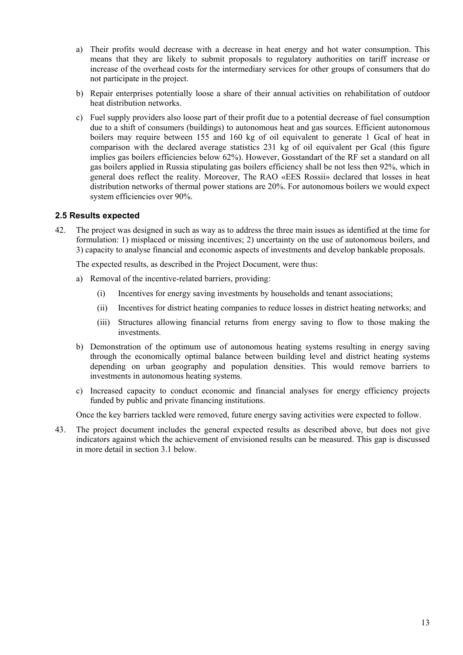- a) Their profits would decrease with a decrease in heat energy and hot water consumption. This means that they are likely to submit proposals to regulatory authorities on tariff increase or increase of the overhead costs for the intermediary services for other groups of consumers that do not participate in the project.
- b) Repair enterprises potentially loose a share of their annual activities on rehabilitation of outdoor heat distribution networks.
- c) Fuel supply providers also loose part of their profit due to a potential decrease of fuel consumption due to a shift of consumers (buildings) to autonomous heat and gas sources. Efficient autonomous boilers may require between 155 and 160 kg of oil equivalent to generate 1 Gcal of heat in comparison with the declared average statistics 231 kg of oil equivalent per Gcal (this figure implies gas boilers efficiencies below 62%). However, Gosstandart of the RF set a standard on all gas boilers applied in Russia stipulating gas boilers efficiency shall be not less then 92%, which in general does reflect the reality. Moreover, The RAO «EES Rossii» declared that losses in heat distribution networks of thermal power stations are 20%. For autonomous boilers we would expect system efficiencies over 90%.

#### <span id="page-20-0"></span>**2.5 Results expected**

42. The project was designed in such as way as to address the three main issues as identified at the time for formulation: 1) misplaced or missing incentives; 2) uncertainty on the use of autonomous boilers, and 3) capacity to analyse financial and economic aspects of investments and develop bankable proposals.

The expected results, as described in the Project Document, were thus:

- a) Removal of the incentive-related barriers, providing:
	- (i) Incentives for energy saving investments by households and tenant associations;
	- (ii) Incentives for district heating companies to reduce losses in district heating networks; and
	- (iii) Structures allowing financial returns from energy saving to flow to those making the investments.
- b) Demonstration of the optimum use of autonomous heating systems resulting in energy saving through the economically optimal balance between building level and district heating systems depending on urban geography and population densities. This would remove barriers to investments in autonomous heating systems.
- c) Increased capacity to conduct economic and financial analyses for energy efficiency projects funded by public and private financing institutions.

Once the key barriers tackled were removed, future energy saving activities were expected to follow.

43. The project document includes the general expected results as described above, but does not give indicators against which the achievement of envisioned results can be measured. This gap is discussed in more detail in section 3.1 below.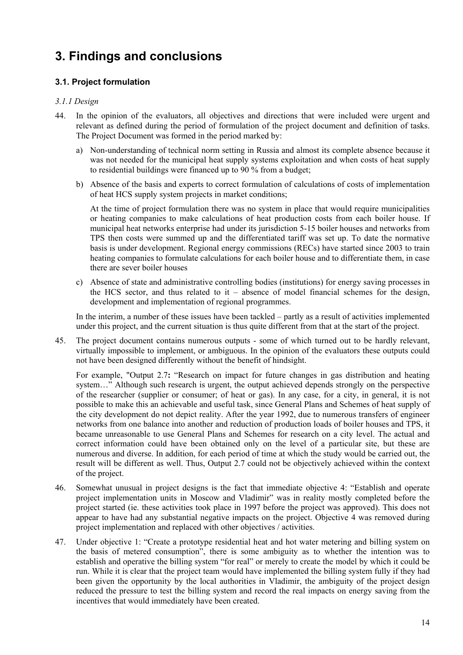## <span id="page-21-0"></span>**3. Findings and conclusions**

#### <span id="page-21-1"></span>**3.1. Project formulation**

#### <span id="page-21-2"></span>*3.1.1 Design*

- 44. In the opinion of the evaluators, all objectives and directions that were included were urgent and relevant as defined during the period of formulation of the project document and definition of tasks. The Project Document was formed in the period marked by:
	- a) Non-understanding of technical norm setting in Russia and almost its complete absence because it was not needed for the municipal heat supply systems exploitation and when costs of heat supply to residential buildings were financed up to 90 % from a budget;
	- b) Absence of the basis and experts to correct formulation of calculations of costs of implementation of heat HCS supply system projects in market conditions;

At the time of project formulation there was no system in place that would require municipalities or heating companies to make calculations of heat production costs from each boiler house. If municipal heat networks enterprise had under its jurisdiction 5-15 boiler houses and networks from TPS then costs were summed up and the differentiated tariff was set up. To date the normative basis is under development. Regional energy commissions (RECs) have started since 2003 to train heating companies to formulate calculations for each boiler house and to differentiate them, in case there are sever boiler houses

c) Absence of state and administrative controlling bodies (institutions) for energy saving processes in the HCS sector, and thus related to it – absence of model financial schemes for the design, development and implementation of regional programmes.

In the interim, a number of these issues have been tackled – partly as a result of activities implemented under this project, and the current situation is thus quite different from that at the start of the project.

45. The project document contains numerous outputs - some of which turned out to be hardly relevant, virtually impossible to implement, or ambiguous. In the opinion of the evaluators these outputs could not have been designed differently without the benefit of hindsight.

For example, "Output 2.7**:** "Research on impact for future changes in gas distribution and heating system..." Although such research is urgent, the output achieved depends strongly on the perspective of the researcher (supplier or consumer; of heat or gas). In any case, for a city, in general, it is not possible to make this an achievable and useful task, since General Plans and Schemes of heat supply of the city development do not depict reality. After the year 1992, due to numerous transfers of engineer networks from one balance into another and reduction of production loads of boiler houses and TPS, it became unreasonable to use General Plans and Schemes for research on a city level. The actual and correct information could have been obtained only on the level of a particular site, but these are numerous and diverse. In addition, for each period of time at which the study would be carried out, the result will be different as well. Thus, Output 2.7 could not be objectively achieved within the context of the project.

- <span id="page-21-3"></span>46. Somewhat unusual in project designs is the fact that immediate objective 4: "Establish and operate project implementation units in Moscow and Vladimir" was in reality mostly completed before the project started (ie. these activities took place in 1997 before the project was approved). This does not appear to have had any substantial negative impacts on the project. Objective 4 was removed during project implementation and replaced with other objectives / activities.
- 47. Under objective 1: "Create a prototype residential heat and hot water metering and billing system on the basis of metered consumption", there is some ambiguity as to whether the intention was to establish and operative the billing system "for real" or merely to create the model by which it could be run. While it is clear that the project team would have implemented the billing system fully if they had been given the opportunity by the local authorities in Vladimir, the ambiguity of the project design reduced the pressure to test the billing system and record the real impacts on energy saving from the incentives that would immediately have been created.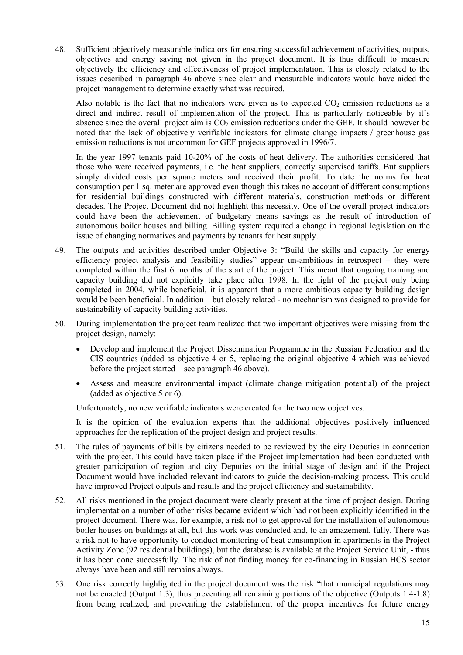<span id="page-22-1"></span>48. Sufficient objectively measurable indicators for ensuring successful achievement of activities, outputs, objectives and energy saving not given in the project document. It is thus difficult to measure objectively the efficiency and effectiveness of project implementation. This is closely related to the issues described in paragraph [46 above](#page-21-3) since clear and measurable indicators would have aided the project management to determine exactly what was required.

Also notable is the fact that no indicators were given as to expected  $CO<sub>2</sub>$  emission reductions as a direct and indirect result of implementation of the project. This is particularly noticeable by it's absence since the overall project aim is  $CO<sub>2</sub>$  emission reductions under the GEF. It should however be noted that the lack of objectively verifiable indicators for climate change impacts / greenhouse gas emission reductions is not uncommon for GEF projects approved in 1996/7.

In the year 1997 tenants paid 10-20% of the costs of heat delivery. The authorities considered that those who were received payments, i.e. the heat suppliers, correctly supervised tariffs. But suppliers simply divided costs per square meters and received their profit. To date the norms for heat consumption per 1 sq. meter are approved even though this takes no account of different consumptions for residential buildings constructed with different materials, construction methods or different decades. The Project Document did not highlight this necessity. One of the overall project indicators could have been the achievement of budgetary means savings as the result of introduction of autonomous boiler houses and billing. Billing system required a change in regional legislation on the issue of changing normatives and payments by tenants for heat supply.

- 49. The outputs and activities described under Objective 3: "Build the skills and capacity for energy efficiency project analysis and feasibility studies" appear un-ambitious in retrospect – they were completed within the first 6 months of the start of the project. This meant that ongoing training and capacity building did not explicitly take place after 1998. In the light of the project only being completed in 2004, while beneficial, it is apparent that a more ambitious capacity building design would be been beneficial. In addition – but closely related - no mechanism was designed to provide for sustainability of capacity building activities.
- 50. During implementation the project team realized that two important objectives were missing from the project design, namely:
	- Develop and implement the Project Dissemination Programme in the Russian Federation and the CIS countries (added as objective 4 or 5, replacing the original objective 4 which was achieved before the project started – see paragraph [46 above\)](#page-21-3).
	- Assess and measure environmental impact (climate change mitigation potential) of the project (added as objective 5 or 6).

Unfortunately, no new verifiable indicators were created for the two new objectives.

It is the opinion of the evaluation experts that the additional objectives positively influenced approaches for the replication of the project design and project results.

- 51. The rules of payments of bills by citizens needed to be reviewed by the city Deputies in connection with the project. This could have taken place if the Project implementation had been conducted with greater participation of region and city Deputies on the initial stage of design and if the Project Document would have included relevant indicators to guide the decision-making process. This could have improved Project outputs and results and the project efficiency and sustainability.
- 52. All risks mentioned in the project document were clearly present at the time of project design. During implementation a number of other risks became evident which had not been explicitly identified in the project document. There was, for example, a risk not to get approval for the installation of autonomous boiler houses on buildings at all, but this work was conducted and, to an amazement, fully. There was a risk not to have opportunity to conduct monitoring of heat consumption in apartments in the Project Activity Zone (92 residential buildings), but the database is available at the Project Service Unit, - thus it has been done successfully. The risk of not finding money for co-financing in Russian HCS sector always have been and still remains always.
- <span id="page-22-0"></span>53. One risk correctly highlighted in the project document was the risk "that municipal regulations may not be enacted (Output 1.3), thus preventing all remaining portions of the objective (Outputs 1.4-1.8) from being realized, and preventing the establishment of the proper incentives for future energy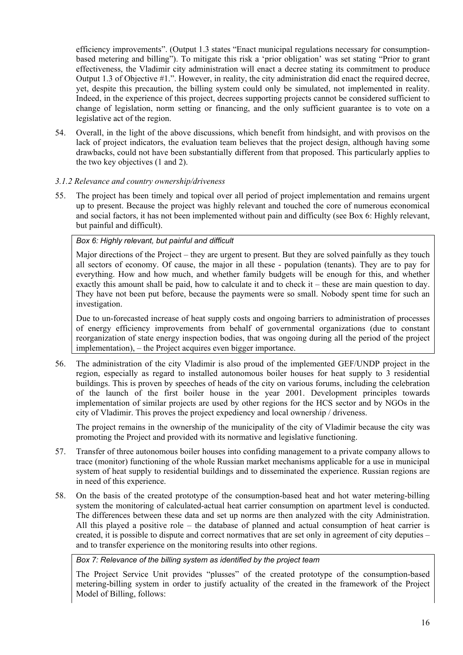efficiency improvements". (Output 1.3 states "Enact municipal regulations necessary for consumptionbased metering and billing"). To mitigate this risk a 'prior obligation' was set stating "Prior to grant effectiveness, the Vladimir city administration will enact a decree stating its commitment to produce Output 1.3 of Objective #1.". However, in reality, the city administration did enact the required decree, yet, despite this precaution, the billing system could only be simulated, not implemented in reality. Indeed, in the experience of this project, decrees supporting projects cannot be considered sufficient to change of legislation, norm setting or financing, and the only sufficient guarantee is to vote on a legislative act of the region.

54. Overall, in the light of the above discussions, which benefit from hindsight, and with provisos on the lack of project indicators, the evaluation team believes that the project design, although having some drawbacks, could not have been substantially different from that proposed. This particularly applies to the two key objectives (1 and 2).

#### <span id="page-23-0"></span>*3.1.2 Relevance and country ownership/driveness*

55. The project has been timely and topical over all period of project implementation and remains urgent up to present. Because the project was highly relevant and touched the core of numerous economical and social factors, it has not been implemented without pain and difficulty (see Box 6[: Highly relevant,](#page-23-1)  [but painful and difficult\)](#page-23-1).

#### <span id="page-23-1"></span>*Box 6: Highly relevant, but painful and difficult*

Major directions of the Project – they are urgent to present. But they are solved painfully as they touch all sectors of economy. Of cause, the major in all these - population (tenants). They are to pay for everything. How and how much, and whether family budgets will be enough for this, and whether exactly this amount shall be paid, how to calculate it and to check it – these are main question to day. They have not been put before, because the payments were so small. Nobody spent time for such an investigation.

Due to un-forecasted increase of heat supply costs and ongoing barriers to administration of processes of energy efficiency improvements from behalf of governmental organizations (due to constant reorganization of state energy inspection bodies, that was ongoing during all the period of the project implementation), – the Project acquires even bigger importance.

56. The administration of the city Vladimir is also proud of the implemented GEF/UNDP project in the region, especially as regard to installed autonomous boiler houses for heat supply to 3 residential buildings. This is proven by speeches of heads of the city on various forums, including the celebration of the launch of the first boiler house in the year 2001. Development principles towards implementation of similar projects are used by other regions for the HCS sector and by NGOs in the city of Vladimir. This proves the project expediency and local ownership / driveness.

The project remains in the ownership of the municipality of the city of Vladimir because the city was promoting the Project and provided with its normative and legislative functioning.

- 57. Transfer of three autonomous boiler houses into confiding management to a private company allows to trace (monitor) functioning of the whole Russian market mechanisms applicable for a use in municipal system of heat supply to residential buildings and to disseminated the experience. Russian regions are in need of this experience.
- 58. On the basis of the created prototype of the consumption-based heat and hot water metering-billing system the monitoring of calculated-actual heat carrier consumption on apartment level is conducted. The differences between these data and set up norms are then analyzed with the city Administration. All this played a positive role – the database of planned and actual consumption of heat carrier is created, it is possible to dispute and correct normatives that are set only in agreement of city deputies – and to transfer experience on the monitoring results into other regions.

#### <span id="page-23-2"></span>*Box 7: Relevance of the billing system as identified by the project team*

The Project Service Unit provides "plusses" of the created prototype of the consumption-based metering-billing system in order to justify actuality of the created in the framework of the Project Model of Billing, follows: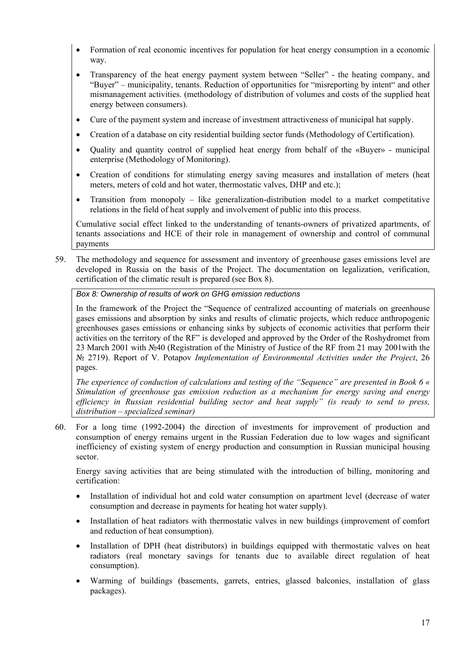- Formation of real economic incentives for population for heat energy consumption in a economic way.
- Transparency of the heat energy payment system between "Seller" the heating company, and "Buyer" – municipality, tenants. Reduction of opportunities for "misreporting by intent" and other mismanagement activities. (methodology of distribution of volumes and costs of the supplied heat energy between consumers).
- Cure of the payment system and increase of investment attractiveness of municipal hat supply.
- Creation of a database on city residential building sector funds (Methodology of Certification).
- Quality and quantity control of supplied heat energy from behalf of the «Buyer» municipal enterprise (Methodology of Monitoring).
- Creation of conditions for stimulating energy saving measures and installation of meters (heat meters, meters of cold and hot water, thermostatic valves, DHP and etc.);
- Transition from monopoly like generalization-distribution model to a market competitative relations in the field of heat supply and involvement of public into this process.

Cumulative social effect linked to the understanding of tenants-owners of privatized apartments, of tenants associations and HCE of their role in management of ownership and control of communal payments

59. The methodology and sequence for assessment and inventory of greenhouse gases emissions level are developed in Russia on the basis of the Project. The documentation on legalization, verification, certification of the climatic result is prepared (see [Box](#page-24-0) 8).

#### <span id="page-24-0"></span>*Box 8: Ownership of results of work on GHG emission reductions*

In the framework of the Project the "Sequence of centralized accounting of materials on greenhouse gases emissions and absorption by sinks and results of climatic projects, which reduce anthropogenic greenhouses gases emissions or enhancing sinks by subjects of economic activities that perform their activities on the territory of the RF" is developed and approved by the Order of the Roshydromet from 23 March 2001 with №40 (Registration of the Ministry of Justice of the RF from 21 may 2001with the № 2719). Report of V. Potapov *Implementation of Environmental Activities under the Project*, 26 pages.

*The experience of conduction of calculations and testing of the "Sequence" are presented in Book 6 « Stimulation of greenhouse gas emission reduction as a mechanism for energy saving and energy efficiency in Russian residential building sector and heat supply" (is ready to send to press, distribution – specialized seminar)*

60. For a long time (1992-2004) the direction of investments for improvement of production and consumption of energy remains urgent in the Russian Federation due to low wages and significant inefficiency of existing system of energy production and consumption in Russian municipal housing sector.

Energy saving activities that are being stimulated with the introduction of billing, monitoring and certification:

- Installation of individual hot and cold water consumption on apartment level (decrease of water consumption and decrease in payments for heating hot water supply).
- Installation of heat radiators with thermostatic valves in new buildings (improvement of comfort and reduction of heat consumption).
- Installation of DPH (heat distributors) in buildings equipped with thermostatic valves on heat radiators (real monetary savings for tenants due to available direct regulation of heat consumption).
- Warming of buildings (basements, garrets, entries, glassed balconies, installation of glass packages).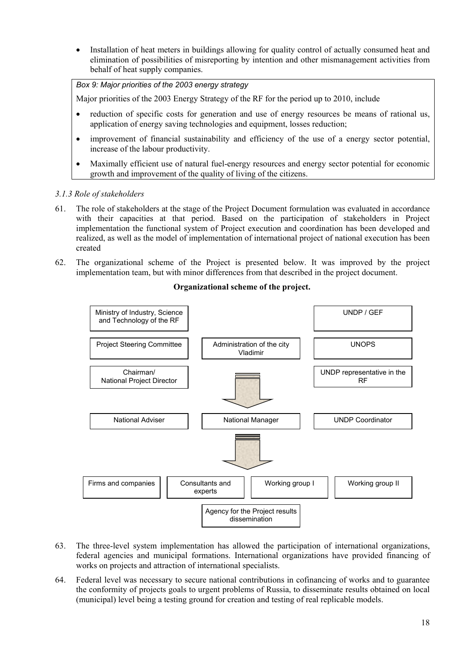• Installation of heat meters in buildings allowing for quality control of actually consumed heat and elimination of possibilities of misreporting by intention and other mismanagement activities from behalf of heat supply companies.

<span id="page-25-1"></span>*Box 9: Major priorities of the 2003 energy strategy*

Major priorities of the 2003 Energy Strategy of the RF for the period up to 2010, include

- reduction of specific costs for generation and use of energy resources be means of rational us, application of energy saving technologies and equipment, losses reduction;
- improvement of financial sustainability and efficiency of the use of a energy sector potential, increase of the labour productivity.
- Maximally efficient use of natural fuel-energy resources and energy sector potential for economic growth and improvement of the quality of living of the citizens.

#### <span id="page-25-0"></span>*3.1.3 Role of stakeholders*

- 61. The role of stakeholders at the stage of the Project Document formulation was evaluated in accordance with their capacities at that period. Based on the participation of stakeholders in Project implementation the functional system of Project execution and coordination has been developed and realized, as well as the model of implementation of international project of national execution has been created
- 62. The organizational scheme of the Project is presented below. It was improved by the project implementation team, but with minor differences from that described in the project document.



#### **Organizational scheme of the project.**

- 63. The three-level system implementation has allowed the participation of international organizations, federal agencies and municipal formations. International organizations have provided financing of works on projects and attraction of international specialists.
- 64. Federal level was necessary to secure national contributions in cofinancing of works and to guarantee the conformity of projects goals to urgent problems of Russia, to disseminate results obtained on local (municipal) level being a testing ground for creation and testing of real replicable models.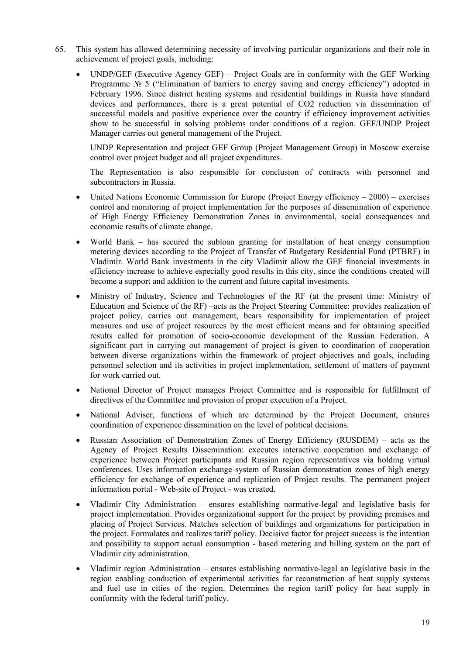- 65. This system has allowed determining necessity of involving particular organizations and their role in achievement of project goals, including:
	- UNDP/GEF (Executive Agency GEF) Project Goals are in conformity with the GEF Working Programme Nº 5 ("Elimination of barriers to energy saving and energy efficiency") adopted in February 1996. Since district heating systems and residential buildings in Russia have standard devices and performances, there is a great potential of CO2 reduction via dissemination of successful models and positive experience over the country if efficiency improvement activities show to be successful in solving problems under conditions of a region. GEF/UNDP Project Manager carries out general management of the Project.

UNDP Representation and project GEF Group (Project Management Group) in Moscow exercise control over project budget and all project expenditures.

The Representation is also responsible for conclusion of contracts with personnel and subcontractors in Russia.

- United Nations Economic Commission for Europe (Project Energy efficiency  $-2000$ ) exercises control and monitoring of project implementation for the purposes of dissemination of experience of High Energy Efficiency Demonstration Zones in environmental, social consequences and economic results of climate change.
- World Bank has secured the subloan granting for installation of heat energy consumption metering devices according to the Project of Transfer of Budgetary Residential Fund (PTBRF) in Vladimir. World Bank investments in the city Vladimir allow the GEF financial investments in efficiency increase to achieve especially good results in this city, since the conditions created will become a support and addition to the current and future capital investments.
- Ministry of Industry, Science and Technologies of the RF (at the present time: Ministry of Education and Science of the RF) –acts as the Project Steering Committee: provides realization of project policy, carries out management, bears responsibility for implementation of project measures and use of project resources by the most efficient means and for obtaining specified results called for promotion of socio-economic development of the Russian Federation. A significant part in carrying out management of project is given to coordination of cooperation between diverse organizations within the framework of project objectives and goals, including personnel selection and its activities in project implementation, settlement of matters of payment for work carried out.
- National Director of Project manages Project Committee and is responsible for fulfillment of directives of the Committee and provision of proper execution of a Project.
- National Adviser, functions of which are determined by the Project Document, ensures coordination of experience dissemination on the level of political decisions.
- Russian Association of Demonstration Zones of Energy Efficiency (RUSDEM) acts as the Agency of Project Results Dissemination: executes interactive cooperation and exchange of experience between Project participants and Russian region representatives via holding virtual conferences. Uses information exchange system of Russian demonstration zones of high energy efficiency for exchange of experience and replication of Project results. The permanent project information portal - Web-site of Project - was created.
- Vladimir City Administration ensures establishing normative-legal and legislative basis for project implementation. Provides organizational support for the project by providing premises and placing of Project Services. Matches selection of buildings and organizations for participation in the project. Formulates and realizes tariff policy. Decisive factor for project success is the intention and possibility to support actual consumption - based metering and billing system on the part of Vladimir city administration.
- Vladimir region Administration ensures establishing normative-legal an legislative basis in the region enabling conduction of experimental activities for reconstruction of heat supply systems and fuel use in cities of the region. Determines the region tariff policy for heat supply in conformity with the federal tariff policy.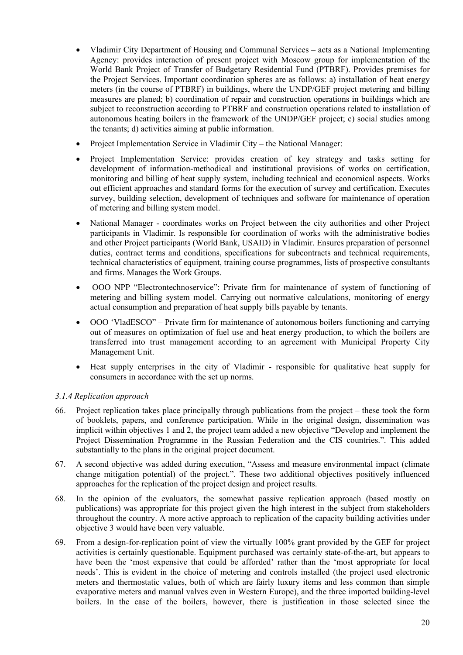- Vladimir City Department of Housing and Communal Services acts as a National Implementing Agency: provides interaction of present project with Moscow group for implementation of the World Bank Project of Transfer of Budgetary Residential Fund (PTBRF). Provides premises for the Project Services. Important coordination spheres are as follows: a) installation of heat energy meters (in the course of PTBRF) in buildings, where the UNDP/GEF project metering and billing measures are planed; b) coordination of repair and construction operations in buildings which are subject to reconstruction according to PTBRF and construction operations related to installation of autonomous heating boilers in the framework of the UNDP/GEF project; c) social studies among the tenants; d) activities aiming at public information.
- Project Implementation Service in Vladimir City the National Manager:
- Project Implementation Service: provides creation of key strategy and tasks setting for development of information-methodical and institutional provisions of works on certification, monitoring and billing of heat supply system, including technical and economical aspects. Works out efficient approaches and standard forms for the execution of survey and certification. Executes survey, building selection, development of techniques and software for maintenance of operation of metering and billing system model.
- National Manager coordinates works on Project between the city authorities and other Project participants in Vladimir. Is responsible for coordination of works with the administrative bodies and other Project participants (World Bank, USAID) in Vladimir. Ensures preparation of personnel duties, contract terms and conditions, specifications for subcontracts and technical requirements, technical characteristics of equipment, training course programmes, lists of prospective consultants and firms. Manages the Work Groups.
- OOO NPP "Electrontechnoservice": Private firm for maintenance of system of functioning of metering and billing system model. Carrying out normative calculations, monitoring of energy actual consumption and preparation of heat supply bills payable by tenants.
- OOO 'VladESCO" Private firm for maintenance of autonomous boilers functioning and carrying out of measures on optimization of fuel use and heat energy production, to which the boilers are transferred into trust management according to an agreement with Municipal Property City Management Unit.
- Heat supply enterprises in the city of Vladimir responsible for qualitative heat supply for consumers in accordance with the set up norms.

#### <span id="page-27-0"></span>*3.1.4 Replication approach*

- 66. Project replication takes place principally through publications from the project these took the form of booklets, papers, and conference participation. While in the original design, dissemination was implicit within objectives 1 and 2, the project team added a new objective "Develop and implement the Project Dissemination Programme in the Russian Federation and the CIS countries.". This added substantially to the plans in the original project document.
- 67. A second objective was added during execution, "Assess and measure environmental impact (climate change mitigation potential) of the project.". These two additional objectives positively influenced approaches for the replication of the project design and project results.
- 68. In the opinion of the evaluators, the somewhat passive replication approach (based mostly on publications) was appropriate for this project given the high interest in the subject from stakeholders throughout the country. A more active approach to replication of the capacity building activities under objective 3 would have been very valuable.
- 69. From a design-for-replication point of view the virtually 100% grant provided by the GEF for project activities is certainly questionable. Equipment purchased was certainly state-of-the-art, but appears to have been the 'most expensive that could be afforded' rather than the 'most appropriate for local needs'. This is evident in the choice of metering and controls installed (the project used electronic meters and thermostatic values, both of which are fairly luxury items and less common than simple evaporative meters and manual valves even in Western Europe), and the three imported building-level boilers. In the case of the boilers, however, there is justification in those selected since the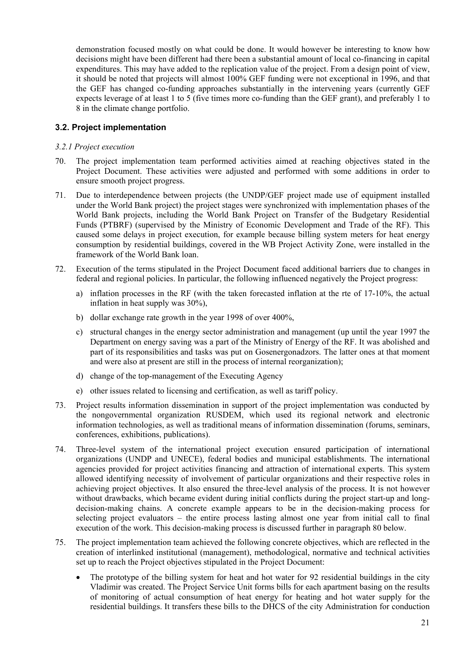demonstration focused mostly on what could be done. It would however be interesting to know how decisions might have been different had there been a substantial amount of local co-financing in capital expenditures. This may have added to the replication value of the project. From a design point of view, it should be noted that projects will almost 100% GEF funding were not exceptional in 1996, and that the GEF has changed co-funding approaches substantially in the intervening years (currently GEF expects leverage of at least 1 to 5 (five times more co-funding than the GEF grant), and preferably 1 to 8 in the climate change portfolio.

#### <span id="page-28-0"></span>**3.2. Project implementation**

#### <span id="page-28-1"></span>*3.2.1 Project execution*

- 70. The project implementation team performed activities aimed at reaching objectives stated in the Project Document. These activities were adjusted and performed with some additions in order to ensure smooth project progress.
- 71. Due to interdependence between projects (the UNDP/GEF project made use of equipment installed under the World Bank project) the project stages were synchronized with implementation phases of the World Bank projects, including the World Bank Project on Transfer of the Budgetary Residential Funds (PTBRF) (supervised by the Ministry of Economic Development and Trade of the RF). This caused some delays in project execution, for example because billing system meters for heat energy consumption by residential buildings, covered in the WB Project Activity Zone, were installed in the framework of the World Bank loan.
- 72. Execution of the terms stipulated in the Project Document faced additional barriers due to changes in federal and regional policies. In particular, the following influenced negatively the Project progress:
	- a) inflation processes in the RF (with the taken forecasted inflation at the rte of 17-10%, the actual inflation in heat supply was 30%),
	- b) dollar exchange rate growth in the year 1998 of over 400%,
	- c) structural changes in the energy sector administration and management (up until the year 1997 the Department on energy saving was a part of the Ministry of Energy of the RF. It was abolished and part of its responsibilities and tasks was put on Gosenergonadzors. The latter ones at that moment and were also at present are still in the process of internal reorganization);
	- d) change of the top-management of the Executing Agency
	- e) other issues related to licensing and certification, as well as tariff policy.
- 73. Project results information dissemination in support of the project implementation was conducted by the nongovernmental organization RUSDEM, which used its regional network and electronic information technologies, as well as traditional means of information dissemination (forums, seminars, conferences, exhibitions, publications).
- 74. Three-level system of the international project execution ensured participation of international organizations (UNDP and UNECE), federal bodies and municipal establishments. The international agencies provided for project activities financing and attraction of international experts. This system allowed identifying necessity of involvement of particular organizations and their respective roles in achieving project objectives. It also ensured the three-level analysis of the process. It is not however without drawbacks, which became evident during initial conflicts during the project start-up and longdecision-making chains. A concrete example appears to be in the decision-making process for selecting project evaluators – the entire process lasting almost one year from initial call to final execution of the work. This decision-making process is discussed further in paragraph [80 below.](#page-30-0)
- 75. The project implementation team achieved the following concrete objectives, which are reflected in the creation of interlinked institutional (management), methodological, normative and technical activities set up to reach the Project objectives stipulated in the Project Document:
	- The prototype of the billing system for heat and hot water for 92 residential buildings in the city Vladimir was created. The Project Service Unit forms bills for each apartment basing on the results of monitoring of actual consumption of heat energy for heating and hot water supply for the residential buildings. It transfers these bills to the DHCS of the city Administration for conduction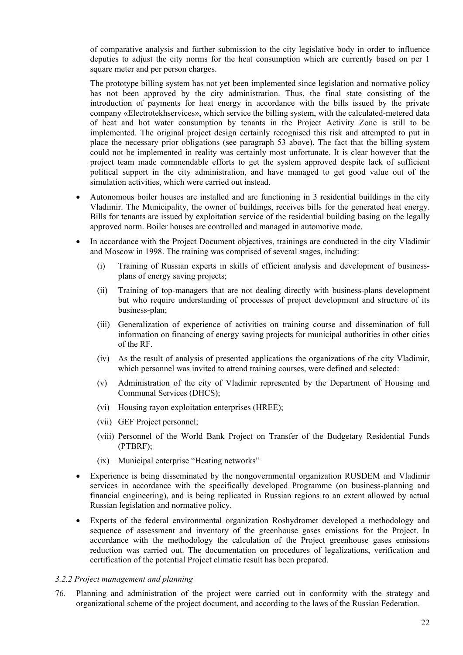of comparative analysis and further submission to the city legislative body in order to influence deputies to adjust the city norms for the heat consumption which are currently based on per 1 square meter and per person charges.

The prototype billing system has not yet been implemented since legislation and normative policy has not been approved by the city administration. Thus, the final state consisting of the introduction of payments for heat energy in accordance with the bills issued by the private company «Electrotekhservices», which service the billing system, with the calculated-metered data of heat and hot water consumption by tenants in the Project Activity Zone is still to be implemented. The original project design certainly recognised this risk and attempted to put in place the necessary prior obligations (see paragraph [53 above\)](#page-22-0). The fact that the billing system could not be implemented in reality was certainly most unfortunate. It is clear however that the project team made commendable efforts to get the system approved despite lack of sufficient political support in the city administration, and have managed to get good value out of the simulation activities, which were carried out instead.

- Autonomous boiler houses are installed and are functioning in 3 residential buildings in the city Vladimir. The Municipality, the owner of buildings, receives bills for the generated heat energy. Bills for tenants are issued by exploitation service of the residential building basing on the legally approved norm. Boiler houses are controlled and managed in automotive mode.
- In accordance with the Project Document objectives, trainings are conducted in the city Vladimir and Moscow in 1998. The training was comprised of several stages, including:
	- (i) Training of Russian experts in skills of efficient analysis and development of businessplans of energy saving projects;
	- (ii) Training of top-managers that are not dealing directly with business-plans development but who require understanding of processes of project development and structure of its business-plan;
	- (iii) Generalization of experience of activities on training course and dissemination of full information on financing of energy saving projects for municipal authorities in other cities of the RF.
	- (iv) As the result of analysis of presented applications the organizations of the city Vladimir, which personnel was invited to attend training courses, were defined and selected:
	- (v) Administration of the city of Vladimir represented by the Department of Housing and Communal Services (DHCS);
	- (vi) Housing rayon exploitation enterprises (HREE);
	- (vii) GEF Project personnel;
	- (viii) Personnel of the World Bank Project on Transfer of the Budgetary Residential Funds (PTBRF);
	- (ix) Municipal enterprise "Heating networks"
- Experience is being disseminated by the nongovernmental organization RUSDEM and Vladimir services in accordance with the specifically developed Programme (on business-planning and financial engineering), and is being replicated in Russian regions to an extent allowed by actual Russian legislation and normative policy.
- Experts of the federal environmental organization Roshydromet developed a methodology and sequence of assessment and inventory of the greenhouse gases emissions for the Project. In accordance with the methodology the calculation of the Project greenhouse gases emissions reduction was carried out. The documentation on procedures of legalizations, verification and certification of the potential Project climatic result has been prepared.

#### <span id="page-29-0"></span>*3.2.2 Project management and planning*

76. Planning and administration of the project were carried out in conformity with the strategy and organizational scheme of the project document, and according to the laws of the Russian Federation.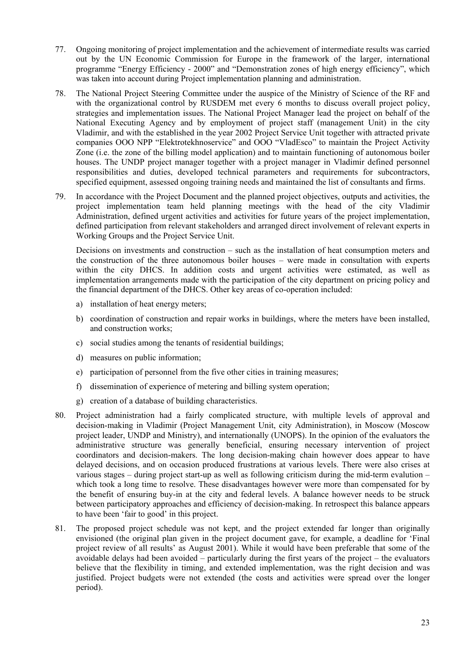- 77. Ongoing monitoring of project implementation and the achievement of intermediate results was carried out by the UN Economic Commission for Europe in the framework of the larger, international programme "Energy Efficiency - 2000" and "Demonstration zones of high energy efficiency", which was taken into account during Project implementation planning and administration.
- 78. The National Project Steering Committee under the auspice of the Ministry of Science of the RF and with the organizational control by RUSDEM met every 6 months to discuss overall project policy, strategies and implementation issues. The National Project Manager lead the project on behalf of the National Executing Agency and by employment of project staff (management Unit) in the city Vladimir, and with the established in the year 2002 Project Service Unit together with attracted private companies OOO NPP "Elektrotekhnoservice" and OOO "VladEsco" to maintain the Project Activity Zone (i.e. the zone of the billing model application) and to maintain functioning of autonomous boiler houses. The UNDP project manager together with a project manager in Vladimir defined personnel responsibilities and duties, developed technical parameters and requirements for subcontractors, specified equipment, assessed ongoing training needs and maintained the list of consultants and firms.
- 79. In accordance with the Project Document and the planned project objectives, outputs and activities, the project implementation team held planning meetings with the head of the city Vladimir Administration, defined urgent activities and activities for future years of the project implementation, defined participation from relevant stakeholders and arranged direct involvement of relevant experts in Working Groups and the Project Service Unit.

Decisions on investments and construction – such as the installation of heat consumption meters and the construction of the three autonomous boiler houses – were made in consultation with experts within the city DHCS. In addition costs and urgent activities were estimated, as well as implementation arrangements made with the participation of the city department on pricing policy and the financial department of the DHCS. Other key areas of co-operation included:

- a) installation of heat energy meters;
- b) coordination of construction and repair works in buildings, where the meters have been installed, and construction works;
- c) social studies among the tenants of residential buildings;
- d) measures on public information;
- e) participation of personnel from the five other cities in training measures;
- f) dissemination of experience of metering and billing system operation;
- g) creation of a database of building characteristics.
- <span id="page-30-0"></span>80. Project administration had a fairly complicated structure, with multiple levels of approval and decision-making in Vladimir (Project Management Unit, city Administration), in Moscow (Moscow project leader, UNDP and Ministry), and internationally (UNOPS). In the opinion of the evaluators the administrative structure was generally beneficial, ensuring necessary intervention of project coordinators and decision-makers. The long decision-making chain however does appear to have delayed decisions, and on occasion produced frustrations at various levels. There were also crises at various stages – during project start-up as well as following criticism during the mid-term evalution – which took a long time to resolve. These disadvantages however were more than compensated for by the benefit of ensuring buy-in at the city and federal levels. A balance however needs to be struck between participatory approaches and efficiency of decision-making. In retrospect this balance appears to have been 'fair to good' in this project.
- 81. The proposed project schedule was not kept, and the project extended far longer than originally envisioned (the original plan given in the project document gave, for example, a deadline for 'Final project review of all results' as August 2001). While it would have been preferable that some of the avoidable delays had been avoided – particularly during the first years of the project – the evaluators believe that the flexibility in timing, and extended implementation, was the right decision and was justified. Project budgets were not extended (the costs and activities were spread over the longer period).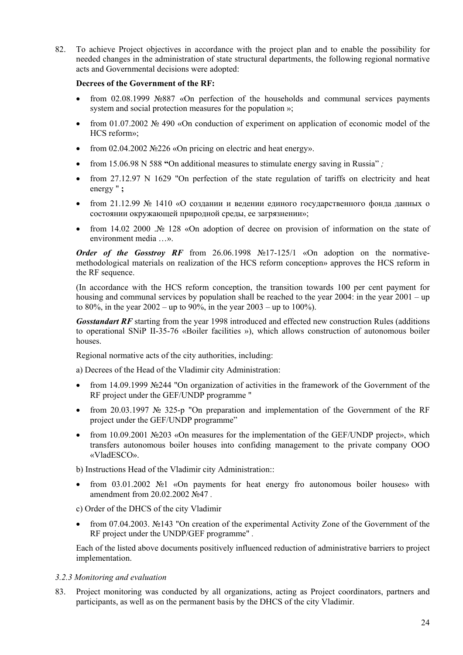82. To achieve Project objectives in accordance with the project plan and to enable the possibility for needed changes in the administration of state structural departments, the following regional normative acts and Governmental decisions were adopted:

#### **Decrees of the Government of the RF:**

- from 02.08.1999 №887 «On perfection of the households and communal services payments system and social protection measures for the population »;
- from 01.07.2002 № 490 «On conduction of experiment on application of economic model of the HCS reform»;
- from 02.04.2002 №226 «On pricing on electric and heat energy».
- from 15.06.98 N 588 **"**Оn additional measures to stimulate energy saving in Russia" *;*
- from 27.12.97 N 1629 "On perfection of the state regulation of tariffs on electricity and heat energy " **;**
- from 21.12.99 № 1410 «О создании и ведении единого государственного фонда данных о состоянии окружающей природной среды, ее загрязнении»;
- from 14.02 2000 .№ 128 «Оn adoption of decree on provision of information on the state of environment media …».

*Order of the Gosstroy RF* from 26.06.1998 №17-125/1 «Оn adoption on the normativemethodological materials on realization of the HCS reform conception» approves the HCS reform in the RF sequence.

(In accordance with the HCS reform conception, the transition towards 100 per cent payment for housing and communal services by population shall be reached to the year 2004: in the year 2001 – up to 80%, in the year  $2002 - up$  to 90%, in the year  $2003 - up$  to 100%).

*Gosstandart RF* starting from the year 1998 introduced and effected new construction Rules (additions to operational SNiP II-35-76 «Boiler facilities »), which allows construction of autonomous boiler houses.

Regional normative acts of the city authorities, including:

а) Decrees of the Head of the Vladimir city Administration:

- from 14.09.1999 №244 "Оn organization of activities in the framework of the Government of the RF project under the GEF/UNDP programme "
- from 20.03.1997 № 325-р "Оn preparation and implementation of the Government of the RF project under the GEF/UNDP programme"
- from 10.09.2001 №203 «Оn measures for the implementation of the GEF/UNDP project», which transfers autonomous boiler houses into confiding management to the private company ООО «VladESCO».

b) Instructions Head of the Vladimir city Administration::

- from 03.01.2002 №1 «On payments for heat energy fro autonomous boiler houses» with amendment from 20.02.2002 №47 *.*
- c) Order of the DHCS of the city Vladimir
- from 07.04.2003. №143 "Оn creation of the experimental Activity Zone of the Government of the RF project under the UNDP/GEF programme" *.*

Each of the listed above documents positively influenced reduction of administrative barriers to project implementation.

#### <span id="page-31-0"></span>*3.2.3 Monitoring and evaluation*

83. Project monitoring was conducted by all organizations, acting as Project coordinators, partners and participants, as well as on the permanent basis by the DHCS of the city Vladimir.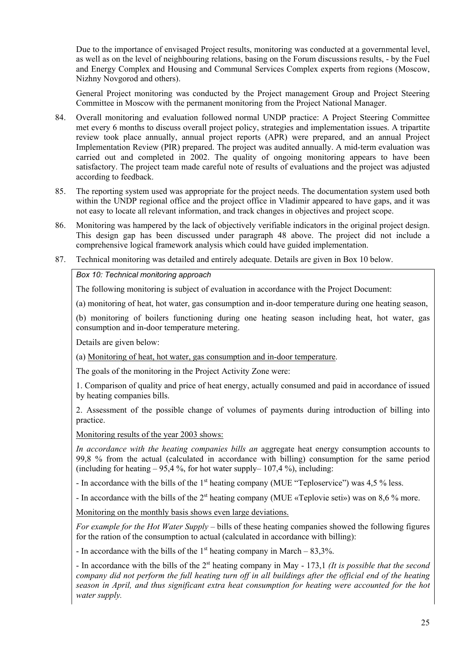Due to the importance of envisaged Project results, monitoring was conducted at a governmental level, as well as on the level of neighbouring relations, basing on the Forum discussions results, - by the Fuel and Energy Complex and Housing and Communal Services Complex experts from regions (Moscow, Nizhny Novgorod and others).

General Project monitoring was conducted by the Project management Group and Project Steering Committee in Moscow with the permanent monitoring from the Project National Manager.

- 84. Overall monitoring and evaluation followed normal UNDP practice: A Project Steering Committee met every 6 months to discuss overall project policy, strategies and implementation issues. A tripartite review took place annually, annual project reports (APR) were prepared, and an annual Project Implementation Review (PIR) prepared. The project was audited annually. A mid-term evaluation was carried out and completed in 2002. The quality of ongoing monitoring appears to have been satisfactory. The project team made careful note of results of evaluations and the project was adjusted according to feedback.
- 85. The reporting system used was appropriate for the project needs. The documentation system used both within the UNDP regional office and the project office in Vladimir appeared to have gaps, and it was not easy to locate all relevant information, and track changes in objectives and project scope.
- 86. Monitoring was hampered by the lack of objectively verifiable indicators in the original project design. This design gap has been discussed under paragraph [48 above.](#page-22-1) The project did not include a comprehensive logical framework analysis which could have guided implementation.
- <span id="page-32-0"></span>87. Technical monitoring was detailed and entirely adequate. Details are given in [Box 10](#page-32-0) [below.](#page-32-0)

#### *Box 10: Technical monitoring approach*

The following monitoring is subject of evaluation in accordance with the Project Document:

(а) monitoring of heat, hot water, gas consumption and in-door temperature during one heating season,

(b) monitoring of boilers functioning during one heating season including heat, hot water, gas consumption and in-door temperature metering.

Details are given below:

(а) Monitoring of heat, hot water, gas consumption and in-door temperature.

The goals of the monitoring in the Project Activity Zone were:

1. Comparison of quality and price of heat energy, actually consumed and paid in accordance of issued by heating companies bills.

2. Assessment of the possible change of volumes of payments during introduction of billing into practice.

Monitoring results of the year 2003 shows:

*In accordance with the heating companies bills an* aggregate heat energy consumption accounts to 99,8 % from the actual (calculated in accordance with billing) consumption for the same period (including for heating  $-95,4\%$ , for hot water supply– 107,4%), including:

- In accordance with the bills of the 1<sup>st</sup> heating company (MUE "Teploservice") was 4,5 % less.

- In accordance with the bills of the  $2<sup>st</sup>$  heating company (MUE «Teplovie seti») was on 8,6 % more.

Monitoring on the monthly basis shows even large deviations.

*For example for the Hot Water Supply –* bills of these heating companies showed the following figures for the ration of the consumption to actual (calculated in accordance with billing):

- In accordance with the bills of the  $1<sup>st</sup>$  heating company in March – 83,3%.

- In accordance with the bills of the 2st heating company in May - 173,1 *(It is possible that the second company did not perform the full heating turn off in all buildings after the official end of the heating season in April, and thus significant extra heat consumption for heating were accounted for the hot water supply.*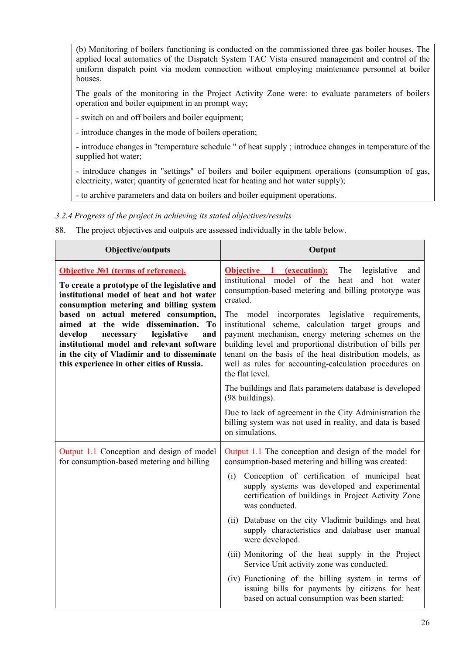(b) Monitoring of boilers functioning is conducted on the commissioned three gas boiler houses. The applied local automatics of the Dispatch System TAC Vista ensured management and control of the uniform dispatch point via modem connection without employing maintenance personnel at boiler houses.

The goals of the monitoring in the Project Activity Zone were: to evaluate parameters of boilers operation and boiler equipment in an prompt way;

- switch on and off boilers and boiler equipment;

- introduce changes in the mode of boilers operation;

- introduce changes in "temperature schedule " of heat supply ; introduce changes in temperature of the supplied hot water;

- introduce changes in "settings" of boilers and boiler equipment operations (consumption of gas, electricity, water; quantity of generated heat for heating and hot water supply);

- to archive parameters and data on boilers and boiler equipment operations.

<span id="page-33-0"></span>*3.2.4 Progress of the project in achieving its stated objectives/results* 

88. The project objectives and outputs are assessed individually in the table below.

| Objective/outputs                                                                                                                                                                                                           | Output                                                                                                                                                                                                                                                                                                        |
|-----------------------------------------------------------------------------------------------------------------------------------------------------------------------------------------------------------------------------|---------------------------------------------------------------------------------------------------------------------------------------------------------------------------------------------------------------------------------------------------------------------------------------------------------------|
| <b>Objective No.1 (terms of reference).</b><br>To create a prototype of the legislative and<br>institutional model of heat and hot water<br>consumption metering and billing system<br>based on actual metered consumption, | The<br>legislative<br><b>Objective 1 (execution):</b><br>and<br>institutional model of the<br>and hot water<br>heat<br>consumption-based metering and billing prototype was<br>created.<br>The<br>model incorporates legislative requirements,                                                                |
| aimed at the wide dissemination. To<br>develop<br>legislative<br>and<br>necessary<br>institutional model and relevant software<br>in the city of Vladimir and to disseminate<br>this experience in other cities of Russia.  | institutional scheme, calculation target groups and<br>payment mechanism, energy metering schemes on the<br>building level and proportional distribution of bills per<br>tenant on the basis of the heat distribution models, as<br>well as rules for accounting-calculation procedures on<br>the flat level. |
|                                                                                                                                                                                                                             | The buildings and flats parameters database is developed<br>(98 buildings).                                                                                                                                                                                                                                   |
|                                                                                                                                                                                                                             | Due to lack of agreement in the City Administration the<br>billing system was not used in reality, and data is based<br>on simulations.                                                                                                                                                                       |
| Output 1.1 Conception and design of model<br>for consumption-based metering and billing                                                                                                                                     | Output 1.1 The conception and design of the model for<br>consumption-based metering and billing was created:                                                                                                                                                                                                  |
|                                                                                                                                                                                                                             | Conception of certification of municipal heat<br>(i)<br>supply systems was developed and experimental<br>certification of buildings in Project Activity Zone<br>was conducted.                                                                                                                                |
|                                                                                                                                                                                                                             | Database on the city Vladimir buildings and heat<br>(11)<br>supply characteristics and database user manual<br>were developed.                                                                                                                                                                                |
|                                                                                                                                                                                                                             | (iii) Monitoring of the heat supply in the Project<br>Service Unit activity zone was conducted.                                                                                                                                                                                                               |
|                                                                                                                                                                                                                             | (iv) Functioning of the billing system in terms of<br>issuing bills for payments by citizens for heat<br>based on actual consumption was been started:                                                                                                                                                        |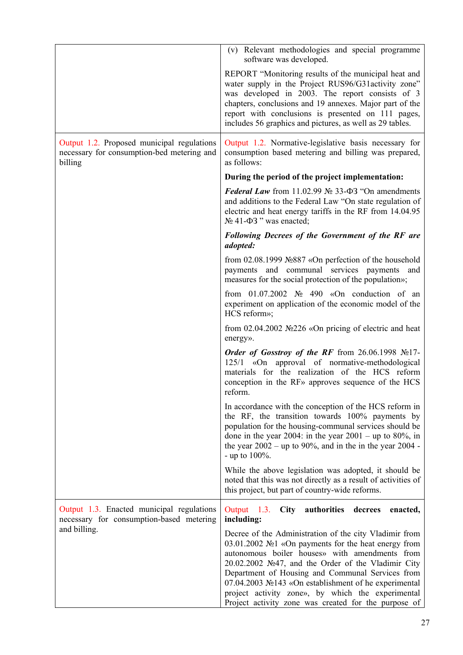|                                                                                                     | (v) Relevant methodologies and special programme<br>software was developed.                                                                                                                                                                                                                                                                                                                                                                    |
|-----------------------------------------------------------------------------------------------------|------------------------------------------------------------------------------------------------------------------------------------------------------------------------------------------------------------------------------------------------------------------------------------------------------------------------------------------------------------------------------------------------------------------------------------------------|
|                                                                                                     | REPORT "Monitoring results of the municipal heat and<br>water supply in the Project RUS96/G31activity zone"<br>was developed in 2003. The report consists of 3<br>chapters, conclusions and 19 annexes. Major part of the<br>report with conclusions is presented on 111 pages,<br>includes 56 graphics and pictures, as well as 29 tables.                                                                                                    |
| Output 1.2. Proposed municipal regulations<br>necessary for consumption-bed metering and<br>billing | Output 1.2. Normative-legislative basis necessary for<br>consumption based metering and billing was prepared,<br>as follows:                                                                                                                                                                                                                                                                                                                   |
|                                                                                                     | During the period of the project implementation:                                                                                                                                                                                                                                                                                                                                                                                               |
|                                                                                                     | Federal Law from 11.02.99 $\mathcal{N}_2$ 33- $\Phi$ 3 "On amendments<br>and additions to the Federal Law "On state regulation of<br>electric and heat energy tariffs in the RF from 14.04.95<br>$N_2$ 41- $\Phi$ 3 " was enacted;                                                                                                                                                                                                             |
|                                                                                                     | Following Decrees of the Government of the RF are<br>adopted:                                                                                                                                                                                                                                                                                                                                                                                  |
|                                                                                                     | from $02.08.1999$ No $887$ «On perfection of the household<br>payments and communal services payments and<br>measures for the social protection of the population»;                                                                                                                                                                                                                                                                            |
|                                                                                                     | from $01.07.2002$ No 490 «On conduction of an<br>experiment on application of the economic model of the<br>HCS reform»;                                                                                                                                                                                                                                                                                                                        |
|                                                                                                     | from $02.04.2002$ No $226 \times$ On pricing of electric and heat<br>energy».                                                                                                                                                                                                                                                                                                                                                                  |
|                                                                                                     | Order of Gosstroy of the RF from 26.06.1998 $N217$ -<br>125/1 «On approval of normative-methodological<br>materials for the realization of the HCS reform<br>conception in the RF <sub>»</sub> approves sequence of the HCS<br>reform.                                                                                                                                                                                                         |
|                                                                                                     | In accordance with the conception of the HCS reform in<br>the RF, the transition towards 100% payments by<br>population for the housing-communal services should be<br>done in the year 2004: in the year $2001 - \text{up to } 80\%$ , in<br>the year $2002 - up$ to 90%, and in the in the year 2004 -<br>- up to $100\%$ .                                                                                                                  |
|                                                                                                     | While the above legislation was adopted, it should be<br>noted that this was not directly as a result of activities of<br>this project, but part of country-wide reforms.                                                                                                                                                                                                                                                                      |
| Output 1.3. Enacted municipal regulations<br>necessary for consumption-based metering               | authorities<br>Output 1.3.<br><b>City</b><br>decrees<br>enacted,<br>including:                                                                                                                                                                                                                                                                                                                                                                 |
| and billing.                                                                                        | Decree of the Administration of the city Vladimir from<br>03.01.2002 №1 «On payments for the heat energy from<br>autonomous boiler houses» with amendments from<br>20.02.2002 №47, and the Order of the Vladimir City<br>Department of Housing and Communal Services from<br>07.04.2003 №143 «On establishment of he experimental<br>project activity zone», by which the experimental<br>Project activity zone was created for the purpose of |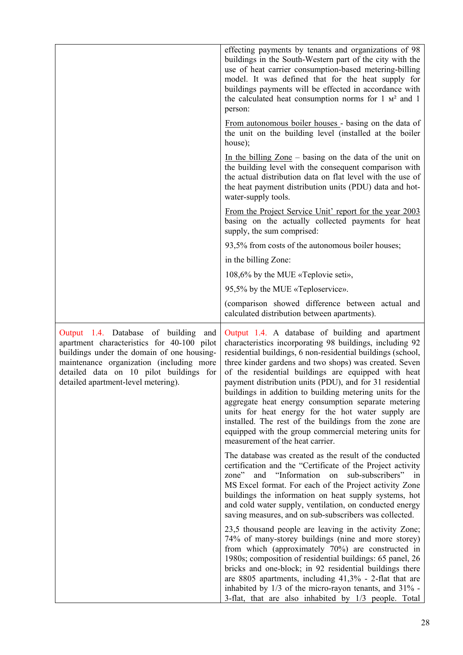|                                                                                                                                                                                                                                                                   | effecting payments by tenants and organizations of 98<br>buildings in the South-Western part of the city with the<br>use of heat carrier consumption-based metering-billing<br>model. It was defined that for the heat supply for<br>buildings payments will be effected in accordance with<br>the calculated heat consumption norms for $1 \text{ m}^2$ and $1$<br>person:                                                                                                                                                                                                                                                                                                              |
|-------------------------------------------------------------------------------------------------------------------------------------------------------------------------------------------------------------------------------------------------------------------|------------------------------------------------------------------------------------------------------------------------------------------------------------------------------------------------------------------------------------------------------------------------------------------------------------------------------------------------------------------------------------------------------------------------------------------------------------------------------------------------------------------------------------------------------------------------------------------------------------------------------------------------------------------------------------------|
|                                                                                                                                                                                                                                                                   | From autonomous boiler houses - basing on the data of<br>the unit on the building level (installed at the boiler<br>house);                                                                                                                                                                                                                                                                                                                                                                                                                                                                                                                                                              |
|                                                                                                                                                                                                                                                                   | In the billing $\text{Zone}$ – basing on the data of the unit on<br>the building level with the consequent comparison with<br>the actual distribution data on flat level with the use of<br>the heat payment distribution units (PDU) data and hot-<br>water-supply tools.                                                                                                                                                                                                                                                                                                                                                                                                               |
|                                                                                                                                                                                                                                                                   | <u>From the Project Service Unit' report for the year 2003</u><br>basing on the actually collected payments for heat<br>supply, the sum comprised:                                                                                                                                                                                                                                                                                                                                                                                                                                                                                                                                       |
|                                                                                                                                                                                                                                                                   | 93,5% from costs of the autonomous boiler houses;                                                                                                                                                                                                                                                                                                                                                                                                                                                                                                                                                                                                                                        |
|                                                                                                                                                                                                                                                                   | in the billing Zone:                                                                                                                                                                                                                                                                                                                                                                                                                                                                                                                                                                                                                                                                     |
|                                                                                                                                                                                                                                                                   | 108,6% by the MUE «Teplovie seti»,                                                                                                                                                                                                                                                                                                                                                                                                                                                                                                                                                                                                                                                       |
|                                                                                                                                                                                                                                                                   | 95,5% by the MUE «Teploservice».                                                                                                                                                                                                                                                                                                                                                                                                                                                                                                                                                                                                                                                         |
|                                                                                                                                                                                                                                                                   | (comparison showed difference between actual and<br>calculated distribution between apartments).                                                                                                                                                                                                                                                                                                                                                                                                                                                                                                                                                                                         |
| Output 1.4. Database of building<br>and<br>apartment characteristics for 40-100 pilot<br>buildings under the domain of one housing-<br>maintenance organization (including more<br>detailed data on 10 pilot buildings for<br>detailed apartment-level metering). | Output 1.4. A database of building and apartment<br>characteristics incorporating 98 buildings, including 92<br>residential buildings, 6 non-residential buildings (school,<br>three kinder gardens and two shops) was created. Seven<br>of the residential buildings are equipped with heat<br>payment distribution units (PDU), and for 31 residential<br>buildings in addition to building metering units for the<br>aggregate heat energy consumption separate metering<br>units for heat energy for the hot water supply are<br>installed. The rest of the buildings from the zone are<br>equipped with the group commercial metering units for<br>measurement of the heat carrier. |
|                                                                                                                                                                                                                                                                   | The database was created as the result of the conducted<br>certification and the "Certificate of the Project activity<br>and "Information on<br>sub-subscribers" in<br>zone"<br>MS Excel format. For each of the Project activity Zone<br>buildings the information on heat supply systems, hot<br>and cold water supply, ventilation, on conducted energy                                                                                                                                                                                                                                                                                                                               |
|                                                                                                                                                                                                                                                                   | saving measures, and on sub-subscribers was collected.                                                                                                                                                                                                                                                                                                                                                                                                                                                                                                                                                                                                                                   |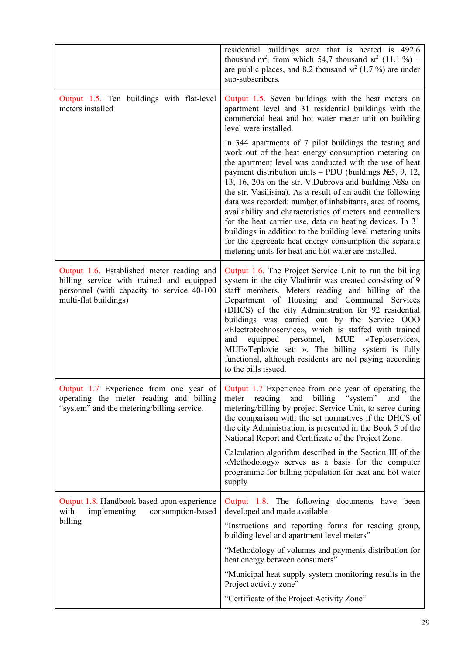|                                                                                                                                                               | residential buildings area that is heated is 492,6<br>thousand m <sup>2</sup> , from which 54,7 thousand $w^2$ (11,1%) –<br>are public places, and 8,2 thousand $M^2$ (1,7%) are under<br>sub-subscribers.                                                                                                                                                                                                                                                                                                                                                                                                                                                                                                                             |  |  |  |
|---------------------------------------------------------------------------------------------------------------------------------------------------------------|----------------------------------------------------------------------------------------------------------------------------------------------------------------------------------------------------------------------------------------------------------------------------------------------------------------------------------------------------------------------------------------------------------------------------------------------------------------------------------------------------------------------------------------------------------------------------------------------------------------------------------------------------------------------------------------------------------------------------------------|--|--|--|
| Output 1.5. Ten buildings with flat-level<br>meters installed                                                                                                 | Output 1.5. Seven buildings with the heat meters on<br>apartment level and 31 residential buildings with the<br>commercial heat and hot water meter unit on building<br>level were installed.                                                                                                                                                                                                                                                                                                                                                                                                                                                                                                                                          |  |  |  |
|                                                                                                                                                               | In 344 apartments of 7 pilot buildings the testing and<br>work out of the heat energy consumption metering on<br>the apartment level was conducted with the use of heat<br>payment distribution units – PDU (buildings $N_2$ 5, 9, 12,<br>13, 16, 20a on the str. V.Dubrova and building No 8a on<br>the str. Vasilisina). As a result of an audit the following<br>data was recorded: number of inhabitants, area of rooms,<br>availability and characteristics of meters and controllers<br>for the heat carrier use, data on heating devices. In 31<br>buildings in addition to the building level metering units<br>for the aggregate heat energy consumption the separate<br>metering units for heat and hot water are installed. |  |  |  |
| Output 1.6. Established meter reading and<br>billing service with trained and equipped<br>personnel (with capacity to service 40-100<br>multi-flat buildings) | Output 1.6. The Project Service Unit to run the billing<br>system in the city Vladimir was created consisting of 9<br>staff members. Meters reading and billing of the<br>Department of Housing and Communal Services<br>(DHCS) of the city Administration for 92 residential<br>buildings was carried out by the Service OOO<br>«Electrotechnoservice», which is staffed with trained<br>equipped personnel, MUE «Teploservice»,<br>and<br>MUE«Teplovie seti ». The billing system is fully<br>functional, although residents are not paying according<br>to the bills issued.                                                                                                                                                        |  |  |  |
| operating the meter reading and billing<br>"system" and the metering/billing service.                                                                         | Output 1.7 Experience from one year of Output 1.7 Experience from one year of operating the<br>meter reading and billing "system"<br>and<br>the<br>metering/billing by project Service Unit, to serve during<br>the comparison with the set normatives if the DHCS of<br>the city Administration, is presented in the Book 5 of the<br>National Report and Certificate of the Project Zone.                                                                                                                                                                                                                                                                                                                                            |  |  |  |
|                                                                                                                                                               | Calculation algorithm described in the Section III of the<br>«Methodology» serves as a basis for the computer<br>programme for billing population for heat and hot water<br>supply                                                                                                                                                                                                                                                                                                                                                                                                                                                                                                                                                     |  |  |  |
| Output 1.8. Handbook based upon experience<br>consumption-based<br>with<br>implementing                                                                       | Output 1.8. The following documents have been<br>developed and made available:                                                                                                                                                                                                                                                                                                                                                                                                                                                                                                                                                                                                                                                         |  |  |  |
| billing                                                                                                                                                       | "Instructions and reporting forms for reading group,<br>building level and apartment level meters"                                                                                                                                                                                                                                                                                                                                                                                                                                                                                                                                                                                                                                     |  |  |  |
|                                                                                                                                                               | "Methodology of volumes and payments distribution for<br>heat energy between consumers"                                                                                                                                                                                                                                                                                                                                                                                                                                                                                                                                                                                                                                                |  |  |  |
|                                                                                                                                                               | "Municipal heat supply system monitoring results in the<br>Project activity zone"                                                                                                                                                                                                                                                                                                                                                                                                                                                                                                                                                                                                                                                      |  |  |  |
|                                                                                                                                                               | "Certificate of the Project Activity Zone"                                                                                                                                                                                                                                                                                                                                                                                                                                                                                                                                                                                                                                                                                             |  |  |  |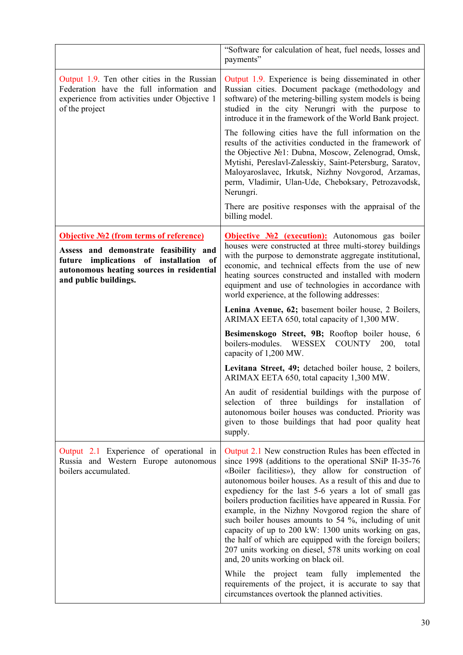|                                                                                                                                                                                                                | "Software for calculation of heat, fuel needs, losses and<br>payments"                                                                                                                                                                                                                                                                                                                                                                                                                                                                                                                                                                                                                                                                             |
|----------------------------------------------------------------------------------------------------------------------------------------------------------------------------------------------------------------|----------------------------------------------------------------------------------------------------------------------------------------------------------------------------------------------------------------------------------------------------------------------------------------------------------------------------------------------------------------------------------------------------------------------------------------------------------------------------------------------------------------------------------------------------------------------------------------------------------------------------------------------------------------------------------------------------------------------------------------------------|
| Output 1.9. Ten other cities in the Russian<br>Federation have the full information and<br>experience from activities under Objective 1<br>of the project                                                      | Output 1.9. Experience is being disseminated in other<br>Russian cities. Document package (methodology and<br>software) of the metering-billing system models is being<br>studied in the city Nerungri with the purpose to<br>introduce it in the framework of the World Bank project.                                                                                                                                                                                                                                                                                                                                                                                                                                                             |
|                                                                                                                                                                                                                | The following cities have the full information on the<br>results of the activities conducted in the framework of<br>the Objective No1: Dubna, Moscow, Zelenograd, Omsk,<br>Mytishi, Pereslavl-Zalesskiy, Saint-Petersburg, Saratov,<br>Maloyaroslavec, Irkutsk, Nizhny Novgorod, Arzamas,<br>perm, Vladimir, Ulan-Ude, Cheboksary, Petrozavodsk,<br>Nerungri.                                                                                                                                                                                                                                                                                                                                                                                      |
|                                                                                                                                                                                                                | There are positive responses with the appraisal of the<br>billing model.                                                                                                                                                                                                                                                                                                                                                                                                                                                                                                                                                                                                                                                                           |
| <u><b>Objective №2 (from terms of reference)</b></u><br>Assess and demonstrate feasibility and<br>future implications of installation of<br>autonomous heating sources in residential<br>and public buildings. | <b>Objective Nº2 (execution):</b> Autonomous gas boiler<br>houses were constructed at three multi-storey buildings<br>with the purpose to demonstrate aggregate institutional,<br>economic, and technical effects from the use of new<br>heating sources constructed and installed with modern<br>equipment and use of technologies in accordance with<br>world experience, at the following addresses:                                                                                                                                                                                                                                                                                                                                            |
|                                                                                                                                                                                                                | Lenina Avenue, 62; basement boiler house, 2 Boilers,<br>ARIMAX EETA 650, total capacity of 1,300 MW.                                                                                                                                                                                                                                                                                                                                                                                                                                                                                                                                                                                                                                               |
|                                                                                                                                                                                                                | Besimenskogo Street, 9B; Rooftop boiler house, 6<br>boilers-modules. WESSEX COUNTY 200,<br>total<br>capacity of 1,200 MW.                                                                                                                                                                                                                                                                                                                                                                                                                                                                                                                                                                                                                          |
|                                                                                                                                                                                                                | Levitana Street, 49; detached boiler house, 2 boilers,<br>ARIMAX EETA 650, total capacity 1,300 MW.                                                                                                                                                                                                                                                                                                                                                                                                                                                                                                                                                                                                                                                |
|                                                                                                                                                                                                                | An audit of residential buildings with the purpose of<br>selection of three buildings for installation of<br>autonomous boiler houses was conducted. Priority was<br>given to those buildings that had poor quality heat<br>supply.                                                                                                                                                                                                                                                                                                                                                                                                                                                                                                                |
| Output 2.1 Experience of operational in<br>Russia and Western Europe autonomous<br>boilers accumulated.                                                                                                        | Output 2.1 New construction Rules has been effected in<br>since 1998 (additions to the operational SNiP II-35-76<br>«Boiler facilities»), they allow for construction of<br>autonomous boiler houses. As a result of this and due to<br>expediency for the last 5-6 years a lot of small gas<br>boilers production facilities have appeared in Russia. For<br>example, in the Nizhny Novgorod region the share of<br>such boiler houses amounts to 54 %, including of unit<br>capacity of up to 200 kW: 1300 units working on gas,<br>the half of which are equipped with the foreign boilers;<br>207 units working on diesel, 578 units working on coal<br>and, 20 units working on black oil.<br>While the project team fully implemented<br>the |
|                                                                                                                                                                                                                | requirements of the project, it is accurate to say that<br>circumstances overtook the planned activities.                                                                                                                                                                                                                                                                                                                                                                                                                                                                                                                                                                                                                                          |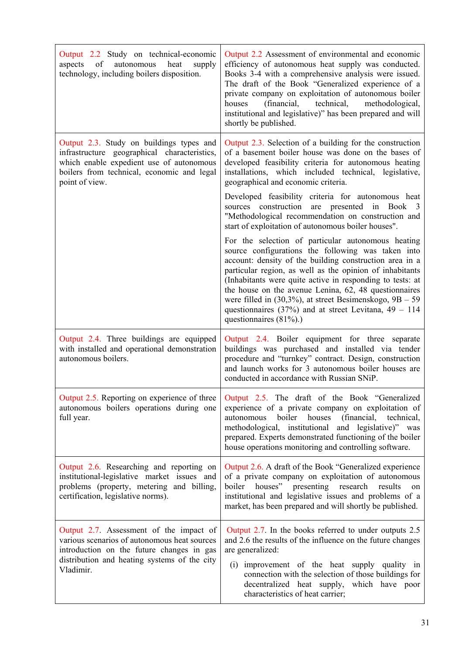| Output 2.2 Study on technical-economic<br>of<br>heat<br>autonomous<br>supply<br>aspects<br>technology, including boilers disposition.                                                                | Output 2.2 Assessment of environmental and economic<br>efficiency of autonomous heat supply was conducted.<br>Books 3-4 with a comprehensive analysis were issued.<br>The draft of the Book "Generalized experience of a<br>private company on exploitation of autonomous boiler<br>(financial, technical,<br>houses<br>methodological,<br>institutional and legislative)" has been prepared and will<br>shortly be published.                                                                              |
|------------------------------------------------------------------------------------------------------------------------------------------------------------------------------------------------------|-------------------------------------------------------------------------------------------------------------------------------------------------------------------------------------------------------------------------------------------------------------------------------------------------------------------------------------------------------------------------------------------------------------------------------------------------------------------------------------------------------------|
| Output 2.3. Study on buildings types and<br>infrastructure geographical characteristics,<br>which enable expedient use of autonomous<br>boilers from technical, economic and legal<br>point of view. | Output 2.3. Selection of a building for the construction<br>of a basement boiler house was done on the bases of<br>developed feasibility criteria for autonomous heating<br>installations, which included technical, legislative,<br>geographical and economic criteria.                                                                                                                                                                                                                                    |
|                                                                                                                                                                                                      | Developed feasibility criteria for autonomous heat<br>sources construction are presented in Book 3<br>"Methodological recommendation on construction and<br>start of exploitation of autonomous boiler houses".                                                                                                                                                                                                                                                                                             |
|                                                                                                                                                                                                      | For the selection of particular autonomous heating<br>source configurations the following was taken into<br>account: density of the building construction area in a<br>particular region, as well as the opinion of inhabitants<br>(Inhabitants were quite active in responding to tests: at<br>the house on the avenue Lenina, 62, 48 questionnaires<br>were filled in $(30,3\%)$ , at street Besimenskogo, $9B - 59$<br>questionnaires (37%) and at street Levitana, $49 - 114$<br>questionnaires (81%).) |
| Output 2.4. Three buildings are equipped<br>with installed and operational demonstration<br>autonomous boilers.                                                                                      | Output 2.4. Boiler equipment for three separate<br>buildings was purchased and installed via tender<br>procedure and "turnkey" contract. Design, construction<br>and launch works for 3 autonomous boiler houses are<br>conducted in accordance with Russian SNiP.                                                                                                                                                                                                                                          |
| Output 2.5. Reporting on experience of three<br>autonomous boilers operations during one<br>full year.                                                                                               | Output 2.5. The draft of the Book "Generalized<br>experience of a private company on exploitation of<br>boiler<br>houses<br>(financial, technical,<br>autonomous<br>methodological, institutional and legislative)" was<br>prepared. Experts demonstrated functioning of the boiler<br>house operations monitoring and controlling software.                                                                                                                                                                |
| Output 2.6. Researching and reporting on<br>institutional-legislative market issues and<br>problems (property, metering and billing,<br>certification, legislative norms).                           | Output 2.6. A draft of the Book "Generalized experience<br>of a private company on exploitation of autonomous<br>boiler houses" presenting research results<br>on<br>institutional and legislative issues and problems of a<br>market, has been prepared and will shortly be published.                                                                                                                                                                                                                     |
| Output 2.7. Assessment of the impact of<br>various scenarios of autonomous heat sources<br>introduction on the future changes in gas<br>distribution and heating systems of the city<br>Vladimir.    | Output 2.7. In the books referred to under outputs 2.5<br>and 2.6 the results of the influence on the future changes<br>are generalized:<br>(i) improvement of the heat supply quality in<br>connection with the selection of those buildings for<br>decentralized heat supply, which have poor<br>characteristics of heat carrier;                                                                                                                                                                         |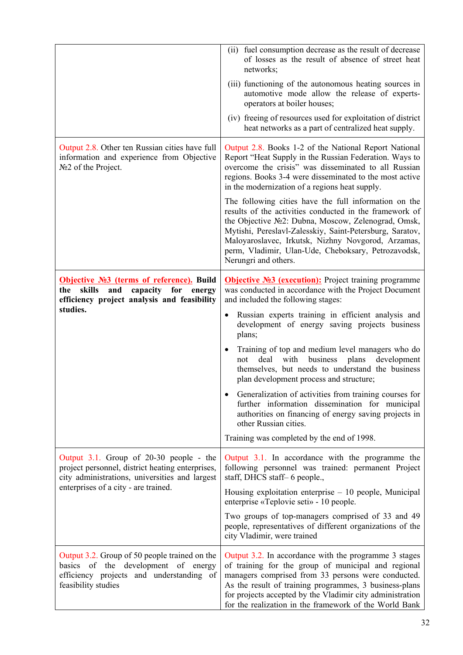|                                                                                                                                                         | (ii) fuel consumption decrease as the result of decrease<br>of losses as the result of absence of street heat<br>networks;                                                                                                                                                                                                                                               |  |  |
|---------------------------------------------------------------------------------------------------------------------------------------------------------|--------------------------------------------------------------------------------------------------------------------------------------------------------------------------------------------------------------------------------------------------------------------------------------------------------------------------------------------------------------------------|--|--|
|                                                                                                                                                         | (iii) functioning of the autonomous heating sources in<br>automotive mode allow the release of experts-<br>operators at boiler houses;                                                                                                                                                                                                                                   |  |  |
|                                                                                                                                                         | (iv) freeing of resources used for exploitation of district<br>heat networks as a part of centralized heat supply.                                                                                                                                                                                                                                                       |  |  |
| Output 2.8. Other ten Russian cities have full<br>information and experience from Objective<br>№2 of the Project.                                       | Output 2.8. Books 1-2 of the National Report National<br>Report "Heat Supply in the Russian Federation. Ways to<br>overcome the crisis" was disseminated to all Russian<br>regions. Books 3-4 were disseminated to the most active<br>in the modernization of a regions heat supply.                                                                                     |  |  |
|                                                                                                                                                         | The following cities have the full information on the<br>results of the activities conducted in the framework of<br>the Objective Nº2: Dubna, Moscow, Zelenograd, Omsk,<br>Mytishi, Pereslavl-Zalesskiy, Saint-Petersburg, Saratov,<br>Maloyaroslavec, Irkutsk, Nizhny Novgorod, Arzamas,<br>perm, Vladimir, Ulan-Ude, Cheboksary, Petrozavodsk,<br>Nerungri and others. |  |  |
| Objective Nº3 (terms of reference). Build<br>the skills<br>and<br>capacity<br>for<br>energy                                                             | <b>Objective Nº3 (execution):</b> Project training programme<br>was conducted in accordance with the Project Document<br>and included the following stages:                                                                                                                                                                                                              |  |  |
| efficiency project analysis and feasibility<br>studies.                                                                                                 | Russian experts training in efficient analysis and<br>development of energy saving projects business<br>plans;                                                                                                                                                                                                                                                           |  |  |
|                                                                                                                                                         | Training of top and medium level managers who do<br>business<br>with<br>plans<br>development<br>deal<br>not<br>themselves, but needs to understand the business<br>plan development process and structure;                                                                                                                                                               |  |  |
|                                                                                                                                                         | Generalization of activities from training courses for<br>further information dissemination for municipal<br>authorities on financing of energy saving projects in<br>other Russian cities.                                                                                                                                                                              |  |  |
|                                                                                                                                                         | Training was completed by the end of 1998.                                                                                                                                                                                                                                                                                                                               |  |  |
| Output 3.1. Group of 20-30 people - the<br>project personnel, district heating enterprises,<br>city administrations, universities and largest           | Output 3.1. In accordance with the programme the<br>following personnel was trained: permanent Project<br>staff, DHCS staff-6 people.,                                                                                                                                                                                                                                   |  |  |
| enterprises of a city - are trained.                                                                                                                    | Housing exploitation enterprise $-10$ people, Municipal<br>enterprise «Teplovie seti» - 10 people.                                                                                                                                                                                                                                                                       |  |  |
|                                                                                                                                                         | Two groups of top-managers comprised of 33 and 49<br>people, representatives of different organizations of the<br>city Vladimir, were trained                                                                                                                                                                                                                            |  |  |
| Output 3.2. Group of 50 people trained on the<br>basics of the development of energy<br>efficiency projects and understanding of<br>feasibility studies | Output 3.2. In accordance with the programme 3 stages<br>of training for the group of municipal and regional<br>managers comprised from 33 persons were conducted.<br>As the result of training programmes, 3 business-plans<br>for projects accepted by the Vladimir city administration<br>for the realization in the framework of the World Bank                      |  |  |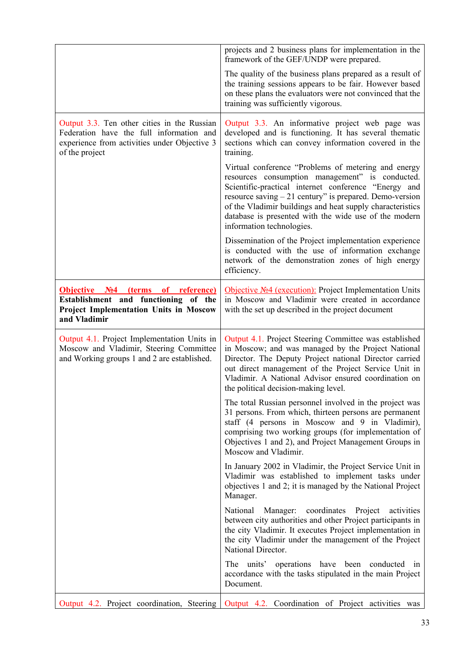|                                                                                                                                                           | projects and 2 business plans for implementation in the<br>framework of the GEF/UNDP were prepared.                                                                                                                                                                                                                                                                           |
|-----------------------------------------------------------------------------------------------------------------------------------------------------------|-------------------------------------------------------------------------------------------------------------------------------------------------------------------------------------------------------------------------------------------------------------------------------------------------------------------------------------------------------------------------------|
|                                                                                                                                                           | The quality of the business plans prepared as a result of<br>the training sessions appears to be fair. However based<br>on these plans the evaluators were not convinced that the<br>training was sufficiently vigorous.                                                                                                                                                      |
| Output 3.3. Ten other cities in the Russian<br>Federation have the full information and<br>experience from activities under Objective 3<br>of the project | Output 3.3. An informative project web page was<br>developed and is functioning. It has several thematic<br>sections which can convey information covered in the<br>training.                                                                                                                                                                                                 |
|                                                                                                                                                           | Virtual conference "Problems of metering and energy<br>resources consumption management" is conducted.<br>Scientific-practical internet conference "Energy and<br>resource saving $-21$ century" is prepared. Demo-version<br>of the Vladimir buildings and heat supply characteristics<br>database is presented with the wide use of the modern<br>information technologies. |
|                                                                                                                                                           | Dissemination of the Project implementation experience<br>is conducted with the use of information exchange<br>network of the demonstration zones of high energy<br>efficiency.                                                                                                                                                                                               |
| <b>Objective No4</b><br>(terms of reference)<br>Establishment and functioning of the<br><b>Project Implementation Units in Moscow</b><br>and Vladimir     | Objective Nº4 (execution): Project Implementation Units<br>in Moscow and Vladimir were created in accordance<br>with the set up described in the project document                                                                                                                                                                                                             |
| Output 4.1. Project Implementation Units in<br>Moscow and Vladimir, Steering Committee<br>and Working groups 1 and 2 are established.                     | Output 4.1. Project Steering Committee was established<br>in Moscow; and was managed by the Project National<br>Director. The Deputy Project national Director carried<br>out direct management of the Project Service Unit in<br>Vladimir. A National Advisor ensured coordination on<br>the political decision-making level.                                                |
|                                                                                                                                                           | The total Russian personnel involved in the project was<br>31 persons. From which, thirteen persons are permanent<br>staff (4 persons in Moscow and 9 in Vladimir),<br>comprising two working groups (for implementation of<br>Objectives 1 and 2), and Project Management Groups in<br>Moscow and Vladimir.                                                                  |
|                                                                                                                                                           | In January 2002 in Vladimir, the Project Service Unit in<br>Vladimir was established to implement tasks under<br>objectives 1 and 2; it is managed by the National Project<br>Manager.                                                                                                                                                                                        |
|                                                                                                                                                           | National Manager: coordinates Project<br>activities<br>between city authorities and other Project participants in<br>the city Vladimir. It executes Project implementation in<br>the city Vladimir under the management of the Project<br>National Director.                                                                                                                  |
|                                                                                                                                                           | The units' operations have been conducted in<br>accordance with the tasks stipulated in the main Project<br>Document.                                                                                                                                                                                                                                                         |
|                                                                                                                                                           | Output 4.2. Project coordination, Steering   Output 4.2. Coordination of Project activities was                                                                                                                                                                                                                                                                               |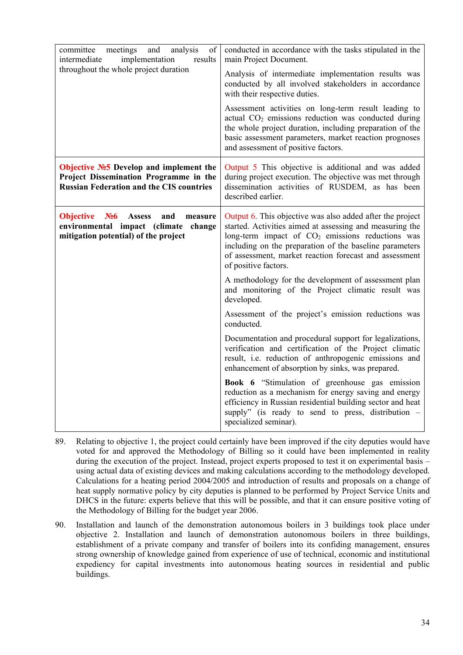| committee meetings<br>and<br>analysis<br>of<br>implementation<br>intermediate<br>results                                                                  | conducted in accordance with the tasks stipulated in the<br>main Project Document.                                                                                                                                                                                                                                                 |  |  |  |
|-----------------------------------------------------------------------------------------------------------------------------------------------------------|------------------------------------------------------------------------------------------------------------------------------------------------------------------------------------------------------------------------------------------------------------------------------------------------------------------------------------|--|--|--|
| throughout the whole project duration                                                                                                                     | Analysis of intermediate implementation results was<br>conducted by all involved stakeholders in accordance<br>with their respective duties.                                                                                                                                                                                       |  |  |  |
|                                                                                                                                                           | Assessment activities on long-term result leading to<br>actual CO <sub>2</sub> emissions reduction was conducted during<br>the whole project duration, including preparation of the<br>basic assessment parameters, market reaction prognoses<br>and assessment of positive factors.                                               |  |  |  |
| Objective №5 Develop and implement the<br>Project Dissemination Programme in the<br><b>Russian Federation and the CIS countries</b>                       | Output 5 This objective is additional and was added<br>during project execution. The objective was met through<br>dissemination activities of RUSDEM, as has been<br>described earlier.                                                                                                                                            |  |  |  |
| N <sub>26</sub><br><b>Objective</b><br><b>Assess</b><br>and<br>measure<br>environmental impact (climate<br>change<br>mitigation potential) of the project | Output 6. This objective was also added after the project<br>started. Activities aimed at assessing and measuring the<br>long-term impact of CO <sub>2</sub> emissions reductions was<br>including on the preparation of the baseline parameters<br>of assessment, market reaction forecast and assessment<br>of positive factors. |  |  |  |
|                                                                                                                                                           | A methodology for the development of assessment plan<br>and monitoring of the Project climatic result was<br>developed.                                                                                                                                                                                                            |  |  |  |
|                                                                                                                                                           | Assessment of the project's emission reductions was<br>conducted.                                                                                                                                                                                                                                                                  |  |  |  |
|                                                                                                                                                           | Documentation and procedural support for legalizations,<br>verification and certification of the Project climatic<br>result, i.e. reduction of anthropogenic emissions and<br>enhancement of absorption by sinks, was prepared.                                                                                                    |  |  |  |
|                                                                                                                                                           | Book 6 "Stimulation of greenhouse gas emission<br>reduction as a mechanism for energy saving and energy<br>efficiency in Russian residential building sector and heat<br>supply" (is ready to send to press, distribution -<br>specialized seminar).                                                                               |  |  |  |

- 89. Relating to objective 1, the project could certainly have been improved if the city deputies would have voted for and approved the Methodology of Billing so it could have been implemented in reality during the execution of the project. Instead, project experts proposed to test it on experimental basis – using actual data of existing devices and making calculations according to the methodology developed. Calculations for a heating period 2004/2005 and introduction of results and proposals on a change of heat supply normative policy by city deputies is planned to be performed by Project Service Units and DHCS in the future: experts believe that this will be possible, and that it can ensure positive voting of the Methodology of Billing for the budget year 2006.
- 90. Installation and launch of the demonstration autonomous boilers in 3 buildings took place under objective 2. Installation and launch of demonstration autonomous boilers in three buildings, establishment of a private company and transfer of boilers into its confiding management, ensures strong ownership of knowledge gained from experience of use of technical, economic and institutional expediency for capital investments into autonomous heating sources in residential and public buildings.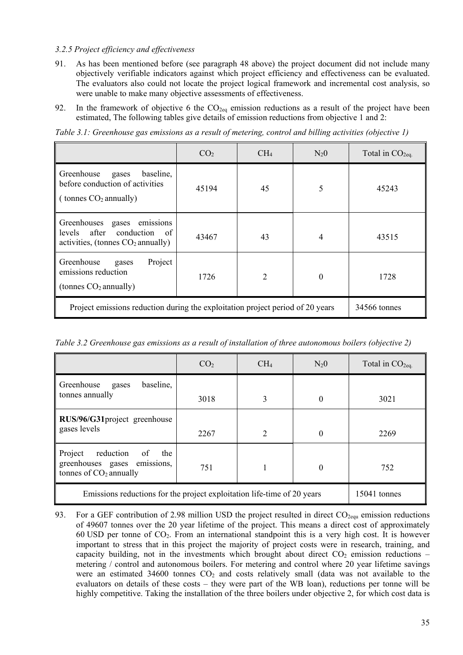#### *3.2.5 Project efficiency and effectiveness*

- 91. As has been mentioned before (see paragraph [48 above\)](#page-22-0) the project document did not include many objectively verifiable indicators against which project efficiency and effectiveness can be evaluated. The evaluators also could not locate the project logical framework and incremental cost analysis, so were unable to make many objective assessments of effectiveness.
- 92. In the framework of objective 6 the  $CO<sub>2eq</sub>$  emission reductions as a result of the project have been estimated, The following tables give details of emission reductions from objective 1 and 2:

*Table 3.1: Greenhouse gas emissions as a result of metering, control and billing activities (objective 1)*

|                                                                                                     | CO <sub>2</sub> | CH <sub>4</sub> | $N_20$   | Total in $CO2eq$ . |
|-----------------------------------------------------------------------------------------------------|-----------------|-----------------|----------|--------------------|
| Greenhouse<br>baseline,<br>gases<br>before conduction of activities<br>(tonnes $CO2$ annually)      | 45194           | 45              | 5        | 45243              |
| Greenhouses gases emissions<br>conduction of<br>levels after<br>activities, (tonnes $CO2$ annually) | 43467           | 43              | 4        | 43515              |
| Greenhouse<br>Project<br>gases<br>emissions reduction<br>(tonnes $CO2$ annually)                    | 1726            | $\overline{2}$  | $\theta$ | 1728               |
| Project emissions reduction during the exploitation project period of 20 years                      | 34566 tonnes    |                 |          |                    |

*Table 3.2 Greenhouse gas emissions as a result of installation of three autonomous boilers (objective 2)*

|                                                                                               | CO <sub>2</sub> | CH <sub>4</sub> | $N_20$   | Total in $CO2ea$ . |
|-----------------------------------------------------------------------------------------------|-----------------|-----------------|----------|--------------------|
| Greenhouse<br>baseline,<br>gases<br>tonnes annually                                           | 3018            | 3               | $\theta$ | 3021               |
| RUS/96/G31project greenhouse<br>gases levels                                                  | 2267            | 2               | $\theta$ | 2269               |
| Project<br>reduction<br>of<br>the<br>greenhouses gases emissions,<br>tonnes of $CO2$ annually | 751             |                 | 0        | 752                |
| Emissions reductions for the project exploitation life-time of 20 years                       |                 |                 |          | 15041 tonnes       |

93. For a GEF contribution of 2.98 million USD the project resulted in direct  $CO<sub>2equ</sub>$  emission reductions of 49607 tonnes over the 20 year lifetime of the project. This means a direct cost of approximately 60 USD per tonne of CO2. From an international standpoint this is a very high cost. It is however important to stress that in this project the majority of project costs were in research, training, and capacity building, not in the investments which brought about direct  $CO<sub>2</sub>$  emission reductions – metering / control and autonomous boilers. For metering and control where 20 year lifetime savings were an estimated 34600 tonnes  $CO<sub>2</sub>$  and costs relatively small (data was not available to the evaluators on details of these costs – they were part of the WB loan), reductions per tonne will be highly competitive. Taking the installation of the three boilers under objective 2, for which cost data is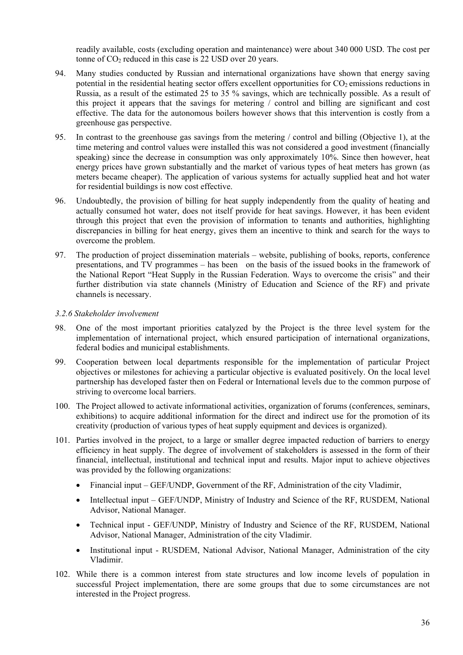readily available, costs (excluding operation and maintenance) were about 340 000 USD. The cost per tonne of  $CO<sub>2</sub>$  reduced in this case is 22 USD over 20 years.

- 94. Many studies conducted by Russian and international organizations have shown that energy saving potential in the residential heating sector offers excellent opportunities for  $CO<sub>2</sub>$  emissions reductions in Russia, as a result of the estimated 25 to 35 % savings, which are technically possible. As a result of this project it appears that the savings for metering / control and billing are significant and cost effective. The data for the autonomous boilers however shows that this intervention is costly from a greenhouse gas perspective.
- 95. In contrast to the greenhouse gas savings from the metering / control and billing (Objective 1), at the time metering and control values were installed this was not considered a good investment (financially speaking) since the decrease in consumption was only approximately 10%. Since then however, heat energy prices have grown substantially and the market of various types of heat meters has grown (as meters became cheaper). The application of various systems for actually supplied heat and hot water for residential buildings is now cost effective.
- 96. Undoubtedly, the provision of billing for heat supply independently from the quality of heating and actually consumed hot water, does not itself provide for heat savings. However, it has been evident through this project that even the provision of information to tenants and authorities, highlighting discrepancies in billing for heat energy, gives them an incentive to think and search for the ways to overcome the problem.
- 97. The production of project dissemination materials website, publishing of books, reports, conference presentations, and TV programmes – has been on the basis of the issued books in the framework of the National Report "Heat Supply in the Russian Federation. Ways to overcome the crisis" and their further distribution via state channels (Ministry of Education and Science of the RF) and private channels is necessary.

#### *3.2.6 Stakeholder involvement*

- 98. One of the most important priorities catalyzed by the Project is the three level system for the implementation of international project, which ensured participation of international organizations, federal bodies and municipal establishments.
- 99. Cooperation between local departments responsible for the implementation of particular Project objectives or milestones for achieving a particular objective is evaluated positively. On the local level partnership has developed faster then on Federal or International levels due to the common purpose of striving to overcome local barriers.
- 100. The Project allowed to activate informational activities, organization of forums (conferences, seminars, exhibitions) to acquire additional information for the direct and indirect use for the promotion of its creativity (production of various types of heat supply equipment and devices is organized).
- 101. Parties involved in the project, to a large or smaller degree impacted reduction of barriers to energy efficiency in heat supply. The degree of involvement of stakeholders is assessed in the form of their financial, intellectual, institutional and technical input and results. Major input to achieve objectives was provided by the following organizations:
	- Financial input GEF/UNDP, Government of the RF, Administration of the city Vladimir,
	- Intellectual input GEF/UNDP, Ministry of Industry and Science of the RF, RUSDEM, National Advisor, National Manager.
	- Technical input GEF/UNDP, Ministry of Industry and Science of the RF, RUSDEM, National Advisor, National Manager, Administration of the city Vladimir.
	- Institutional input RUSDEM, National Advisor, National Manager, Administration of the city Vladimir.
- 102. While there is a common interest from state structures and low income levels of population in successful Project implementation, there are some groups that due to some circumstances are not interested in the Project progress.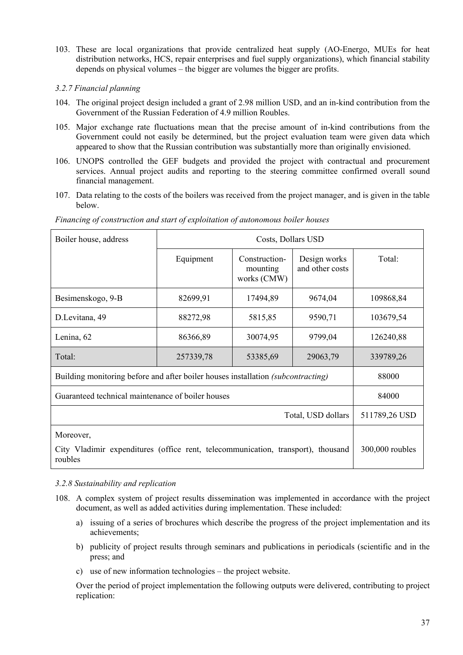- 103. These are local organizations that provide centralized heat supply (АО-Energo, MUEs for heat distribution networks, HCS, repair enterprises and fuel supply organizations), which financial stability depends on physical volumes – the bigger are volumes the bigger are profits.
- *3.2.7 Financial planning*
- 104. The original project design included a grant of 2.98 million USD, and an in-kind contribution from the Government of the Russian Federation of 4.9 million Roubles.
- 105. Major exchange rate fluctuations mean that the precise amount of in-kind contributions from the Government could not easily be determined, but the project evaluation team were given data which appeared to show that the Russian contribution was substantially more than originally envisioned.
- 106. UNOPS controlled the GEF budgets and provided the project with contractual and procurement services. Annual project audits and reporting to the steering committee confirmed overall sound financial management.
- 107. Data relating to the costs of the boilers was received from the project manager, and is given in the table below.

| Boiler house, address                                                                                    | Costs, Dollars USD |                                          |                                 |                 |
|----------------------------------------------------------------------------------------------------------|--------------------|------------------------------------------|---------------------------------|-----------------|
|                                                                                                          | Equipment          | Construction-<br>mounting<br>works (CMW) | Design works<br>and other costs | Total:          |
| Besimenskogo, 9-B                                                                                        | 82699,91           | 17494,89                                 | 9674,04                         | 109868,84       |
| D.Levitana, 49                                                                                           | 88272,98           | 5815,85                                  | 9590,71                         | 103679,54       |
| Lenina, 62                                                                                               | 86366,89           | 30074,95                                 | 9799,04                         | 126240,88       |
| Total:                                                                                                   | 257339,78          | 53385,69                                 | 29063,79                        | 339789,26       |
| Building monitoring before and after boiler houses installation (subcontracting)                         | 88000              |                                          |                                 |                 |
| Guaranteed technical maintenance of boiler houses                                                        |                    |                                          |                                 | 84000           |
| Total, USD dollars                                                                                       |                    |                                          |                                 | 511789,26 USD   |
| Moreover,<br>City Vladimir expenditures (office rent, telecommunication, transport), thousand<br>roubles |                    |                                          |                                 | 300,000 roubles |

*Financing of construction and start of exploitation of autonomous boiler houses*

#### *3.2.8 Sustainability and replication*

- 108. A complex system of project results dissemination was implemented in accordance with the project document, as well as added activities during implementation. These included:
	- a) issuing of a series of brochures which describe the progress of the project implementation and its achievements;
	- b) publicity of project results through seminars and publications in periodicals (scientific and in the press; and
	- c) use of new information technologies the project website.

Over the period of project implementation the following outputs were delivered, contributing to project replication: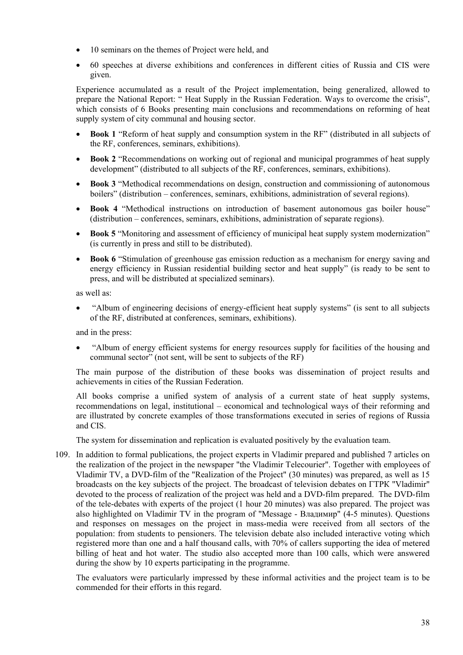- 10 seminars on the themes of Project were held, and
- 60 speeches at diverse exhibitions and conferences in different cities of Russia and CIS were given.

Experience accumulated as a result of the Project implementation, being generalized, allowed to prepare the National Report: " Heat Supply in the Russian Federation. Ways to overcome the crisis", which consists of 6 Books presenting main conclusions and recommendations on reforming of heat supply system of city communal and housing sector.

- **Book 1** "Reform of heat supply and consumption system in the RF" (distributed in all subjects of the RF, conferences, seminars, exhibitions).
- **Book 2** "Recommendations on working out of regional and municipal programmes of heat supply development" (distributed to all subjects of the RF, conferences, seminars, exhibitions).
- **Book 3** "Methodical recommendations on design, construction and commissioning of autonomous boilers" (distribution – conferences, seminars, exhibitions, administration of several regions).
- **Book 4** "Methodical instructions on introduction of basement autonomous gas boiler house" (distribution – conferences, seminars, exhibitions, administration of separate regions).
- **Book 5** "Monitoring and assessment of efficiency of municipal heat supply system modernization" (is currently in press and still to be distributed).
- **Book 6** "Stimulation of greenhouse gas emission reduction as a mechanism for energy saving and energy efficiency in Russian residential building sector and heat supply" (is ready to be sent to press, and will be distributed at specialized seminars).

as well as:

• "Album of engineering decisions of energy-efficient heat supply systems" (is sent to all subjects of the RF, distributed at conferences, seminars, exhibitions).

and in the press:

• "Album of energy efficient systems for energy resources supply for facilities of the housing and communal sector" (not sent, will be sent to subjects of the RF)

The main purpose of the distribution of these books was dissemination of project results and achievements in cities of the Russian Federation.

All books comprise a unified system of analysis of a current state of heat supply systems, recommendations on legal, institutional – economical and technological ways of their reforming and are illustrated by concrete examples of those transformations executed in series of regions of Russia and CIS.

The system for dissemination and replication is evaluated positively by the evaluation team.

109. In addition to formal publications, the project experts in Vladimir prepared and published 7 articles on the realization of the project in the newspaper "the Vladimir Telecourier". Together with employees of Vladimir TV, a DVD-film of the "Realization of the Project" (30 minutes) was prepared, as well as 15 broadcasts on the key subjects of the project. The broadcast of television debates on ГТРК "Vladimir" devoted to the process of realization of the project was held and a DVD-film prepared. The DVD-film of the tele-debates with experts of the project (1 hour 20 minutes) was also prepared. The project was also highlighted on Vladimir TV in the program of "Message - Владимир" (4-5 minutes). Questions and responses on messages on the project in mass-media were received from all sectors of the population: from students to pensioners. The television debate also included interactive voting which registered more than one and a half thousand calls, with 70% of callers supporting the idea of metered billing of heat and hot water. The studio also accepted more than 100 calls, which were answered during the show by 10 experts participating in the programme.

The evaluators were particularly impressed by these informal activities and the project team is to be commended for their efforts in this regard.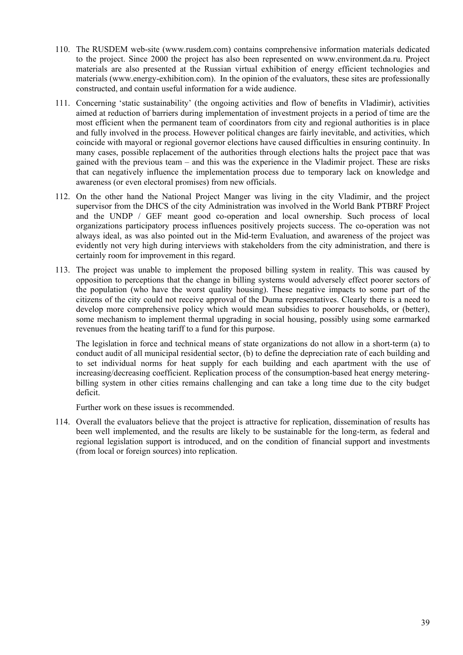- 110. The RUSDEM web-site [\(www.rusdem.com\)](http://www.rusdem.com/) contains comprehensive information materials dedicated to the project. Since 2000 the project has also been represented on [www.environment.da.ru.](http://www.environment.da.ru/) Project materials are also presented at the Russian virtual exhibition of energy efficient technologies and materials [\(www.energy-exhibition.com\)](http://www.energy-echibition.com/). In the opinion of the evaluators, these sites are professionally constructed, and contain useful information for a wide audience.
- 111. Concerning 'static sustainability' (the ongoing activities and flow of benefits in Vladimir), activities aimed at reduction of barriers during implementation of investment projects in a period of time are the most efficient when the permanent team of coordinators from city and regional authorities is in place and fully involved in the process. However political changes are fairly inevitable, and activities, which coincide with mayoral or regional governor elections have caused difficulties in ensuring continuity. In many cases, possible replacement of the authorities through elections halts the project pace that was gained with the previous team – and this was the experience in the Vladimir project. These are risks that can negatively influence the implementation process due to temporary lack on knowledge and awareness (or even electoral promises) from new officials.
- 112. On the other hand the National Project Manger was living in the city Vladimir, and the project supervisor from the DHCS of the city Administration was involved in the World Bank PTBRF Project and the UNDP / GEF meant good co-operation and local ownership. Such process of local organizations participatory process influences positively projects success. The co-operation was not always ideal, as was also pointed out in the Mid-term Evaluation, and awareness of the project was evidently not very high during interviews with stakeholders from the city administration, and there is certainly room for improvement in this regard.
- 113. The project was unable to implement the proposed billing system in reality. This was caused by opposition to perceptions that the change in billing systems would adversely effect poorer sectors of the population (who have the worst quality housing). These negative impacts to some part of the citizens of the city could not receive approval of the Duma representatives. Clearly there is a need to develop more comprehensive policy which would mean subsidies to poorer households, or (better), some mechanism to implement thermal upgrading in social housing, possibly using some earmarked revenues from the heating tariff to a fund for this purpose.

The legislation in force and technical means of state organizations do not allow in a short-term (a) to conduct audit of all municipal residential sector, (b) to define the depreciation rate of each building and to set individual norms for heat supply for each building and each apartment with the use of increasing/decreasing coefficient. Replication process of the consumption-based heat energy meteringbilling system in other cities remains challenging and can take a long time due to the city budget deficit.

Further work on these issues is recommended.

114. Overall the evaluators believe that the project is attractive for replication, dissemination of results has been well implemented, and the results are likely to be sustainable for the long-term, as federal and regional legislation support is introduced, and on the condition of financial support and investments (from local or foreign sources) into replication.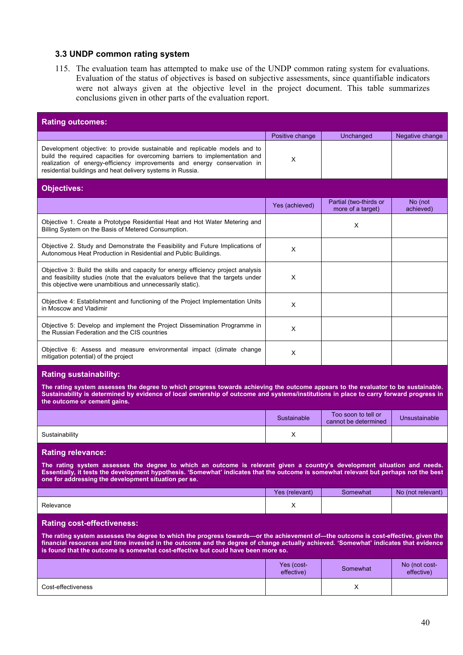#### **3.3 UNDP common rating system**

115. The evaluation team has attempted to make use of the UNDP common rating system for evaluations. Evaluation of the status of objectives is based on subjective assessments, since quantifiable indicators were not always given at the objective level in the project document. This table summarizes conclusions given in other parts of the evaluation report.

| <b>Rating outcomes:</b>                                                                                                                                                                                                                                                                             |                 |                                             |                      |  |  |
|-----------------------------------------------------------------------------------------------------------------------------------------------------------------------------------------------------------------------------------------------------------------------------------------------------|-----------------|---------------------------------------------|----------------------|--|--|
|                                                                                                                                                                                                                                                                                                     | Positive change | Unchanged                                   | Negative change      |  |  |
| Development objective: to provide sustainable and replicable models and to<br>build the required capacities for overcoming barriers to implementation and<br>realization of energy-efficiency improvements and energy conservation in<br>residential buildings and heat delivery systems in Russia. | X               |                                             |                      |  |  |
| <b>Objectives:</b>                                                                                                                                                                                                                                                                                  |                 |                                             |                      |  |  |
|                                                                                                                                                                                                                                                                                                     | Yes (achieved)  | Partial (two-thirds or<br>more of a target) | No (not<br>achieved) |  |  |
| Objective 1. Create a Prototype Residential Heat and Hot Water Metering and<br>Billing System on the Basis of Metered Consumption.                                                                                                                                                                  |                 | X                                           |                      |  |  |
| Objective 2. Study and Demonstrate the Feasibility and Future Implications of<br>Autonomous Heat Production in Residential and Public Buildings.                                                                                                                                                    | X               |                                             |                      |  |  |
| Objective 3: Build the skills and capacity for energy efficiency project analysis<br>and feasibility studies (note that the evaluators believe that the targets under<br>this objective were unambitious and unnecessarily static).                                                                 | X               |                                             |                      |  |  |
| Objective 4: Establishment and functioning of the Project Implementation Units<br>in Moscow and Vladimir                                                                                                                                                                                            | X               |                                             |                      |  |  |
| Objective 5: Develop and implement the Project Dissemination Programme in<br>the Russian Federation and the CIS countries                                                                                                                                                                           | $\times$        |                                             |                      |  |  |
| Objective 6: Assess and measure environmental impact (climate change<br>mitigation potential) of the project                                                                                                                                                                                        | $\times$        |                                             |                      |  |  |

#### **Rating sustainability:**

**The rating system assesses the degree to which progress towards achieving the outcome appears to the evaluator to be sustainable. Sustainability is determined by evidence of local ownership of outcome and systems/institutions in place to carry forward progress in the outcome or cement gains.**

|                | Sustainable | Too soon to tell or<br>cannot be determined | Unsustainable |
|----------------|-------------|---------------------------------------------|---------------|
| Sustainability | ◠           |                                             |               |

#### **Rating relevance:**

**The rating system assesses the degree to which an outcome is relevant given a country's development situation and needs. Essentially, it tests the development hypothesis. 'Somewhat' indicates that the outcome is somewhat relevant but perhaps not the best one for addressing the development situation per se.** 

|           | Yes (relevant) | Somewhat | No (not relevant) |
|-----------|----------------|----------|-------------------|
| Relevance | $\lambda$      |          |                   |

#### **Rating cost-effectiveness:**

**The rating system assesses the degree to which the progress towards—or the achievement of—the outcome is cost-effective, given the financial resources and time invested in the outcome and the degree of change actually achieved. 'Somewhat' indicates that evidence is found that the outcome is somewhat cost-effective but could have been more so.**

|                    | Yes (cost-<br>effective) | Somewhat | No (not cost-<br>effective) |
|--------------------|--------------------------|----------|-----------------------------|
| Cost-effectiveness |                          | v<br>∧   |                             |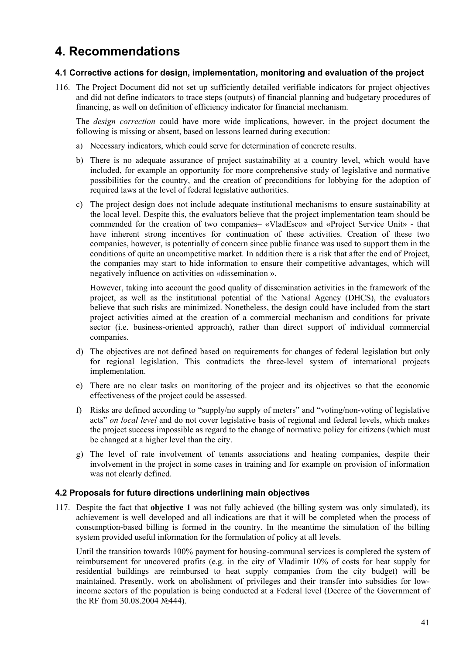# **4. Recommendations**

### **4.1 Corrective actions for design, implementation, monitoring and evaluation of the project**

116. The Project Document did not set up sufficiently detailed verifiable indicators for project objectives and did not define indicators to trace steps (outputs) of financial planning and budgetary procedures of financing, as well on definition of efficiency indicator for financial mechanism.

The *design correction* could have more wide implications, however, in the project document the following is missing or absent, based on lessons learned during execution:

- a) Necessary indicators, which could serve for determination of concrete results.
- b) There is no adequate assurance of project sustainability at a country level, which would have included, for example an opportunity for more comprehensive study of legislative and normative possibilities for the country, and the creation of preconditions for lobbying for the adoption of required laws at the level of federal legislative authorities.
- c) The project design does not include adequate institutional mechanisms to ensure sustainability at the local level. Despite this, the evaluators believe that the project implementation team should be commended for the creation of two companies– «VladEsco» and «Project Service Unit» - that have inherent strong incentives for continuation of these activities. Creation of these two companies, however, is potentially of concern since public finance was used to support them in the conditions of quite an uncompetitive market. In addition there is a risk that after the end of Project, the companies may start to hide information to ensure their competitive advantages, which will negatively influence on activities on «dissemination ».

However, taking into account the good quality of dissemination activities in the framework of the project, as well as the institutional potential of the National Agency (DHCS), the evaluators believe that such risks are minimized. Nonetheless, the design could have included from the start project activities aimed at the creation of a commercial mechanism and conditions for private sector (i.e. business-oriented approach), rather than direct support of individual commercial companies.

- d) The objectives are not defined based on requirements for changes of federal legislation but only for regional legislation. This contradicts the three-level system of international projects implementation.
- e) There are no clear tasks on monitoring of the project and its objectives so that the economic effectiveness of the project could be assessed.
- f) Risks are defined according to "supply/no supply of meters" and "voting/non-voting of legislative acts" *on local level* and do not cover legislative basis of regional and federal levels, which makes the project success impossible as regard to the change of normative policy for citizens (which must be changed at a higher level than the city.
- g) The level of rate involvement of tenants associations and heating companies, despite their involvement in the project in some cases in training and for example on provision of information was not clearly defined.

#### **4.2 Proposals for future directions underlining main objectives**

117. Despite the fact that **objective 1** was not fully achieved (the billing system was only simulated), its achievement is well developed and all indications are that it will be completed when the process of consumption-based billing is formed in the country. In the meantime the simulation of the billing system provided useful information for the formulation of policy at all levels.

Until the transition towards 100% payment for housing-communal services is completed the system of reimbursement for uncovered profits (e.g. in the city of Vladimir 10% of costs for heat supply for residential buildings are reimbursed to heat supply companies from the city budget) will be maintained. Presently, work on abolishment of privileges and their transfer into subsidies for lowincome sectors of the population is being conducted at a Federal level (Decree of the Government of the RF from 30.08.2004 №444).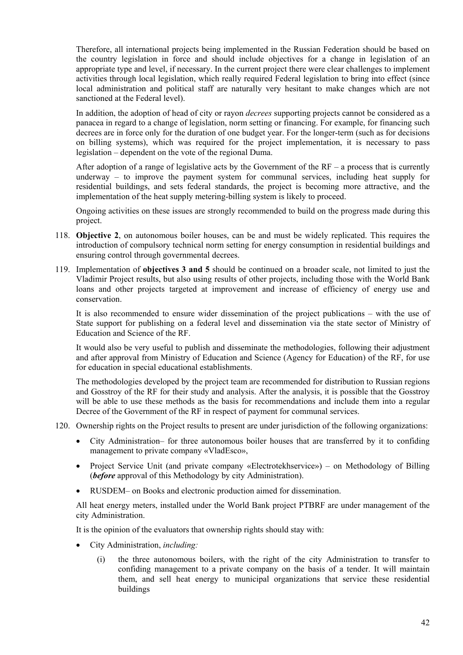Therefore, all international projects being implemented in the Russian Federation should be based on the country legislation in force and should include objectives for a change in legislation of an appropriate type and level, if necessary. In the current project there were clear challenges to implement activities through local legislation, which really required Federal legislation to bring into effect (since local administration and political staff are naturally very hesitant to make changes which are not sanctioned at the Federal level).

In addition, the adoption of head of city or rayon *decrees* supporting projects cannot be considered as a panacea in regard to a change of legislation, norm setting or financing. For example, for financing such decrees are in force only for the duration of one budget year. For the longer-term (such as for decisions on billing systems), which was required for the project implementation, it is necessary to pass legislation – dependent on the vote of the regional Duma.

After adoption of a range of legislative acts by the Government of the  $RF - a$  process that is currently underway – to improve the payment system for communal services, including heat supply for residential buildings, and sets federal standards, the project is becoming more attractive, and the implementation of the heat supply metering-billing system is likely to proceed.

Ongoing activities on these issues are strongly recommended to build on the progress made during this project.

- 118. **Objective 2**, on autonomous boiler houses, can be and must be widely replicated. This requires the introduction of compulsory technical norm setting for energy consumption in residential buildings and ensuring control through governmental decrees.
- 119. Implementation of **objectives 3 and 5** should be continued on a broader scale, not limited to just the Vladimir Project results, but also using results of other projects, including those with the World Bank loans and other projects targeted at improvement and increase of efficiency of energy use and conservation.

It is also recommended to ensure wider dissemination of the project publications – with the use of State support for publishing on a federal level and dissemination via the state sector of Ministry of Education and Science of the RF.

It would also be very useful to publish and disseminate the methodologies, following their adjustment and after approval from Ministry of Education and Science (Agency for Education) of the RF, for use for education in special educational establishments.

The methodologies developed by the project team are recommended for distribution to Russian regions and Gosstroy of the RF for their study and analysis. After the analysis, it is possible that the Gosstroy will be able to use these methods as the basis for recommendations and include them into a regular Decree of the Government of the RF in respect of payment for communal services.

- 120. Ownership rights on the Project results to present are under jurisdiction of the following organizations:
	- City Administration– for three autonomous boiler houses that are transferred by it to confiding management to private company «VladEsco»,
	- Project Service Unit (and private company «Electrotekhservice») on Methodology of Billing (*before* approval of this Methodology by city Administration).
	- RUSDEM– on Books and electronic production aimed for dissemination.

All heat energy meters, installed under the World Bank project PTBRF are under management of the city Administration.

It is the opinion of the evaluators that ownership rights should stay with:

- City Administration, *including:* 
	- (i) the three autonomous boilers, with the right of the city Administration to transfer to confiding management to a private company on the basis of a tender. It will maintain them, and sell heat energy to municipal organizations that service these residential buildings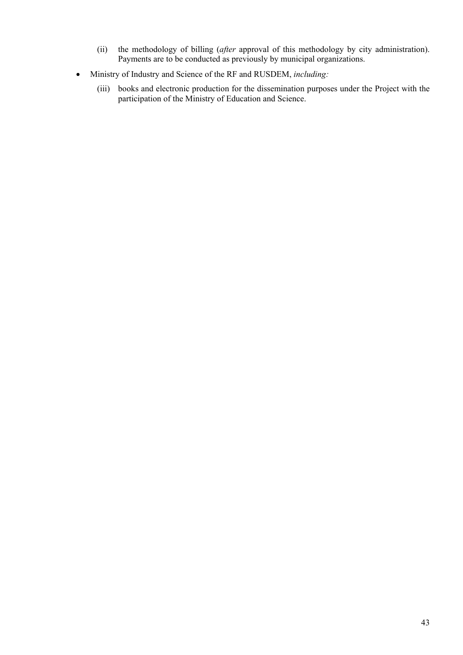- (ii) the methodology of billing (*after* approval of this methodology by city administration). Payments are to be conducted as previously by municipal organizations.
- Ministry of Industry and Science of the RF and RUSDEM, *including:* 
	- (iii) books and electronic production for the dissemination purposes under the Project with the participation of the Ministry of Education and Science.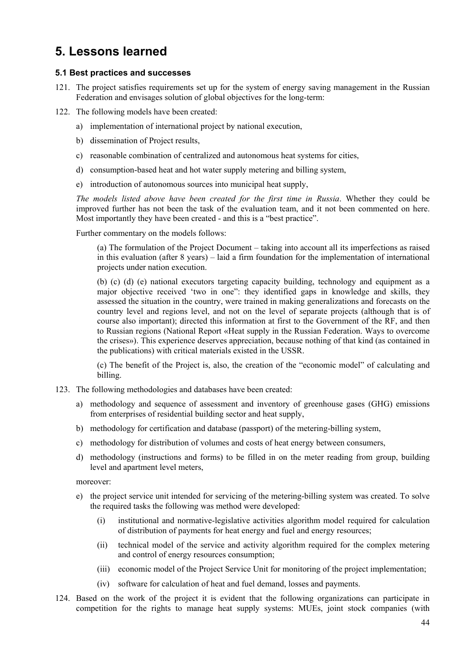## **5. Lessons learned**

#### **5.1 Best practices and successes**

- 121. The project satisfies requirements set up for the system of energy saving management in the Russian Federation and envisages solution of global objectives for the long-term:
- 122. The following models have been created:
	- a) implementation of international project by national execution,
	- b) dissemination of Project results,
	- c) reasonable combination of centralized and autonomous heat systems for cities,
	- d) consumption-based heat and hot water supply metering and billing system,
	- e) introduction of autonomous sources into municipal heat supply,

*The models listed above have been created for the first time in Russia*. Whether they could be improved further has not been the task of the evaluation team, and it not been commented on here. Most importantly they have been created - and this is a "best practice".

Further commentary on the models follows:

(а) The formulation of the Project Document – taking into account all its imperfections as raised in this evaluation (after 8 years) – laid a firm foundation for the implementation of international projects under nation execution.

(b) (c) (d) (e) national executors targeting capacity building, technology and equipment as a major objective received 'two in one": they identified gaps in knowledge and skills, they assessed the situation in the country, were trained in making generalizations and forecasts on the country level and regions level, and not on the level of separate projects (although that is of course also important); directed this information at first to the Government of the RF, and then to Russian regions (National Report «Heat supply in the Russian Federation. Ways to overcome the crises»). This experience deserves appreciation, because nothing of that kind (as contained in the publications) with critical materials existed in the USSR.

(c) The benefit of the Project is, also, the creation of the "economic model" of calculating and billing.

- 123. The following methodologies and databases have been created:
	- a) methodology and sequence of assessment and inventory of greenhouse gases (GHG) emissions from enterprises of residential building sector and heat supply,
	- b) methodology for certification and database (passport) of the metering-billing system,
	- c) methodology for distribution of volumes and costs of heat energy between consumers,
	- d) methodology (instructions and forms) to be filled in on the meter reading from group, building level and apartment level meters,

moreover:

- e) the project service unit intended for servicing of the metering-billing system was created. To solve the required tasks the following was method were developed:
	- (i) institutional and normative-legislative activities algorithm model required for calculation of distribution of payments for heat energy and fuel and energy resources;
	- (ii) technical model of the service and activity algorithm required for the complex metering and control of energy resources consumption;
	- (iii) economic model of the Project Service Unit for monitoring of the project implementation;
	- (iv) software for calculation of heat and fuel demand, losses and payments.
- 124. Based on the work of the project it is evident that the following organizations can participate in competition for the rights to manage heat supply systems: MUEs, joint stock companies (with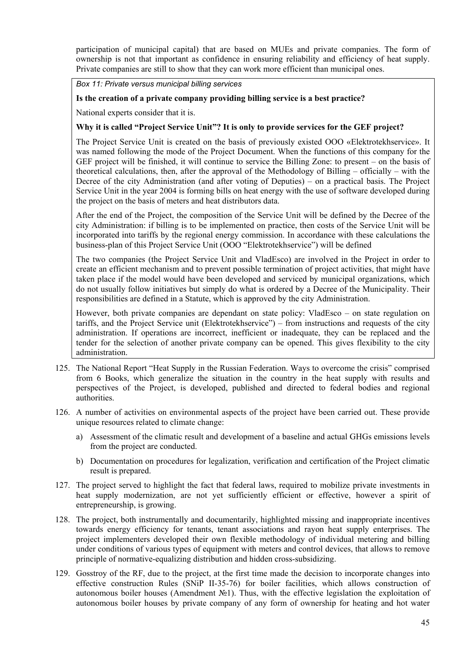participation of municipal capital) that are based on MUEs and private companies. The form of ownership is not that important as confidence in ensuring reliability and efficiency of heat supply. Private companies are still to show that they can work more efficient than municipal ones.

#### *Box 11: Private versus municipal billing services*

#### **Is the creation of a private company providing billing service is a best practice?**

National experts consider that it is.

#### **Why it is called "Project Service Unit"? It is only to provide services for the GEF project?**

The Project Service Unit is created on the basis of previously existed ООО «Elektrotekhservice». It was named following the mode of the Project Document. When the functions of this company for the GEF project will be finished, it will continue to service the Billing Zone: to present – on the basis of theoretical calculations, then, after the approval of the Methodology of Billing – officially – with the Decree of the city Administration (and after voting of Deputies) – on a practical basis. The Project Service Unit in the year 2004 is forming bills on heat energy with the use of software developed during the project on the basis of meters and heat distributors data.

After the end of the Project, the composition of the Service Unit will be defined by the Decree of the city Administration: if billing is to be implemented on practice, then costs of the Service Unit will be incorporated into tariffs by the regional energy commission. In accordance with these calculations the business-plan of this Project Service Unit (OOO "Elektrotekhservice") will be defined

The two companies (the Project Service Unit and VladEsco) are involved in the Project in order to create an efficient mechanism and to prevent possible termination of project activities, that might have taken place if the model would have been developed and serviced by municipal organizations, which do not usually follow initiatives but simply do what is ordered by a Decree of the Municipality. Their responsibilities are defined in a Statute, which is approved by the city Administration.

However, both private companies are dependant on state policy: VladEsco – on state regulation on tariffs, and the Project Service unit (Elektrotekhservice") – from instructions and requests of the city administration. If operations are incorrect, inefficient or inadequate, they can be replaced and the tender for the selection of another private company can be opened. This gives flexibility to the city administration.

- 125. The National Report "Heat Supply in the Russian Federation. Ways to overcome the crisis" comprised from 6 Books, which generalize the situation in the country in the heat supply with results and perspectives of the Project, is developed, published and directed to federal bodies and regional authorities.
- 126. A number of activities on environmental aspects of the project have been carried out. These provide unique resources related to climate change:
	- a) Assessment of the climatic result and development of a baseline and actual GHGs emissions levels from the project are conducted.
	- b) Documentation on procedures for legalization, verification and certification of the Project climatic result is prepared.
- 127. The project served to highlight the fact that federal laws, required to mobilize private investments in heat supply modernization, are not yet sufficiently efficient or effective, however a spirit of entrepreneurship, is growing.
- 128. The project, both instrumentally and documentarily, highlighted missing and inappropriate incentives towards energy efficiency for tenants, tenant associations and rayon heat supply enterprises. The project implementers developed their own flexible methodology of individual metering and billing under conditions of various types of equipment with meters and control devices, that allows to remove principle of normative-equalizing distribution and hidden cross-subsidizing.
- 129. Gosstroy of the RF, due to the project, at the first time made the decision to incorporate changes into effective construction Rules (SNiP II-35-76) for boiler facilities, which allows construction of autonomous boiler houses (Amendment №1). Thus, with the effective legislation the exploitation of autonomous boiler houses by private company of any form of ownership for heating and hot water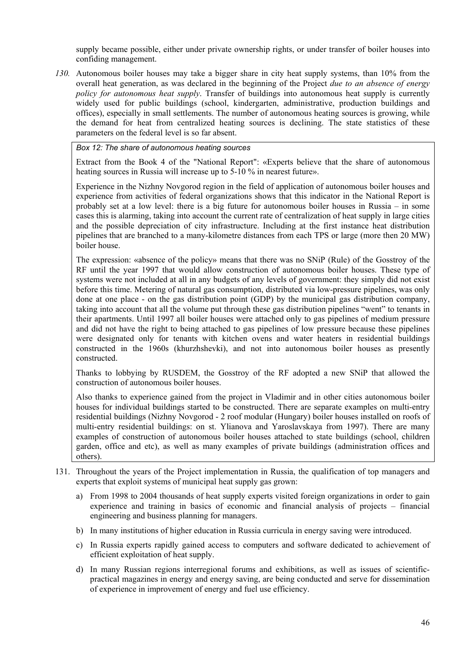supply became possible, either under private ownership rights, or under transfer of boiler houses into confiding management.

*130.* Autonomous boiler houses may take a bigger share in city heat supply systems, than 10% from the overall heat generation, as was declared in the beginning of the Project *due to an absence of energy policy for autonomous heat supply*. Transfer of buildings into autonomous heat supply is currently widely used for public buildings (school, kindergarten, administrative, production buildings and offices), especially in small settlements. The number of autonomous heating sources is growing, while the demand for heat from centralized heating sources is declining. The state statistics of these parameters on the federal level is so far absent.

#### *Box 12: The share of autonomous heating sources*

Extract from the Book 4 of the "National Report": «Experts believe that the share of autonomous heating sources in Russia will increase up to 5-10 % in nearest future».

Experience in the Nizhny Novgorod region in the field of application of autonomous boiler houses and experience from activities of federal organizations shows that this indicator in the National Report is probably set at a low level: there is a big future for autonomous boiler houses in Russia – in some cases this is alarming, taking into account the current rate of centralization of heat supply in large cities and the possible depreciation of city infrastructure. Including at the first instance heat distribution pipelines that are branched to a many-kilometre distances from each TPS or large (more then 20 MW) boiler house.

The expression: «absence of the policy» means that there was no SNiP (Rule) of the Gosstroy of the RF until the year 1997 that would allow construction of autonomous boiler houses. These type of systems were not included at all in any budgets of any levels of government: they simply did not exist before this time. Metering of natural gas consumption, distributed via low-pressure pipelines, was only done at one place - on the gas distribution point (GDP) by the municipal gas distribution company, taking into account that all the volume put through these gas distribution pipelines "went" to tenants in their apartments. Until 1997 all boiler houses were attached only to gas pipelines of medium pressure and did not have the right to being attached to gas pipelines of low pressure because these pipelines were designated only for tenants with kitchen ovens and water heaters in residential buildings constructed in the 1960s (khurzhshevki), and not into autonomous boiler houses as presently constructed.

Thanks to lobbying by RUSDEM, the Gosstroy of the RF adopted a new SNiP that allowed the construction of autonomous boiler houses.

Also thanks to experience gained from the project in Vladimir and in other cities autonomous boiler houses for individual buildings started to be constructed. There are separate examples on multi-entry residential buildings (Nizhny Novgorod - 2 roof modular (Hungary) boiler houses installed on roofs of multi-entry residential buildings: on st. Ylianova and Yaroslavskaya from 1997). There are many examples of construction of autonomous boiler houses attached to state buildings (school, children garden, office and etc), as well as many examples of private buildings (administration offices and others).

- 131. Throughout the years of the Project implementation in Russia, the qualification of top managers and experts that exploit systems of municipal heat supply gas grown:
	- a) From 1998 to 2004 thousands of heat supply experts visited foreign organizations in order to gain experience and training in basics of economic and financial analysis of projects – financial engineering and business planning for managers.
	- b) In many institutions of higher education in Russia curricula in energy saving were introduced.
	- c) In Russia experts rapidly gained access to computers and software dedicated to achievement of efficient exploitation of heat supply.
	- d) In many Russian regions interregional forums and exhibitions, as well as issues of scientificpractical magazines in energy and energy saving, are being conducted and serve for dissemination of experience in improvement of energy and fuel use efficiency.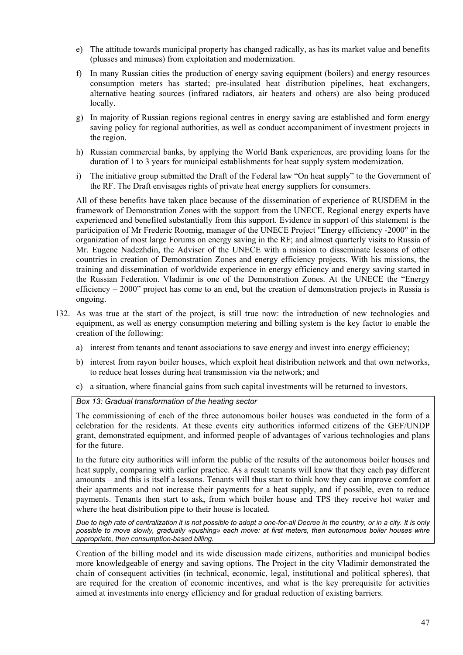- e) The attitude towards municipal property has changed radically, as has its market value and benefits (plusses and minuses) from exploitation and modernization.
- f) In many Russian cities the production of energy saving equipment (boilers) and energy resources consumption meters has started; pre-insulated heat distribution pipelines, heat exchangers, alternative heating sources (infrared radiators, air heaters and others) are also being produced locally.
- g) In majority of Russian regions regional centres in energy saving are established and form energy saving policy for regional authorities, as well as conduct accompaniment of investment projects in the region.
- h) Russian commercial banks, by applying the World Bank experiences, are providing loans for the duration of 1 to 3 years for municipal establishments for heat supply system modernization.
- i) The initiative group submitted the Draft of the Federal law "On heat supply" to the Government of the RF. The Draft envisages rights of private heat energy suppliers for consumers.

All of these benefits have taken place because of the dissemination of experience of RUSDEM in the framework of Demonstration Zones with the support from the UNECE. Regional energy experts have experienced and benefited substantially from this support. Evidence in support of this statement is the participation of Mr Frederic Roomig, manager of the UNECE Project "Energy efficiency -2000" in the organization of most large Forums on energy saving in the RF; and almost quarterly visits to Russia of Mr. Eugene Nadezhdin, the Adviser of the UNECE with a mission to disseminate lessons of other countries in creation of Demonstration Zones and energy efficiency projects. With his missions, the training and dissemination of worldwide experience in energy efficiency and energy saving started in the Russian Federation. Vladimir is one of the Demonstration Zones. At the UNECE the "Energy efficiency – 2000" project has come to an end, but the creation of demonstration projects in Russia is ongoing.

- 132. As was true at the start of the project, is still true now: the introduction of new technologies and equipment, as well as energy consumption metering and billing system is the key factor to enable the creation of the following:
	- a) interest from tenants and tenant associations to save energy and invest into energy efficiency;
	- b) interest from rayon boiler houses, which exploit heat distribution network and that own networks, to reduce heat losses during heat transmission via the network; and
	- c) a situation, where financial gains from such capital investments will be returned to investors.

#### *Box 13: Gradual transformation of the heating sector*

The commissioning of each of the three autonomous boiler houses was conducted in the form of a celebration for the residents. At these events city authorities informed citizens of the GEF/UNDP grant, demonstrated equipment, and informed people of advantages of various technologies and plans for the future.

In the future city authorities will inform the public of the results of the autonomous boiler houses and heat supply, comparing with earlier practice. As a result tenants will know that they each pay different amounts – and this is itself a lessons. Tenants will thus start to think how they can improve comfort at their apartments and not increase their payments for a heat supply, and if possible, even to reduce payments. Tenants then start to ask, from which boiler house and TPS they receive hot water and where the heat distribution pipe to their house is located.

*Due to high rate of centralization it is not possible to adopt a one-for-all Decree in the country, or in a city. It is only possible to move slowly, gradually «pushing» each move: at first meters, then autonomous boiler houses whre appropriate, then consumption-based billing.* 

Creation of the billing model and its wide discussion made citizens, authorities and municipal bodies more knowledgeable of energy and saving options. The Project in the city Vladimir demonstrated the chain of consequent activities (in technical, economic, legal, institutional and political spheres), that are required for the creation of economic incentives, and what is the key prerequisite for activities aimed at investments into energy efficiency and for gradual reduction of existing barriers.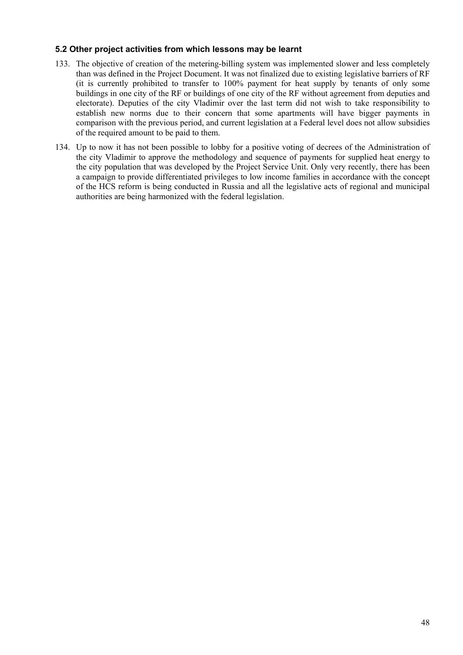#### **5.2 Other project activities from which lessons may be learnt**

- 133. The objective of creation of the metering-billing system was implemented slower and less completely than was defined in the Project Document. It was not finalized due to existing legislative barriers of RF (it is currently prohibited to transfer to 100% payment for heat supply by tenants of only some buildings in one city of the RF or buildings of one city of the RF without agreement from deputies and electorate). Deputies of the city Vladimir over the last term did not wish to take responsibility to establish new norms due to their concern that some apartments will have bigger payments in comparison with the previous period, and current legislation at a Federal level does not allow subsidies of the required amount to be paid to them.
- 134. Up to now it has not been possible to lobby for a positive voting of decrees of the Administration of the city Vladimir to approve the methodology and sequence of payments for supplied heat energy to the city population that was developed by the Project Service Unit. Only very recently, there has been a campaign to provide differentiated privileges to low income families in accordance with the concept of the HCS reform is being conducted in Russia and all the legislative acts of regional and municipal authorities are being harmonized with the federal legislation.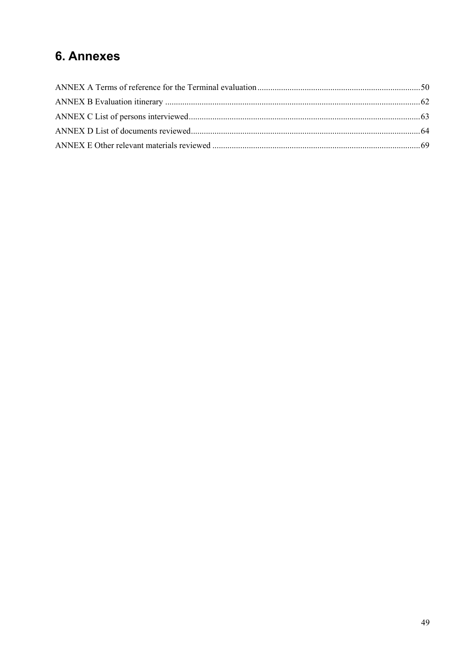# **6. Annexes**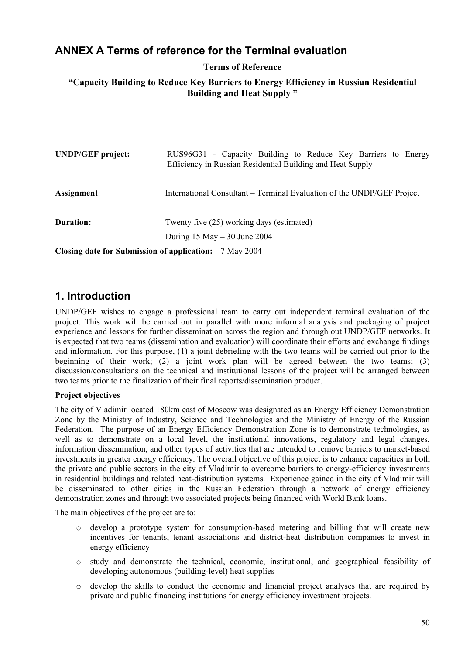### <span id="page-57-0"></span>**ANNEX A Terms of reference for the Terminal evaluation**

#### **Terms of Reference**

### **"Capacity Building to Reduce Key Barriers to Energy Efficiency in Russian Residential Building and Heat Supply "**

| <b>UNDP/GEF</b> project:                               | RUS96G31 - Capacity Building to Reduce Key Barriers to Energy<br>Efficiency in Russian Residential Building and Heat Supply |  |
|--------------------------------------------------------|-----------------------------------------------------------------------------------------------------------------------------|--|
| Assignment:                                            | International Consultant – Terminal Evaluation of the UNDP/GEF Project                                                      |  |
| Duration:                                              | Twenty five (25) working days (estimated)<br>During $15$ May $-30$ June 2004                                                |  |
| Closing date for Submission of application: 7 May 2004 |                                                                                                                             |  |

### **1. Introduction**

UNDP/GEF wishes to engage a professional team to carry out independent terminal evaluation of the project. This work will be carried out in parallel with more informal analysis and packaging of project experience and lessons for further dissemination across the region and through out UNDP/GEF networks. It is expected that two teams (dissemination and evaluation) will coordinate their efforts and exchange findings and information. For this purpose, (1) a joint debriefing with the two teams will be carried out prior to the beginning of their work; (2) a joint work plan will be agreed between the two teams; (3) discussion/consultations on the technical and institutional lessons of the project will be arranged between two teams prior to the finalization of their final reports/dissemination product.

#### **Project objectives**

The city of Vladimir located 180km east of Moscow was designated as an Energy Efficiency Demonstration Zone by the Ministry of Industry, Science and Technologies and the Ministry of Energy of the Russian Federation. The purpose of an Energy Efficiency Demonstration Zone is to demonstrate technologies, as well as to demonstrate on a local level, the institutional innovations, regulatory and legal changes, information dissemination, and other types of activities that are intended to remove barriers to market-based investments in greater energy efficiency. The overall objective of this project is to enhance capacities in both the private and public sectors in the city of Vladimir to overcome barriers to energy-efficiency investments in residential buildings and related heat-distribution systems. Experience gained in the city of Vladimir will be disseminated to other cities in the Russian Federation through a network of energy efficiency demonstration zones and through two associated projects being financed with World Bank loans.

The main objectives of the project are to:

- o develop a prototype system for consumption-based metering and billing that will create new incentives for tenants, tenant associations and district-heat distribution companies to invest in energy efficiency
- o study and demonstrate the technical, economic, institutional, and geographical feasibility of developing autonomous (building-level) heat supplies
- o develop the skills to conduct the economic and financial project analyses that are required by private and public financing institutions for energy efficiency investment projects.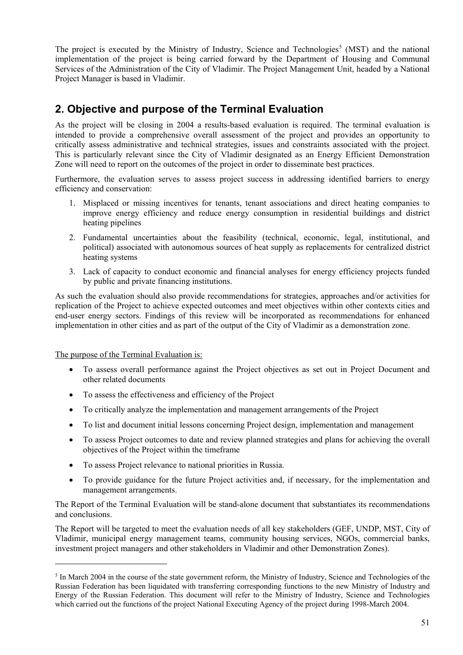The project is executed by the Ministry of Industry, Science and Technologies<sup>[5](#page-60-0)</sup> (MST) and the national implementation of the project is being carried forward by the Department of Housing and Communal Services of the Administration of the City of Vladimir. The Project Management Unit, headed by a National Project Manager is based in Vladimir.

## **2. Objective and purpose of the Terminal Evaluation**

As the project will be closing in 2004 a results-based evaluation is required. The terminal evaluation is intended to provide a comprehensive overall assessment of the project and provides an opportunity to critically assess administrative and technical strategies, issues and constraints associated with the project. This is particularly relevant since the City of Vladimir designated as an Energy Efficient Demonstration Zone will need to report on the outcomes of the project in order to disseminate best practices.

Furthermore, the evaluation serves to assess project success in addressing identified barriers to energy efficiency and conservation:

- 1. Misplaced or missing incentives for tenants, tenant associations and direct heating companies to improve energy efficiency and reduce energy consumption in residential buildings and district heating pipelines
- 2. Fundamental uncertainties about the feasibility (technical, economic, legal, institutional, and political) associated with autonomous sources of heat supply as replacements for centralized district heating systems
- 3. Lack of capacity to conduct economic and financial analyses for energy efficiency projects funded by public and private financing institutions.

As such the evaluation should also provide recommendations for strategies, approaches and/or activities for replication of the Project to achieve expected outcomes and meet objectives within other contexts cities and end-user energy sectors. Findings of this review will be incorporated as recommendations for enhanced implementation in other cities and as part of the output of the City of Vladimir as a demonstration zone.

The purpose of the Terminal Evaluation is:

<u>.</u>

- To assess overall performance against the Project objectives as set out in Project Document and other related documents
- To assess the effectiveness and efficiency of the Project
- To critically analyze the implementation and management arrangements of the Project
- To list and document initial lessons concerning Project design, implementation and management
- To assess Project outcomes to date and review planned strategies and plans for achieving the overall objectives of the Project within the timeframe
- To assess Project relevance to national priorities in Russia.
- To provide guidance for the future Project activities and, if necessary, for the implementation and management arrangements.

The Report of the Terminal Evaluation will be stand-alone document that substantiates its recommendations and conclusions.

The Report will be targeted to meet the evaluation needs of all key stakeholders (GEF, UNDP, MST, City of Vladimir, municipal energy management teams, community housing services, NGOs, commercial banks, investment project managers and other stakeholders in Vladimir and other Demonstration Zones).

<sup>&</sup>lt;sup>5</sup> In March 2004 in the course of the state government reform, the Ministry of Industry, Science and Technologies of the Russian Federation has been liquidated with transferring corresponding functions to the new Ministry of Industry and Energy of the Russian Federation. This document will refer to the Ministry of Industry, Science and Technologies which carried out the functions of the project National Executing Agency of the project during 1998-March 2004.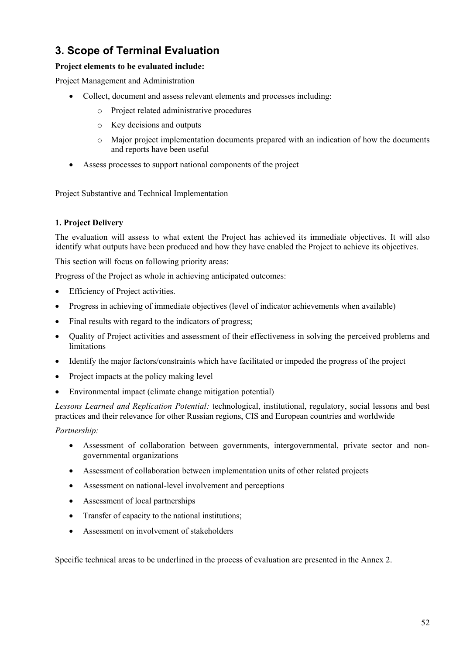## **3. Scope of Terminal Evaluation**

### **Project elements to be evaluated include:**

Project Management and Administration

- Collect, document and assess relevant elements and processes including:
	- o Project related administrative procedures
	- o Key decisions and outputs
	- o Major project implementation documents prepared with an indication of how the documents and reports have been useful
- Assess processes to support national components of the project

Project Substantive and Technical Implementation

### **1. Project Delivery**

The evaluation will assess to what extent the Project has achieved its immediate objectives. It will also identify what outputs have been produced and how they have enabled the Project to achieve its objectives.

This section will focus on following priority areas:

Progress of the Project as whole in achieving anticipated outcomes:

- Efficiency of Project activities.
- Progress in achieving of immediate objectives (level of indicator achievements when available)
- Final results with regard to the indicators of progress;
- Quality of Project activities and assessment of their effectiveness in solving the perceived problems and limitations
- Identify the major factors/constraints which have facilitated or impeded the progress of the project
- Project impacts at the policy making level
- Environmental impact (climate change mitigation potential)

*Lessons Learned and Replication Potential:* technological, institutional, regulatory, social lessons and best practices and their relevance for other Russian regions, CIS and European countries and worldwide

### *Partnership:*

- Assessment of collaboration between governments, intergovernmental, private sector and nongovernmental organizations
- Assessment of collaboration between implementation units of other related projects
- Assessment on national-level involvement and perceptions
- Assessment of local partnerships
- Transfer of capacity to the national institutions:
- Assessment on involvement of stakeholders

Specific technical areas to be underlined in the process of evaluation are presented in the Annex 2.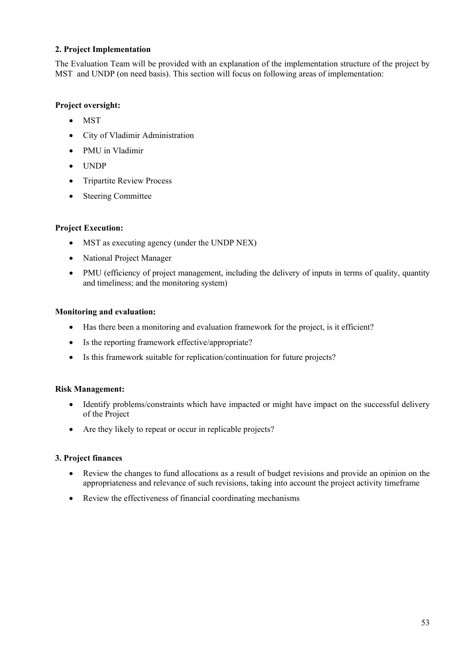#### **2. Project Implementation**

The Evaluation Team will be provided with an explanation of the implementation structure of the project by MST and UNDP (on need basis). This section will focus on following areas of implementation:

#### **Project oversight:**

- MST
- City of Vladimir Administration
- PMU in Vladimir
- UNDP
- Tripartite Review Process
- Steering Committee

#### **Project Execution:**

- MST as executing agency (under the UNDP NEX)
- National Project Manager
- PMU (efficiency of project management, including the delivery of inputs in terms of quality, quantity and timeliness; and the monitoring system)

#### **Monitoring and evaluation:**

- Has there been a monitoring and evaluation framework for the project, is it efficient?
- Is the reporting framework effective/appropriate?
- Is this framework suitable for replication/continuation for future projects?

#### **Risk Management:**

- Identify problems/constraints which have impacted or might have impact on the successful delivery of the Project
- Are they likely to repeat or occur in replicable projects?

#### **3. Project finances**

- Review the changes to fund allocations as a result of budget revisions and provide an opinion on the appropriateness and relevance of such revisions, taking into account the project activity timeframe
- <span id="page-60-0"></span>• Review the effectiveness of financial coordinating mechanisms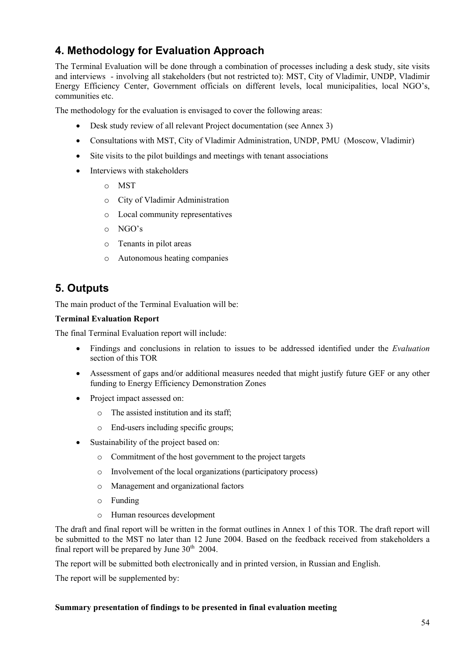## **4. Methodology for Evaluation Approach**

The Terminal Evaluation will be done through a combination of processes including a desk study, site visits and interviews - involving all stakeholders (but not restricted to): MST, City of Vladimir, UNDP, Vladimir Energy Efficiency Center, Government officials on different levels, local municipalities, local NGO's, communities etc.

The methodology for the evaluation is envisaged to cover the following areas:

- Desk study review of all relevant Project documentation (see Annex 3)
- Consultations with MST, City of Vladimir Administration, UNDP, PMU (Moscow, Vladimir)
- Site visits to the pilot buildings and meetings with tenant associations
- Interviews with stakeholders
	- o MST
	- o City of Vladimir Administration
	- o Local community representatives
	- o NGO's
	- o Tenants in pilot areas
	- o Autonomous heating companies

### **5. Outputs**

The main product of the Terminal Evaluation will be:

#### **Terminal Evaluation Report**

The final Terminal Evaluation report will include:

- Findings and conclusions in relation to issues to be addressed identified under the *Evaluation* section of this TOR
- Assessment of gaps and/or additional measures needed that might justify future GEF or any other funding to Energy Efficiency Demonstration Zones
- Project impact assessed on:
	- o The assisted institution and its staff;
	- o End-users including specific groups;
- Sustainability of the project based on:
	- o Commitment of the host government to the project targets
	- o Involvement of the local organizations (participatory process)
	- o Management and organizational factors
	- o Funding
	- o Human resources development

The draft and final report will be written in the format outlines in Annex 1 of this TOR. The draft report will be submitted to the MST no later than 12 June 2004. Based on the feedback received from stakeholders a final report will be prepared by June  $30<sup>th</sup>$  2004.

The report will be submitted both electronically and in printed version, in Russian and English.

The report will be supplemented by:

#### **Summary presentation of findings to be presented in final evaluation meeting**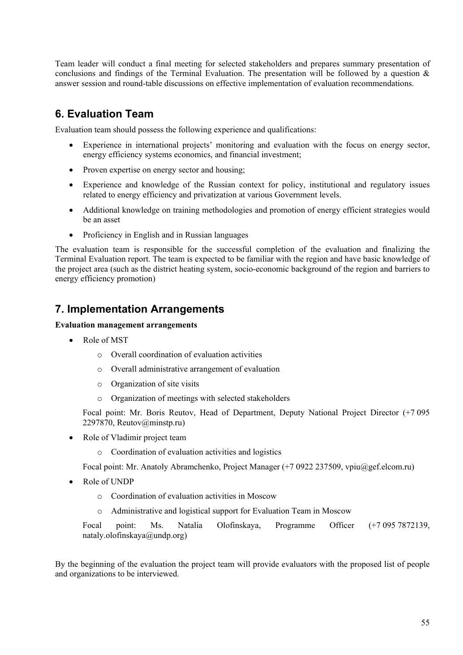Team leader will conduct a final meeting for selected stakeholders and prepares summary presentation of conclusions and findings of the Terminal Evaluation. The presentation will be followed by a question & answer session and round-table discussions on effective implementation of evaluation recommendations.

## **6. Evaluation Team**

Evaluation team should possess the following experience and qualifications:

- Experience in international projects' monitoring and evaluation with the focus on energy sector, energy efficiency systems economics, and financial investment;
- Proven expertise on energy sector and housing;
- Experience and knowledge of the Russian context for policy, institutional and regulatory issues related to energy efficiency and privatization at various Government levels.
- Additional knowledge on training methodologies and promotion of energy efficient strategies would be an asset
- Proficiency in English and in Russian languages

The evaluation team is responsible for the successful completion of the evaluation and finalizing the Terminal Evaluation report. The team is expected to be familiar with the region and have basic knowledge of the project area (such as the district heating system, socio-economic background of the region and barriers to energy efficiency promotion)

### **7. Implementation Arrangements**

#### **Evaluation management arrangements**

- Role of MST
	- o Overall coordination of evaluation activities
	- o Overall administrative arrangement of evaluation
	- o Organization of site visits
	- o Organization of meetings with selected stakeholders

Focal point: Mr. Boris Reutov, Head of Department, Deputy National Project Director (+7 095 2297870, Reutov@minstp.ru)

- Role of Vladimir project team
	- o Coordination of evaluation activities and logistics

Focal point: Mr. Anatoly Abramchenko, Project Manager (+7 0922 237509, vpiu@gef.elcom.ru)

- Role of UNDP
	- o Coordination of evaluation activities in Moscow
	- o Administrative and logistical support for Evaluation Team in Moscow

Focal point: Ms. Natalia Olofinskaya, Programme Officer (+7 095 7872139, [nataly.olofinskaya@undp.org\)](mailto:nataly.olofinskaya@undp.org)

By the beginning of the evaluation the project team will provide evaluators with the proposed list of people and organizations to be interviewed.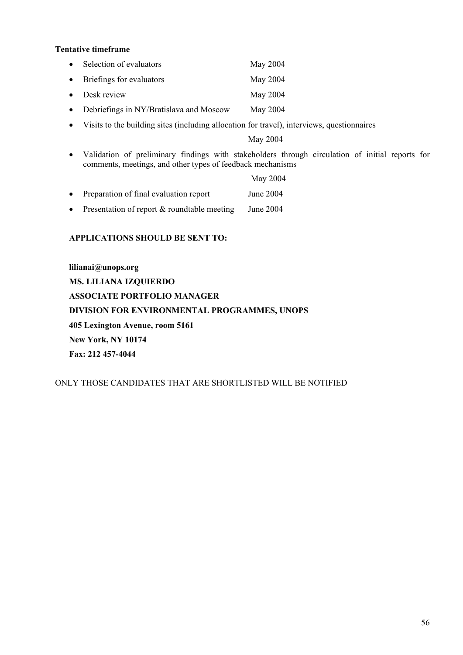#### **Tentative timeframe**

| $\bullet$ | Selection of evaluators                 | May 2004 |
|-----------|-----------------------------------------|----------|
|           | • Briefings for evaluators              | May 2004 |
|           | $\bullet$ Desk review                   | May 2004 |
| $\bullet$ | Debriefings in NY/Bratislava and Moscow | May 2004 |

• Visits to the building sites (including allocation for travel), interviews, questionnaires

May 2004

• Validation of preliminary findings with stakeholders through circulation of initial reports for comments, meetings, and other types of feedback mechanisms

|           |                                             | May 2004  |
|-----------|---------------------------------------------|-----------|
| $\bullet$ | Preparation of final evaluation report      | June 2004 |
| $\bullet$ | Presentation of report & roundtable meeting | June 2004 |

#### **APPLICATIONS SHOULD BE SENT TO:**

**lilianai@unops.org MS. LILIANA IZQUIERDO ASSOCIATE PORTFOLIO MANAGER DIVISION FOR ENVIRONMENTAL PROGRAMMES, UNOPS 405 Lexington Avenue, room 5161 New York, NY 10174 Fax: 212 457-4044**

ONLY THOSE CANDIDATES THAT ARE SHORTLISTED WILL BE NOTIFIED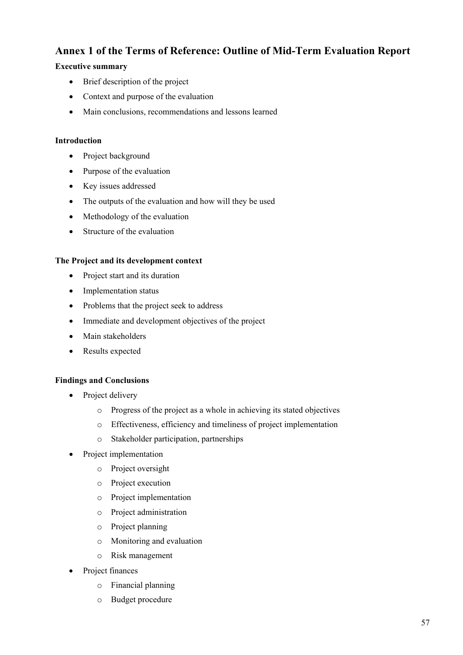### **Annex 1 of the Terms of Reference: Outline of Mid-Term Evaluation Report**

### **Executive summary**

- Brief description of the project
- Context and purpose of the evaluation
- Main conclusions, recommendations and lessons learned

### **Introduction**

- Project background
- Purpose of the evaluation
- Key issues addressed
- The outputs of the evaluation and how will they be used
- Methodology of the evaluation
- Structure of the evaluation

#### **The Project and its development context**

- Project start and its duration
- Implementation status
- Problems that the project seek to address
- Immediate and development objectives of the project
- Main stakeholders
- Results expected

#### **Findings and Conclusions**

- Project delivery
	- o Progress of the project as a whole in achieving its stated objectives
	- o Effectiveness, efficiency and timeliness of project implementation
	- o Stakeholder participation, partnerships
- Project implementation
	- o Project oversight
	- o Project execution
	- o Project implementation
	- o Project administration
	- o Project planning
	- o Monitoring and evaluation
	- o Risk management
- Project finances
	- o Financial planning
	- o Budget procedure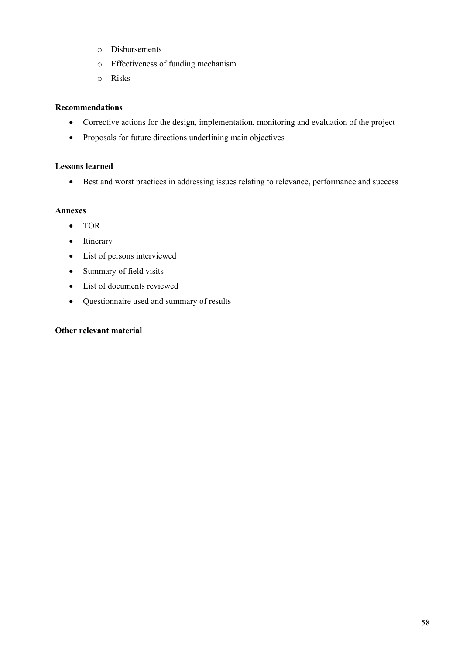- o Disbursements
- o Effectiveness of funding mechanism
- o Risks

#### **Recommendations**

- Corrective actions for the design, implementation, monitoring and evaluation of the project
- Proposals for future directions underlining main objectives

#### **Lessons learned**

• Best and worst practices in addressing issues relating to relevance, performance and success

#### **Annexes**

- TOR
- Itinerary
- List of persons interviewed
- Summary of field visits
- List of documents reviewed
- Questionnaire used and summary of results

### **Other relevant material**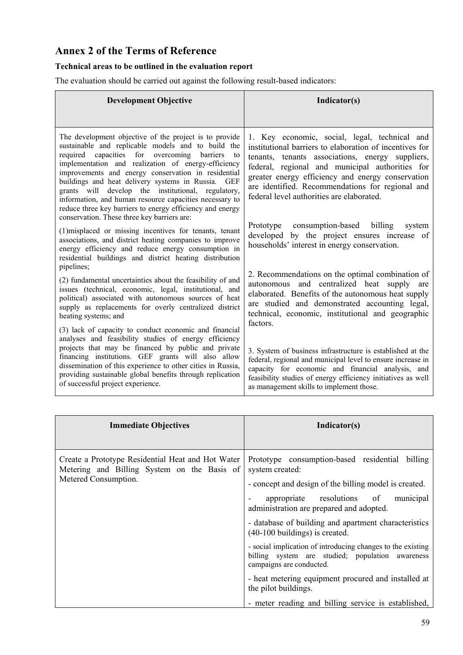## **Annex 2 of the Terms of Reference**

### **Technical areas to be outlined in the evaluation report**

The evaluation should be carried out against the following result-based indicators:

| <b>Development Objective</b>                                                                                                                                                                                                                                                                                                                                                                                                                                                                                                  | Indicator(s)                                                                                                                                                                                                                                                                                                                                                          |
|-------------------------------------------------------------------------------------------------------------------------------------------------------------------------------------------------------------------------------------------------------------------------------------------------------------------------------------------------------------------------------------------------------------------------------------------------------------------------------------------------------------------------------|-----------------------------------------------------------------------------------------------------------------------------------------------------------------------------------------------------------------------------------------------------------------------------------------------------------------------------------------------------------------------|
| The development objective of the project is to provide<br>sustainable and replicable models and to build the<br>required capacities for overcoming barriers<br>to<br>implementation and realization of energy-efficiency<br>improvements and energy conservation in residential<br>buildings and heat delivery systems in Russia.<br><b>GEF</b><br>grants will develop the institutional, regulatory,<br>information, and human resource capacities necessary to<br>reduce three key barriers to energy efficiency and energy | 1. Key economic, social, legal, technical and<br>institutional barriers to elaboration of incentives for<br>tenants, tenants associations, energy suppliers,<br>federal, regional and municipal authorities for<br>greater energy efficiency and energy conservation<br>are identified. Recommendations for regional and<br>federal level authorities are elaborated. |
| conservation. These three key barriers are:<br>(1) misplaced or missing incentives for tenants, tenant<br>associations, and district heating companies to improve<br>energy efficiency and reduce energy consumption in<br>residential buildings and district heating distribution<br>pipelines;                                                                                                                                                                                                                              | consumption-based billing<br>Prototype<br>system<br>developed by the project ensures increase of<br>households' interest in energy conservation.                                                                                                                                                                                                                      |
| (2) fundamental uncertainties about the feasibility of and<br>issues (technical, economic, legal, institutional, and<br>political) associated with autonomous sources of heat<br>supply as replacements for overly centralized district<br>heating systems; and                                                                                                                                                                                                                                                               | 2. Recommendations on the optimal combination of<br>autonomous and centralized heat supply are<br>elaborated. Benefits of the autonomous heat supply<br>are studied and demonstrated accounting legal,<br>technical, economic, institutional and geographic<br>factors.                                                                                               |
| (3) lack of capacity to conduct economic and financial<br>analyses and feasibility studies of energy efficiency<br>projects that may be financed by public and private<br>financing institutions. GEF grants will also allow<br>dissemination of this experience to other cities in Russia,<br>providing sustainable global benefits through replication<br>of successful project experience.                                                                                                                                 | 3. System of business infrastructure is established at the<br>federal, regional and municipal level to ensure increase in<br>capacity for economic and financial analysis, and<br>feasibility studies of energy efficiency initiatives as well<br>as management skills to implement those.                                                                            |

| <b>Immediate Objectives</b>                                                                                              | Indicator(s)                                                                                                                                 |
|--------------------------------------------------------------------------------------------------------------------------|----------------------------------------------------------------------------------------------------------------------------------------------|
| Create a Prototype Residential Heat and Hot Water<br>Metering and Billing System on the Basis of<br>Metered Consumption. | Prototype consumption-based residential billing<br>system created:                                                                           |
|                                                                                                                          | - concept and design of the billing model is created.<br>appropriate resolutions of<br>municipal<br>administration are prepared and adopted. |
|                                                                                                                          | - database of building and apartment characteristics<br>$(40-100$ buildings) is created.                                                     |
|                                                                                                                          | - social implication of introducing changes to the existing<br>billing system are studied; population awareness<br>campaigns are conducted.  |
|                                                                                                                          | - heat metering equipment procured and installed at<br>the pilot buildings.                                                                  |
|                                                                                                                          | - meter reading and billing service is established,                                                                                          |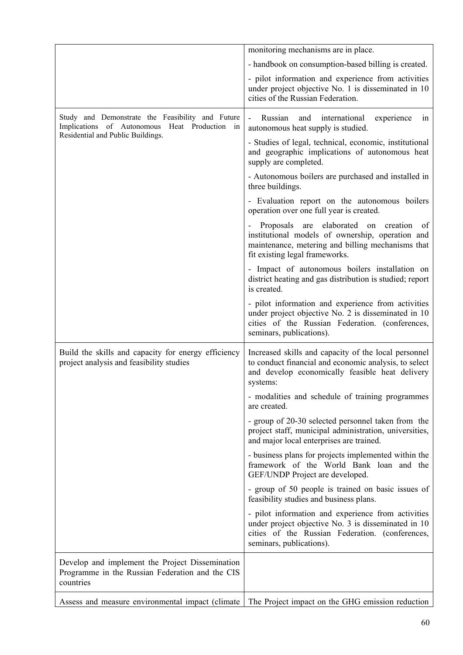|                                                                                                                                        | monitoring mechanisms are in place.                                                                                                                                                                 |
|----------------------------------------------------------------------------------------------------------------------------------------|-----------------------------------------------------------------------------------------------------------------------------------------------------------------------------------------------------|
|                                                                                                                                        | - handbook on consumption-based billing is created.                                                                                                                                                 |
|                                                                                                                                        | - pilot information and experience from activities<br>under project objective No. 1 is disseminated in 10<br>cities of the Russian Federation.                                                      |
| Study and Demonstrate the Feasibility and Future<br>Implications of Autonomous Heat Production in<br>Residential and Public Buildings. | Russian<br>international<br>experience<br>and<br>$\qquad \qquad \blacksquare$<br>1n<br>autonomous heat supply is studied.                                                                           |
|                                                                                                                                        | - Studies of legal, technical, economic, institutional<br>and geographic implications of autonomous heat<br>supply are completed.                                                                   |
|                                                                                                                                        | - Autonomous boilers are purchased and installed in<br>three buildings.                                                                                                                             |
|                                                                                                                                        | - Evaluation report on the autonomous boilers<br>operation over one full year is created.                                                                                                           |
|                                                                                                                                        | Proposals are elaborated<br>on creation<br><sub>of</sub><br>institutional models of ownership, operation and<br>maintenance, metering and billing mechanisms that<br>fit existing legal frameworks. |
|                                                                                                                                        | - Impact of autonomous boilers installation on<br>district heating and gas distribution is studied; report<br>is created.                                                                           |
|                                                                                                                                        | - pilot information and experience from activities<br>under project objective No. 2 is disseminated in 10<br>cities of the Russian Federation. (conferences,<br>seminars, publications).            |
| Build the skills and capacity for energy efficiency<br>project analysis and feasibility studies                                        | Increased skills and capacity of the local personnel<br>to conduct financial and economic analysis, to select<br>and develop economically feasible heat delivery<br>systems:                        |
|                                                                                                                                        | - modalities and schedule of training programmes<br>are created.                                                                                                                                    |
|                                                                                                                                        | - group of 20-30 selected personnel taken from the<br>project staff, municipal administration, universities,<br>and major local enterprises are trained.                                            |
|                                                                                                                                        | - business plans for projects implemented within the<br>framework of the World Bank loan and the<br>GEF/UNDP Project are developed.                                                                 |
|                                                                                                                                        | - group of 50 people is trained on basic issues of<br>feasibility studies and business plans.                                                                                                       |
|                                                                                                                                        | - pilot information and experience from activities<br>under project objective No. 3 is disseminated in 10<br>cities of the Russian Federation. (conferences,<br>seminars, publications).            |
| Develop and implement the Project Dissemination<br>Programme in the Russian Federation and the CIS<br>countries                        |                                                                                                                                                                                                     |
| Assess and measure environmental impact (climate                                                                                       | The Project impact on the GHG emission reduction                                                                                                                                                    |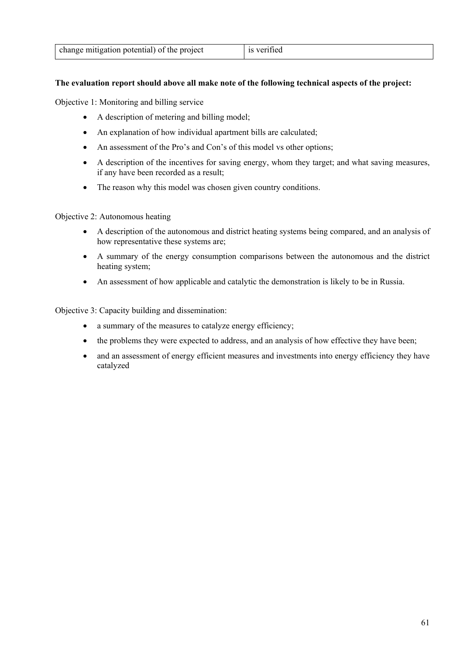#### **The evaluation report should above all make note of the following technical aspects of the project:**

Objective 1: Monitoring and billing service

- A description of metering and billing model;
- An explanation of how individual apartment bills are calculated;
- An assessment of the Pro's and Con's of this model vs other options;
- A description of the incentives for saving energy, whom they target; and what saving measures, if any have been recorded as a result;
- The reason why this model was chosen given country conditions.

Objective 2: Autonomous heating

- A description of the autonomous and district heating systems being compared, and an analysis of how representative these systems are;
- A summary of the energy consumption comparisons between the autonomous and the district heating system;
- An assessment of how applicable and catalytic the demonstration is likely to be in Russia.

Objective 3: Capacity building and dissemination:

- a summary of the measures to catalyze energy efficiency;
- the problems they were expected to address, and an analysis of how effective they have been;
- and an assessment of energy efficient measures and investments into energy efficiency they have catalyzed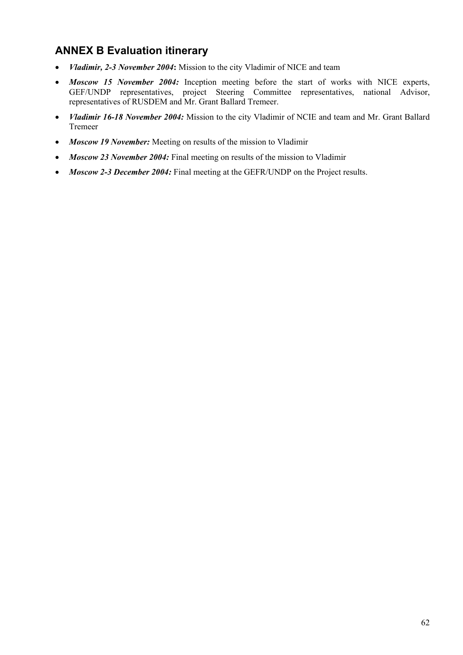## <span id="page-69-0"></span>**ANNEX B Evaluation itinerary**

- *Vladimir, 2-3 November 2004***:** Mission to the city Vladimir of NICE and team
- *Moscow 15 November 2004:* Inception meeting before the start of works with NICE experts, GEF/UNDP representatives, project Steering Committee representatives, national Advisor, representatives of RUSDEM and Mr. Grant Ballard Tremeer.
- *Vladimir 16-18 November 2004:* Mission to the city Vladimir of NCIE and team and Mr. Grant Ballard Tremeer
- *Moscow 19 November:* Meeting on results of the mission to Vladimir
- *Moscow 23 November 2004:* Final meeting on results of the mission to Vladimir
- *Moscow 2-3 December 2004:* Final meeting at the GEFR/UNDP on the Project results.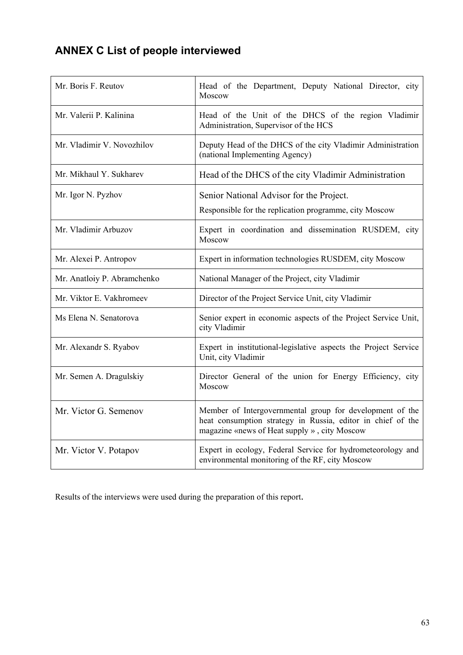# <span id="page-70-0"></span>**ANNEX C List of people interviewed**

| Mr. Boris F. Reutov         | Head of the Department, Deputy National Director, city<br>Moscow                                                                                                        |
|-----------------------------|-------------------------------------------------------------------------------------------------------------------------------------------------------------------------|
| Mr. Valerii P. Kalinina     | Head of the Unit of the DHCS of the region Vladimir<br>Administration, Supervisor of the HCS                                                                            |
| Mr. Vladimir V. Novozhilov  | Deputy Head of the DHCS of the city Vladimir Administration<br>(national Implementing Agency)                                                                           |
| Mr. Mikhaul Y. Sukharev     | Head of the DHCS of the city Vladimir Administration                                                                                                                    |
| Mr. Igor N. Pyzhov          | Senior National Advisor for the Project.<br>Responsible for the replication programme, city Moscow                                                                      |
| Mr. Vladimir Arbuzov        | Expert in coordination and dissemination RUSDEM, city<br>Moscow                                                                                                         |
| Mr. Alexei P. Antropov      | Expert in information technologies RUSDEM, city Moscow                                                                                                                  |
| Mr. Anatloiy P. Abramchenko | National Manager of the Project, city Vladimir                                                                                                                          |
| Mr. Viktor E. Vakhromeev    | Director of the Project Service Unit, city Vladimir                                                                                                                     |
| Ms Elena N. Senatorova      | Senior expert in economic aspects of the Project Service Unit,<br>city Vladimir                                                                                         |
| Mr. Alexandr S. Ryabov      | Expert in institutional-legislative aspects the Project Service<br>Unit, city Vladimir                                                                                  |
| Mr. Semen A. Dragulskiy     | Director General of the union for Energy Efficiency, city<br>Moscow                                                                                                     |
| Mr. Victor G. Semenov       | Member of Intergovernmental group for development of the<br>heat consumption strategy in Russia, editor in chief of the<br>magazine «news of Heat supply », city Moscow |
| Mr. Victor V. Potapov       | Expert in ecology, Federal Service for hydrometeorology and<br>environmental monitoring of the RF, city Moscow                                                          |

Results of the interviews were used during the preparation of this report.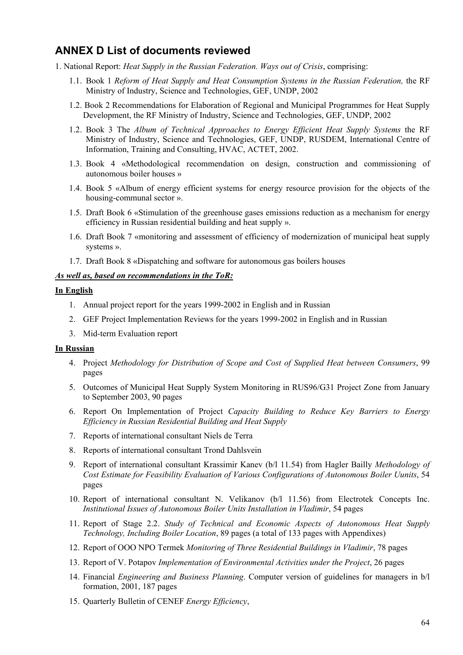### <span id="page-71-0"></span>**ANNEX D List of documents reviewed**

- 1. National Report: *Heat Supply in the Russian Federation. Ways out of Crisis*, comprising:
	- 1.1. Book 1 *Reform of Heat Supply and Heat Consumption Systems in the Russian Federation,* the RF Ministry of Industry, Science and Technologies, GEF, UNDP, 2002
	- 1.2. Book 2 Recommendations for Elaboration of Regional and Municipal Programmes for Heat Supply Development, the RF Ministry of Industry, Science and Technologies, GEF, UNDP, 2002
	- 1.2. Book 3 The *Album of Technical Approaches to Energy Efficient Heat Supply Systems* the RF Ministry of Industry, Science and Technologies, GEF, UNDP, RUSDEM, International Centre of Information, Training and Consulting, HVAC, ACTET, 2002.
	- 1.3. Book 4 «Methodological recommendation on design, construction and commissioning of autonomous boiler houses »
	- 1.4. Book 5 «Album of energy efficient systems for energy resource provision for the objects of the housing-communal sector ».
	- 1.5. Draft Book 6 «Stimulation of the greenhouse gases emissions reduction as a mechanism for energy efficiency in Russian residential building and heat supply ».
	- 1.6. Draft Book 7 «monitoring and assessment of efficiency of modernization of municipal heat supply systems ».
	- 1.7. Draft Book 8 «Dispatching and software for autonomous gas boilers houses

#### *As well as, based on recommendations in the ToR:*

#### **In English**

- 1. Annual project report for the years 1999-2002 in English and in Russian
- 2. GEF Project Implementation Reviews for the years 1999-2002 in English and in Russian
- 3. Mid-term Evaluation report

#### **In Russian**

- 4. Project *Methodology for Distribution of Scope and Cost of Supplied Heat between Consumers*, 99 pages
- 5. Outcomes of Municipal Heat Supply System Monitoring in RUS96/G31 Project Zone from January to September 2003, 90 pages
- 6. Report On Implementation of Project *Capacity Building to Reduce Key Barriers to Energy Efficiency in Russian Residential Building and Heat Supply*
- 7. Reports of international consultant Niels de Terra
- 8. Reports of international consultant Trond Dahlsvein
- 9. Report of international consultant Krassimir Kanev (b/l 11.54) from Hagler Bailly *Methodology of Cost Estimate for Feasibility Evaluation of Various Configurations of Autonomous Boiler Uunits*, 54 pages
- 10. Report of international consultant N. Velikanov (b/l 11.56) from Electrotek Concepts Inc. *Institutional Issues of Autonomous Boiler Units Installation in Vladimir*, 54 pages
- 11. Report of Stage 2.2. *Study of Technical and Economic Aspects of Autonomous Heat Supply Technology, Including Boiler Location*, 89 pages (a total of 133 pages with Appendixes)
- 12. Report of OOO NPO Termek *Monitoring of Three Residential Buildings in Vladimir*, 78 pages
- 13. Report of V. Potapov *Implementation of Environmental Activities under the Project*, 26 pages
- 14. Financial *Engineering and Business Planning*. Computer version of guidelines for managers in b/l formation, 2001, 187 pages
- 15. Quarterly Bulletin of CENEF *Energy Efficiency*,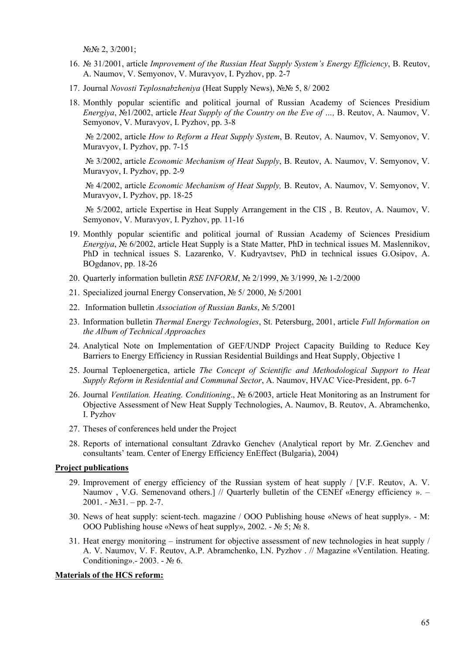№№ 2, 3/2001;

- 16. № 31/2001, article *Improvement of the Russian Heat Supply System's Energy Efficiency*, B. Reutov, A. Naumov, V. Semyonov, V. Muravyov, I. Pyzhov, pp. 2-7
- 17. Journal *Novosti Teplosnabzheniya* (Heat Supply News), №№ 5, 8/ 2002
- 18. Monthly popular scientific and political journal of Russian Academy of Sciences Presidium *Energiya*, №1/2002, article *Heat Supply of the Country on the Eve of …,* B. Reutov, A. Naumov, V. Semyonov, V. Muravyov, I. Pyzhov, pp. 3-8

№ 2/2002, article *How to Reform a Heat Supply System*, B. Reutov, A. Naumov, V. Semyonov, V. Muravyov, I. Pyzhov, pp. 7-15

№ 3/2002, article *Economic Mechanism of Heat Supply*, B. Reutov, A. Naumov, V. Semyonov, V. Muravyov, I. Pyzhov, pp. 2-9

№ 4/2002, article *Economic Mechanism of Heat Supply,* B. Reutov, A. Naumov, V. Semyonov, V. Muravyov, I. Pyzhov, pp. 18-25

№ 5/2002, article Expertise in Heat Supply Arrangement in the CIS , B. Reutov, A. Naumov, V. Semyonov, V. Muravyov, I. Pyzhov, pp. 11-16

- 19. Monthly popular scientific and political journal of Russian Academy of Sciences Presidium *Energiya*, № 6/2002, article Heat Supply is a State Matter, PhD in technical issues М. Maslennikov, PhD in technical issues S. Lazarenko, V. Kudryavtsev, PhD in technical issues G.Osipov, A. BOgdanov, pp. 18-26
- 20. Quarterly information bulletin *RSE INFORM*, № 2/1999, № 3/1999, № 1-2/2000
- 21. Specialized journal Energy Conservation, № 5/ 2000, № 5/2001
- 22. Information bulletin *Association of Russian Banks*, № 5/2001
- 23. Information bulletin *Thermal Energy Technologies*, St. Petersburg, 2001, article *Full Information on the Album of Technical Approaches*
- 24. Analytical Note on Implementation of GEF/UNDP Project Capacity Building to Reduce Key Barriers to Energy Efficiency in Russian Residential Buildings and Heat Supply, Objective 1
- 25. Journal Teploenergetica, article *The Concept of Scientific and Methodological Support to Heat Supply Reform in Residential and Communal Sector*, A. Naumov, HVAC Vice-President, pp. 6-7
- 26. Journal *Ventilation. Heating. Conditioning*., № 6/2003, article Heat Monitoring as an Instrument for Objective Assessment of New Heat Supply Technologies, A. Naumov, B. Reutov, A. Abramchenko, I. Pyzhov
- 27. Theses of conferences held under the Project
- 28. Reports of international consultant Zdravko Genchev (Analytical report by Mr. Z.Genchev and consultants' team. Center of Energy Efficiency EnEffect (Bulgaria), 2004)

## **Project publications**

- 29. Improvement of energy efficiency of the Russian system of heat supply / [V.F. Reutov, А. V. Naumov, V.G. Semenovand others.] // Quarterly bulletin of the CENEf «Energy efficiency ». –  $2001. - N<sub>2</sub>31. - pp. 2-7.$
- 30. News of heat supply: scient-tech. magazine / ООО Publishing house «News of heat supply». М: ООО Publishing house «News of heat supply», 2002. - № 5; № 8.
- 31. Heat energy monitoring instrument for objective assessment of new technologies in heat supply / А. V. Naumov, V. F. Reutov, А.P. Аbramchenko, I.N. Pyzhov . // Magazine «Ventilation. Heating. Conditioning».- 2003. - № 6.

# **Materials of the HCS reform:**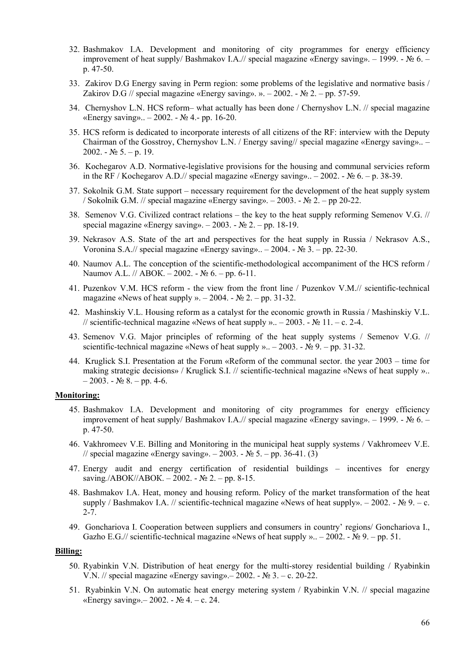- 32. Bashmakov I.A. Development and monitoring of city programmes for energy efficiency improvement of heat supply/ Bashmakov I.A.// special magazine «Energy saving». – 1999. - № 6. – p. 47-50.
- 33. Zakirov D.G Energy saving in Perm region: some problems of the legislative and normative basis / Zakirov D.G // special magazine «Energy saving». ». – 2002. - № 2. – pp. 57-59.
- 34. Chernyshov L.N. HCS reform– what actually has been done / Chernyshov L.N. // special magazine «Energy saving».. – 2002. - № 4.- pp. 16-20.
- 35. HCS reform is dedicated to incorporate interests of all citizens of the RF: interview with the Deputy Chairman of the Gosstroy, Chernyshov L.N. / Energy saving// special magazine «Energy saving».. – 2002. -  $N_2$  5. – p. 19.
- 36. Kochegarov A.D. Normative-legislative provisions for the housing and communal servicies reform in the RF / Kochegarov A.D.// special magazine «Energy saving».. – 2002. -  $\mathbb{N}_2$  6. – p. 38-39.
- 37. Sokolnik G.M. State support necessary requirement for the development of the heat supply system / Sokolnik G.M. // special magazine «Energy saving». – 2003. - № 2. – pp 20-22.
- 38. Semenov V.G. Civilized contract relations the key to the heat supply reforming Semenov V.G. // special magazine «Energy saving». – 2003. - № 2. – pp. 18-19.
- 39. Nekrasov A.S. State of the art and perspectives for the heat supply in Russia / Nekrasov A.S., Voronina S.A.// special magazine «Energy saving».. – 2004. - № 3. – pp. 22-30.
- 40. Naumov A.L. The conception of the scientific-methodological accompaniment of the HCS reform / Naumov A.L. // АВОК. – 2002. - № 6. – pp. 6-11.
- 41. Puzenkov V.M. HCS reform the view from the front line / Puzenkov V.M.// scientific-technical magazine «News of heat supply ». – 2004. -  $\mathbb{N}$  2. – pp. 31-32.
- 42. Mashinskiy V.L. Housing reform as a catalyst for the economic growth in Russia / Mashinskiy V.L. // scientific-technical magazine «News of heat supply ».. – 2003. -  $\mathbb{N}$  11. – c. 2-4.
- 43. Semenov V.G. Major principles of reforming of the heat supply systems / Semenov V.G. // scientific-technical magazine «News of heat supply ».. – 2003. - № 9. – pp. 31-32.
- 44. Kruglick S.I. Presentation at the Forum «Reform of the communal sector. the year 2003 time for making strategic decisions» / Kruglick S.I. // scientific-technical magazine «News of heat supply »..  $-2003. - N<sub>2</sub> 8. - pp. 4-6.$

## **Monitoring:**

- 45. Bashmakov I.A. Development and monitoring of city programmes for energy efficiency improvement of heat supply/ Bashmakov I.A.// special magazine «Energy saving». – 1999. - № 6. – p. 47-50.
- 46. Vakhromeev V.E. Billing and Monitoring in the municipal heat supply systems / Vakhromeev V.E. // special magazine «Energy saving». – 2003. - № 5. – pp. 36-41. (3)
- 47. Energy audit and energy certification of residential buildings incentives for energy saving<sub>*.*</sub>/ABOK//ABOK. – 2002. - № 2. – pp. 8-15.
- 48. Bashmakov I.A. Heat, money and housing reform. Policy of the market transformation of the heat supply / Bashmakov I.A. // scientific-technical magazine «News of heat supply». – 2002. - № 9. – с. 2-7.
- 49. Gonchariova I. Cooperation between suppliers and consumers in country' regions/ Gonchariova I., Gazho E.G.// scientific-technical magazine «News of heat supply ».. – 2002. -  $\mathbb{N}$  9. – pp. 51.

#### **Billing:**

- 50. Ryabinkin V.N. Distribution of heat energy for the multi-storey residential building / Ryabinkin V.N. // special magazine «Energy saving». – 2002. - № 3. – с. 20-22.
- 51. Ryabinkin V.N. On automatic heat energy metering system / Ryabinkin V.N. // special magazine «Energy saving».– 2002. - № 4. – с. 24.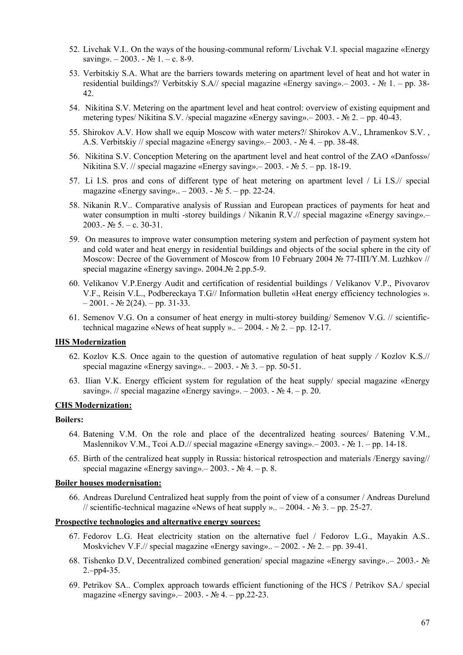- 52. Livchak V.I.. On the ways of the housing-communal reform/ Livchak V.I. special magazine «Energy saving». – 2003. -  $\mathbb{N}$ <sup>o</sup> 1. – c. 8-9.
- 53. Verbitskiy S.A. What are the barriers towards metering on apartment level of heat and hot water in residential buildings?/ Verbitskiy S.A// special magazine «Energy saving». – 2003. - № 1. – pp. 38-42.
- 54. Nikitina S.V. Metering on the apartment level and heat control: overview of existing equipment and metering types/ Nikitina S.V. /special magazine «Energy saving».– 2003. - № 2. – pp. 40-43.
- 55. Shirokov A.V. How shall we equip Moscow with water meters?/ Shirokov A.V., Lhramenkov S.V. , A.S. Verbitskiy // special magazine «Energy saving». – 2003. - № 4. – pp. 38-48.
- 56. Nikitina S.V. Conception Metering on the apartment level and heat control of the ZAO «Danfoss»/ Nikitina S.V. // special magazine «Energy saving».– 2003. - № 5. – pp. 18-19.
- 57. Li I.S. pros and cons of different type of heat metering on apartment level / Li I.S.// special magazine «Energy saving».. – 2003. - № 5. – pp. 22-24.
- 58. Nikanin R.V.. Comparative analysis of Russian and European practices of payments for heat and water consumption in multi -storey buildings / Nikanin R.V.// special magazine «Energy saving».-2003.-  $\mathbb{N}$  5. – c. 30-31.
- 59. On measures to improve water consumption metering system and perfection of payment system hot and cold water and heat energy in residential buildings and objects of the social sphere in the city of Moscow: Decree of the Government of Moscow from 10 February 2004 № 77-ПП/Y.M. Luzhkov // special magazine «Energy saving». 2004.№ 2.pp.5-9.
- 60. Velikanov V.P.Energy Audit and certification of residential buildings / Velikanov V.P., Pivovarov V.F., Reisin V.L., Podbereckaya T.G// Information bulletin «Heat energy efficiency technologies ».  $-2001. - N<sub>2</sub> 2(24). - pp. 31-33.$
- 61. Semenov V.G. On a consumer of heat energy in multi-storey building/ Semenov V.G. // scientifictechnical magazine «News of heat supply ».. – 2004. -  $\mathbb{N}^2$  2. – pp. 12-17.

## **IHS Modernization**

- 62. Kozlov K.S. Once again to the question of automative regulation of heat supply */* Kozlov K.S.// special magazine «Energy saving».. – 2003. -  $N_2$  3. – pp. 50-51.
- 63. Ilian V.K. Energy efficient system for regulation of the heat supply/ special magazine «Energy saving». // special magazine «Energy saving». – 2003. - № 4. – p. 20.

# **CHS Modernization:**

### **Boilers:**

- 64. Batening V.M. On the role and place of the decentralized heating sources/ Batening V.M., Maslennikov V.M., Tcoi A.D.// special magazine «Energy saving». – 2003. - № 1. – pp. 14-18.
- 65. Birth of the centralized heat supply in Russia: historical retrospection and materials /Energy saving// special magazine «Energy saving».– 2003. -  $\mathbb{N}$  4. – p. 8.

# **Boiler houses modernisation:**

66. Andreas Durelund Centralized heat supply from the point of view of a consumer / Andreas Durelund // scientific-technical magazine «News of heat supply ».. – 2004. - № 3. – pp. 25-27.

## **Prospective technologies and alternative energy sources:**

- 67. Fedorov L.G. Heat electricity station on the alternative fuel / Fedorov L.G., Mayakin A.S.. Moskvichev V.F.// special magazine «Energy saving».. – 2002. - № 2. – pp. 39-41.
- 68. Tishenko D.V, Decentralized combined generation/ special magazine «Energy saving»..– 2003.- № 2.–pp4-35.
- 69. Petrikov SA.. Complex approach towards efficient functioning of the HCS / Petrikov SA./ special magazine «Energy saving».– 2003. - № 4. – pp.22-23.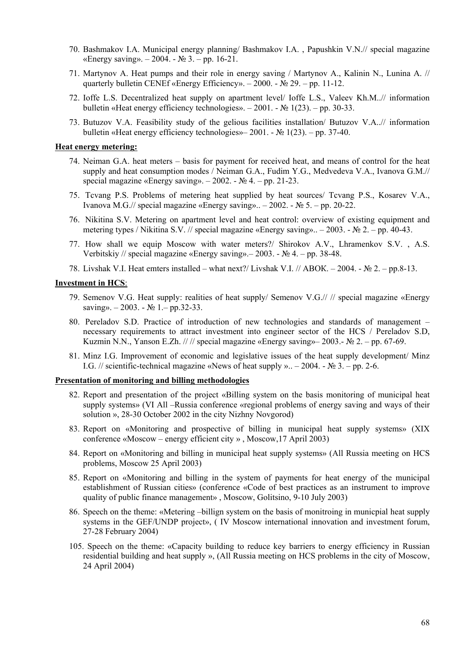- 70. Bashmakov I.A. Municipal energy planning/ Bashmakov I.A. , Papushkin V.N.// special magazine «Energy saving». – 2004. - № 3. – pp. 16-21.
- 71. Martynov A. Heat pumps and their role in energy saving / Martynov A., Kalinin N., Lunina A. // quarterly bulletin CENEf «Energy Efficiency». – 2000. - № 29. – pp. 11-12.
- 72. Ioffe L.S. Decentralized heat supply on apartment level/ Ioffe L.S., Valeev Kh.M..// information bulletin «Heat energy efficiency technologies». – 2001. - № 1(23). – pp. 30-33.
- 73. Butuzov V.A. Feasibility study of the gelious facilities installation/ Butuzov V.A..// information bulletin «Heat energy efficiency technologies»– 2001. -  $\mathbb{N}$  1(23). – pp. 37-40.

## **Heat energy metering:**

- 74. Neiman G.A. heat meters basis for payment for received heat, and means of control for the heat supply and heat consumption modes / Neiman G.A., Fudim Y.G., Medvedeva V.A., Ivanova G.M.// special magazine «Energy saving». – 2002. - № 4. – pp. 21-23.
- 75. Tcvang P.S. Problems of metering heat supplied by heat sources/ Tcvang P.S., Kosarev V.A., Ivanova M.G.// special magazine «Energy saving».. – 2002. - № 5. – pp. 20-22.
- 76. Nikitina S.V. Metering on apartment level and heat control: overview of existing equipment and metering types / Nikitina S.V. // special magazine «Energy saving».. – 2003. - № 2. – pp. 40-43.
- 77. How shall we equip Moscow with water meters?/ Shirokov A.V., Lhramenkov S.V. , A.S. Verbitskiy // special magazine «Energy saving».– 2003. - № 4. – pp. 38-48.
- 78. Livshak V.I. Heat emters installed what next?/ Livshak V.I. // ABOK. 2004. № 2. pp.8-13.

#### **Investment in HCS**:

- 79. Semenov V.G. Heat supply: realities of heat supply/ Semenov V.G.// // special magazine «Energy saving». – 2003. - № 1. – pp.32-33.
- 80. Pereladov S.D. Practice of introduction of new technologies and standards of management necessary requirements to attract investment into engineer sector of the HCS / Pereladov S.D, Kuzmin N.N., Yanson E.Zh.  $\frac{1}{1}$  // special magazine «Energy saving»– 2003.- No 2. – pp. 67-69.
- 81. Minz I.G. Improvement of economic and legislative issues of the heat supply development/ Minz I.G. // scientific-technical magazine «News of heat supply ».. – 2004. -  $\mathbb{N}_2$  3. – pp. 2-6.

## **Presentation of monitoring and billing methodologies**

- 82. Report and presentation of the project «Billing system on the basis monitoring of municipal heat supply systems» (VI All –Russia conference «regional problems of energy saving and ways of their solution », 28-30 October 2002 in the city Nizhny Novgorod)
- 83. Report on «Monitoring and prospective of billing in municipal heat supply systems» (XIX conference «Moscow – energy efficient city » , Moscow,17 April 2003)
- 84. Report on «Monitoring and billing in municipal heat supply systems» (All Russia meeting on HCS problems, Moscow 25 April 2003)
- 85. Report on «Monitoring and billing in the system of payments for heat energy of the municipal establishment of Russian cities» (conference «Code of best practices as an instrument to improve quality of public finance management» , Moscow, Golitsino, 9-10 July 2003)
- 86. Speech on the theme: «Metering –billign system on the basis of monitroing in municpial heat supply systems in the GEF/UNDP project», ( IV Moscow international innovation and investment forum, 27-28 February 2004)
- 105. Speech on the theme: «Capacity building to reduce key barriers to energy efficiency in Russian residential building and heat supply », (All Russia meeting on HCS problems in the city of Moscow, 24 April 2004)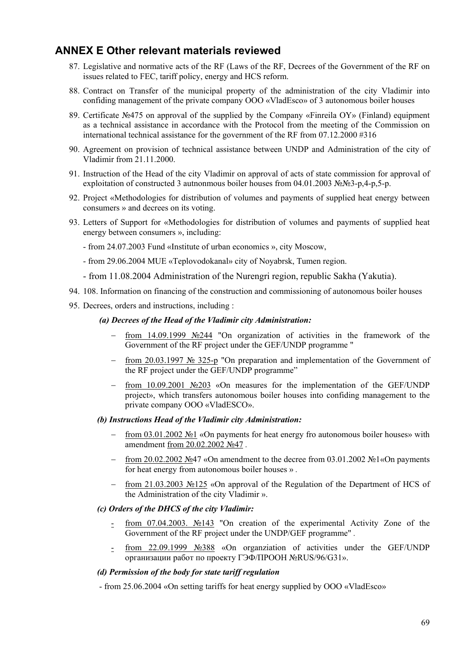# **ANNEX E Other relevant materials reviewed**

- 87. Legislative and normative acts of the RF (Laws of the RF, Decrees of the Government of the RF on issues related to FEC, tariff policy, energy and HCS reform.
- 88. Contract on Transfer of the municipal property of the administration of the city Vladimir into confiding management of the private company ООО «VladEsco» of 3 autonomous boiler houses
- 89. Certificate №475 оn approval of the supplied by the Company «Finreila OY» (Finland) equipment as a technical assistance in accordance with the Protocol from the meeting of the Commission on international technical assistance for the government of the RF from 07.12.2000 #316
- 90. Agreement on provision of technical assistance between UNDP and Administration of the city of Vladimir from 21.11.2000.
- 91. Instruction of the Head of the city Vladimir on approval of acts of state commission for approval of exploitation of constructed 3 autnonmous boiler houses from 04.01.2003 №№3-p.4-p.5-p.
- 92. Project «Methodologies for distribution of volumes and payments of supplied heat energy between consumers » and decrees on its voting.
- 93. Letters of Support for «Methodologies for distribution of volumes and payments of supplied heat energy between consumers », including:
	- from 24.07.2003 Fund «Institute of urban economics », city Moscow,
	- from 29.06.2004 MUE «Teplovodokanal» city of Noyabrsk, Tumen region.
	- from 11.08.2004 Administration of the Nurengri region, republic Sakha (Yakutia).
- 94. 108. Information on financing of the construction and commissioning of autonomous boiler houses
- 95. Decrees, orders and instructions, including :

## *(a) Decrees of the Head of the Vladimir city Administration:*

- − from 14.09.1999 №244 "Оn organization of activities in the framework of the Government of the RF project under the GEF/UNDP programme "
- − from 20.03.1997 № 325-р "Оn preparation and implementation of the Government of the RF project under the GEF/UNDP programme"
- − from 10.09.2001 №203 «Оn measures for the implementation of the GEF/UNDP project», which transfers autonomous boiler houses into confiding management to the private company ООО «VladESCO».

### *(b) Instructions Head of the Vladimir city Administration:*

- from 03.01.2002 №1 «On payments for heat energy fro autonomous boiler houses» with amendment from 20.02.2002 №47 *.*
- − from 20.02.2002 №47 «On amendment to the decree from 03.01.2002 №1«On payments for heat energy from autonomous boiler houses » *.*
- − from 21.03.2003 №125 «Оn approval of the Regulation of the Department of HCS of the Administration of the city Vladimir ».

# *(c) Orders of the DHCS of the city Vladimir:*

- from 07.04.2003. №143 "Оn creation of the experimental Activity Zone of the Government of the RF project under the UNDP/GEF programme" *.*
- from 22.09.1999 №388 «Оn organziation of activities under the GEF/UNDP организации работ по проекту ГЭФ/ПРООН №RUS/96/G31».

# *(d) Permission of the body for state tariff regulation*

- from 25.06.2004 «Оn setting tariffs for heat energy supplied by ООО «VladEsco»